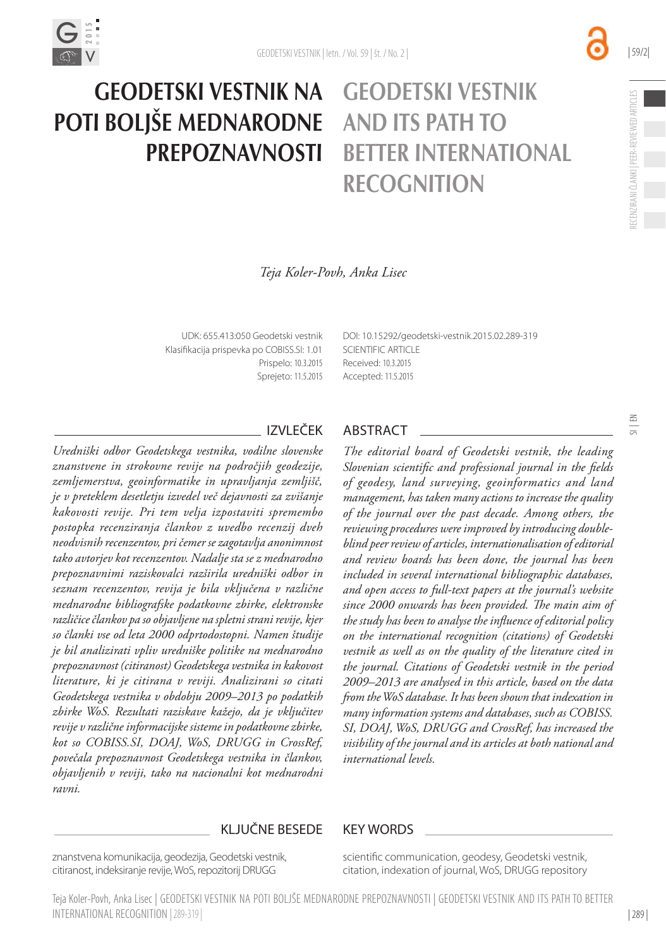

#### Geodetski vestnik na Geodetski vestnik poti boljše mednarodne and its path to **PREPOZNAVNOSTI** better international **RECOGNITION**

| 59/2|

*Teja Koler-Povh, Anka Lisec*

UDK: 655.413:050 Geodetski vestnik Klasifikacija prispevka po COBISS.SI: 1.01 Prispelo: 10.3.2015 Sprejeto: 11.5.2015 [DOI:](http://dx.doi.org/10.15292/geodetski-vestnik.2014.02.314-326) [10.15292/geodetski-vestnik.2015.02.289-319](http://dx.doi.org/10.15292/geodetski-vestnik.2015.02.289-319) SCIENTIFIC ARTICLE Received: 10.3.2015 Accepted: 11.5.2015

*Uredniški odbor Geodetskega vestnika, vodilne slovenske znanstvene in strokovne revije na področjih geodezije, zemljemerstva, geoinformatike in upravljanja zemljišč, je v preteklem desetletju izvedel več dejavnosti za zvišanje kakovosti revije. Pri tem velja izpostaviti spremembo postopka recenziranja člankov z uvedbo recenzij dveh neodvisnih recenzentov, pri čemer se zagotavlja anonimnost tako avtorjev kot recenzentov. Nadalje sta se z mednarodno prepoznavnimi raziskovalci razširila uredniški odbor in seznam recenzentov, revija je bila vključena v različne mednarodne bibliografske podatkovne zbirke, elektronske različice člankov pa so objavljene na spletni strani revije, kjer so članki vse od leta 2000 odprtodostopni. Namen študije je bil analizirati vpliv uredniške politike na mednarodno prepoznavnost (citiranost) Geodetskega vestnika in kakovost literature, ki je citirana v reviji. Analizirani so citati Geodetskega vestnika v obdobju 2009–2013 po podatkih zbirke WoS. Rezultati raziskave kažejo, da je vključitev revije v različne informacijske sisteme in podatkovne zbirke, kot so COBISS.SI, DOAJ, WoS, DRUGG in CrossRef, povečala prepoznavnost Geodetskega vestnika in člankov, objavljenih v reviji, tako na nacionalni kot mednarodni ravni.* 

#### IZVLEČEK ABSTRACT

*The editorial board of Geodetski vestnik, the leading Slovenian scientific and professional journal in the fields of geodesy, land surveying, geoinformatics and land management, has taken many actions to increase the quality of the journal over the past decade. Among others, the reviewing procedures were improved by introducing doubleblind peer review of articles, internationalisation of editorial and review boards has been done, the journal has been included in several international bibliographic databases, and open access to full-text papers at the journal's website since 2000 onwards has been provided. The main aim of the study has been to analyse the influence of editorial policy on the international recognition (citations) of Geodetski vestnik as well as on the quality of the literature cited in the journal. Citations of Geodetski vestnik in the period 2009–2013 are analysed in this article, based on the data from the WoS database. It has been shown that indexation in many information systems and databases, such as COBISS. SI, DOAJ, WoS, DRUGG and CrossRef, has increased the visibility of the journal and its articles at both national and international levels.* 

#### KLJUČNE BESEDE KEY WORDS

znanstvena komunikacija, geodezija, Geodetski vestnik, citiranost, indeksiranje revije, WoS, repozitorij DRUGG

scientific communication, geodesy, Geodetski vestnik, citation, indexation of journal, WoS, DRUGG repository

Teja Koler-Povh, Anka Lisec | Geodetski vestnik na poti boljše mednarodne prepoznavnosti | Geodetski vestnik and its path to better international recognition |289-319 |

| 289 |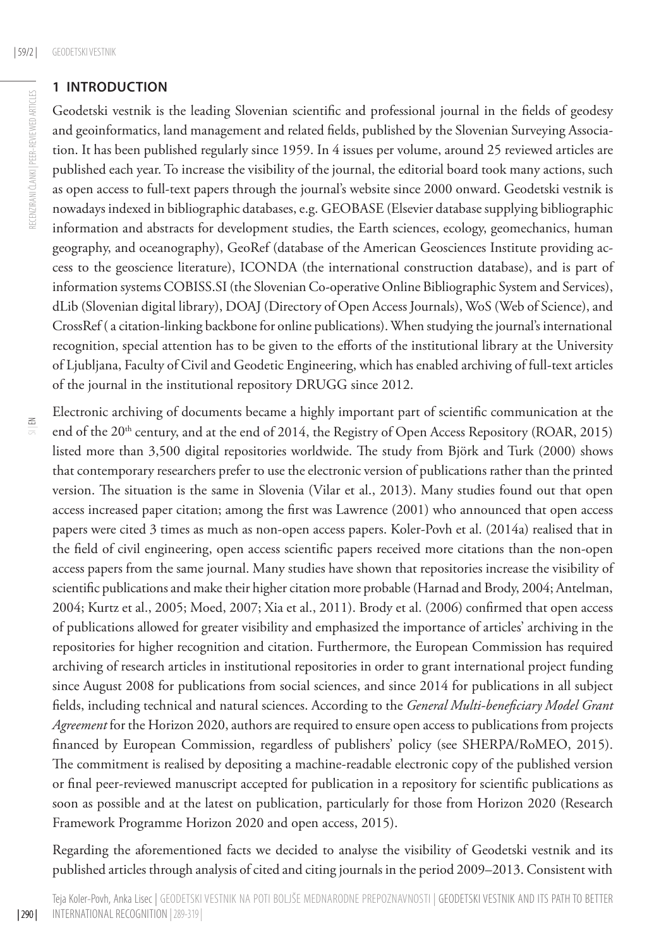#### **1 Introduction**

Geodetski vestnik is the leading Slovenian scientific and professional journal in the fields of geodesy and geoinformatics, land management and related fields, published by the Slovenian Surveying Association. It has been published regularly since 1959. In 4 issues per volume, around 25 reviewed articles are published each year. To increase the visibility of the journal, the editorial board took many actions, such as open access to full-text papers through the journal's website since 2000 onward. Geodetski vestnik is nowadays indexed in bibliographic databases, e.g. GEOBASE (Elsevier database supplying bibliographic information and abstracts for development studies, the Earth sciences, ecology, geomechanics, human geography, and oceanography), GeoRef (database of the American Geosciences Institute providing access to the geoscience literature), ICONDA (the international construction database), and is part of information systems COBISS.SI (the Slovenian Co-operative Online Bibliographic System and Services), dLib (Slovenian digital library), DOAJ (Directory of Open Access Journals), WoS (Web of Science), and CrossRef ( a citation-linking backbone for online publications). When studying the journal's international recognition, special attention has to be given to the efforts of the institutional library at the University of Ljubljana, Faculty of Civil and Geodetic Engineering, which has enabled archiving of full-text articles of the journal in the institutional repository DRUGG since 2012.

Electronic archiving of documents became a highly important part of scientific communication at the end of the 20<sup>th</sup> century, and at the end of 2014, the Registry of Open Access Repository (ROAR, 2015) listed more than 3,500 digital repositories worldwide. The study from Björk and Turk (2000) shows that contemporary researchers prefer to use the electronic version of publications rather than the printed version. The situation is the same in Slovenia (Vilar et al., 2013). Many studies found out that open access increased paper citation; among the first was Lawrence (2001) who announced that open access papers were cited 3 times as much as non-open access papers. Koler-Povh et al. (2014a) realised that in the field of civil engineering, open access scientific papers received more citations than the non-open access papers from the same journal. Many studies have shown that repositories increase the visibility of scientific publications and make their higher citation more probable (Harnad and Brody, 2004; Antelman, 2004; Kurtz et al., 2005; Moed, 2007; Xia et al., 2011). Brody et al. (2006) confirmed that open access of publications allowed for greater visibility and emphasized the importance of articles' archiving in the repositories for higher recognition and citation. Furthermore, the European Commission has required archiving of research articles in institutional repositories in order to grant international project funding since August 2008 for publications from social sciences, and since 2014 for publications in all subject fields, including technical and natural sciences. According to the *General Multi-beneficiary Model Grant Agreement* for the Horizon 2020, authors are required to ensure open access to publications from projects financed by European Commission, regardless of publishers' policy (see SHERPA/RoMEO, 2015). The commitment is realised by depositing a machine-readable electronic copy of the published version or final peer-reviewed manuscript accepted for publication in a repository for scientific publications as soon as possible and at the latest on publication, particularly for those from Horizon 2020 (Research Framework Programme Horizon 2020 and open access, 2015).

Regarding the aforementioned facts we decided to analyse the visibility of Geodetski vestnik and its published articles through analysis of cited and citing journals in the period 2009–2013. Consistent with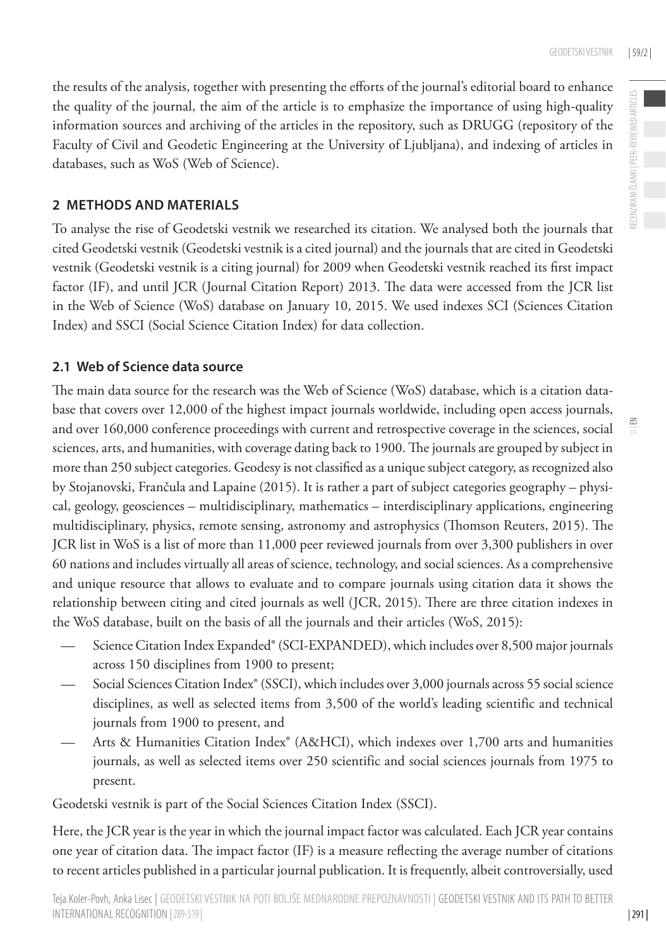RECENZIRANI ČLANKI | PEER-REVIEWED ARTICLES

RECENZIRANI ČLANKI | PEER-REVIEWED ARTICLES

 $\leq$ 

the results of the analysis, together with presenting the efforts of the journal's editorial board to enhance the quality of the journal, the aim of the article is to emphasize the importance of using high-quality information sources and archiving of the articles in the repository, such as DRUGG (repository of the Faculty of Civil and Geodetic Engineering at the University of Ljubljana), and indexing of articles in databases, such as WoS (Web of Science).

#### **2 Methods and materials**

To analyse the rise of Geodetski vestnik we researched its citation. We analysed both the journals that cited Geodetski vestnik (Geodetski vestnik is a cited journal) and the journals that are cited in Geodetski vestnik (Geodetski vestnik is a citing journal) for 2009 when Geodetski vestnik reached its first impact factor (IF), and until JCR (Journal Citation Report) 2013. The data were accessed from the JCR list in the Web of Science (WoS) database on January 10, 2015. We used indexes SCI (Sciences Citation Index) and SSCI (Social Science Citation Index) for data collection.

#### **2.1 Web of Science data source**

The main data source for the research was the Web of Science (WoS) database, which is a citation database that covers over 12,000 of the highest impact journals worldwide, including open access journals, and over 160,000 conference proceedings with current and retrospective coverage in the sciences, social sciences, arts, and humanities, with coverage dating back to 1900. The journals are grouped by subject in more than 250 subject categories. Geodesy is not classified as a unique subject category, as recognized also by Stojanovski, Frančula and Lapaine (2015). It is rather a part of subject categories geography – physical, geology, geosciences – multidisciplinary, mathematics – interdisciplinary applications, engineering multidisciplinary, physics, remote sensing, astronomy and astrophysics (Thomson Reuters, 2015). The JCR list in WoS is a list of more than 11,000 peer reviewed journals from over 3,300 publishers in over 60 nations and includes virtually all areas of science, technology, and social sciences. As a comprehensive and unique resource that allows to evaluate and to compare journals using citation data it shows the relationship between citing and cited journals as well (JCR, 2015). There are three citation indexes in the WoS database, built on the basis of all the journals and their articles (WoS, 2015):

- Science Citation Index Expanded® (SCI-EXPANDED), which includes over 8,500 major journals across 150 disciplines from 1900 to present;
- Social Sciences Citation Index® (SSCI), which includes over 3,000 journals across 55 social science disciplines, as well as selected items from 3,500 of the world's leading scientific and technical journals from 1900 to present, and
- Arts & Humanities Citation Index® (A&HCI), which indexes over 1,700 arts and humanities journals, as well as selected items over 250 scientific and social sciences journals from 1975 to present.

Geodetski vestnik is part of the Social Sciences Citation Index (SSCI).

Here, the JCR year is the year in which the journal impact factor was calculated. Each JCR year contains one year of citation data. The impact factor (IF) is a measure reflecting the average number of citations to recent articles published in a particular journal publication. It is frequently, albeit controversially, used

| 291 |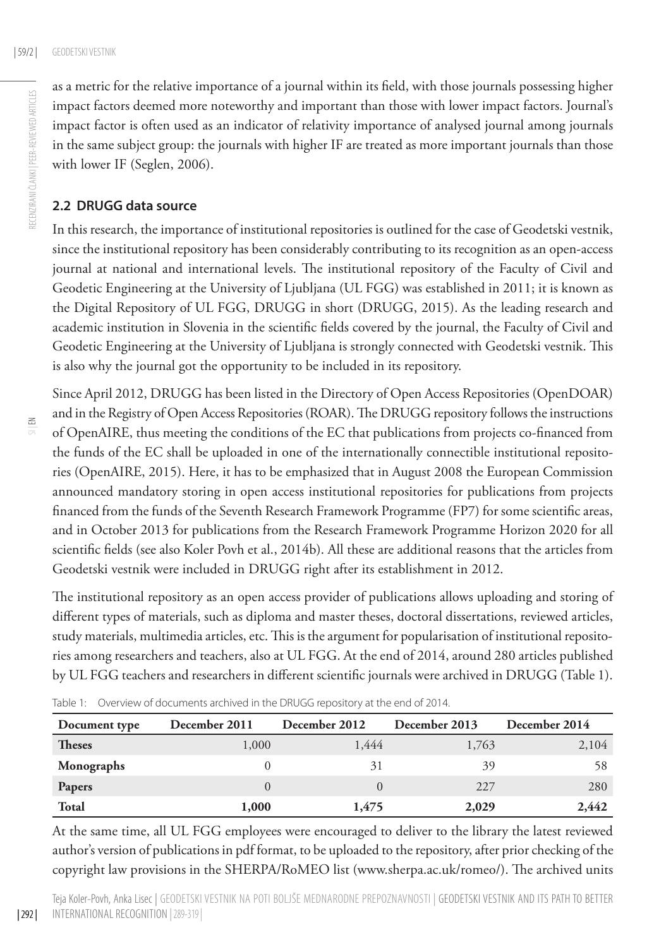as a metric for the relative importance of a journal within its field, with those journals possessing higher RECENZIRANI ČLANKI | PEER-REVIEWED ARTICLES RECENZIRANI ČLANKI | PEER-REVIEWED ARTICLES impact factors deemed more noteworthy and important than those with lower impact factors. Journal's impact factor is often used as an indicator of relativity importance of analysed journal among journals in the same subject group: the journals with higher IF are treated as more important journals than those with lower IF (Seglen, 2006).

#### **2.2 DRUGG data source**

In this research, the importance of institutional repositories is outlined for the case of Geodetski vestnik, since the institutional repository has been considerably contributing to its recognition as an open-access journal at national and international levels. The institutional repository of the Faculty of Civil and Geodetic Engineering at the University of Ljubljana (UL FGG) was established in 2011; it is known as the Digital Repository of UL FGG, DRUGG in short (DRUGG, 2015). As the leading research and academic institution in Slovenia in the scientific fields covered by the journal, the Faculty of Civil and Geodetic Engineering at the University of Ljubljana is strongly connected with Geodetski vestnik. This is also why the journal got the opportunity to be included in its repository.

| 292 |

Since April 2012, DRUGG has been listed in the Directory of Open Access Repositories (OpenDOAR) and in the Registry of Open Access Repositories (ROAR). The DRUGG repository follows the instructions of OpenAIRE, thus meeting the conditions of the EC that publications from projects co-financed from the funds of the EC shall be uploaded in one of the internationally connectible institutional repositories (OpenAIRE, 2015). Here, it has to be emphasized that in August 2008 the European Commission announced mandatory storing in open access institutional repositories for publications from projects financed from the funds of the Seventh Research Framework Programme (FP7) for some scientific areas, and in October 2013 for publications from the Research Framework Programme Horizon 2020 for all scientific fields (see also Koler Povh et al., 2014b). All these are additional reasons that the articles from Geodetski vestnik were included in DRUGG right after its establishment in 2012.

The institutional repository as an open access provider of publications allows uploading and storing of different types of materials, such as diploma and master theses, doctoral dissertations, reviewed articles, study materials, multimedia articles, etc. This is the argument for popularisation of institutional repositories among researchers and teachers, also at UL FGG. At the end of 2014, around 280 articles published by UL FGG teachers and researchers in different scientific journals were archived in DRUGG (Table 1).

| Document type | December 2011 | December 2012 | December 2013 | December 2014 |
|---------------|---------------|---------------|---------------|---------------|
| <b>Theses</b> | 1,000         | 1,444         | 1,763         | 2,104         |
| Monographs    |               | 31            | 39            | 58            |
| Papers        |               |               | 227           | 280           |
| Total         | 1,000         | 1,475         | 2,029         | 2,442         |

Table 1: Overview of documents archived in the DRUGG repository at the end of 2014.

At the same time, all UL FGG employees were encouraged to deliver to the library the latest reviewed author's version of publications in pdf format, to be uploaded to the repository, after prior checking of the copyright law provisions in the SHERPA/RoMEO list [\(www.sherpa.ac.uk/romeo/\)](www.sherpa.ac.uk/romeo/). The archived units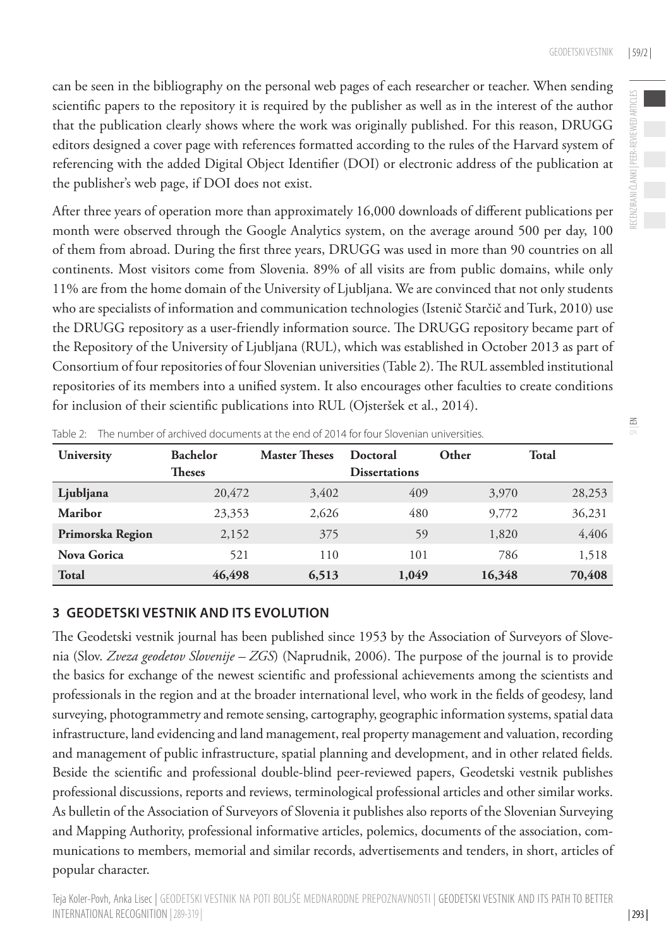$\leq$ 

can be seen in the bibliography on the personal web pages of each researcher or teacher. When sending scientific papers to the repository it is required by the publisher as well as in the interest of the author that the publication clearly shows where the work was originally published. For this reason, DRUGG editors designed a cover page with references formatted according to the rules of the Harvard system of referencing with the added Digital Object Identifier (DOI) or electronic address of the publication at the publisher's web page, if DOI does not exist.

After three years of operation more than approximately 16,000 downloads of different publications per month were observed through the Google Analytics system, on the average around 500 per day, 100 of them from abroad. During the first three years, DRUGG was used in more than 90 countries on all continents. Most visitors come from Slovenia. 89% of all visits are from public domains, while only 11% are from the home domain of the University of Ljubljana. We are convinced that not only students who are specialists of information and communication technologies (Istenič Starčič and Turk, 2010) use the DRUGG repository as a user-friendly information source. The DRUGG repository became part of the Repository of the University of Ljubljana (RUL), which was established in October 2013 as part of Consortium of four repositories of four Slovenian universities (Table 2). The RUL assembled institutional repositories of its members into a unified system. It also encourages other faculties to create conditions for inclusion of their scientific publications into RUL (Ojsteršek et al., 2014).

| University       | <b>Bachelor</b> | <b>Master Theses</b> | Doctoral             | Other  | <b>Total</b> |
|------------------|-----------------|----------------------|----------------------|--------|--------------|
|                  | <b>Theses</b>   |                      | <b>Dissertations</b> |        |              |
| Ljubljana        | 20,472          | 3,402                | 409                  | 3,970  | 28,253       |
| Maribor          | 23,353          | 2,626                | 480                  | 9,772  | 36,231       |
| Primorska Region | 2,152           | 375                  | 59                   | 1,820  | 4,406        |
| Nova Gorica      | 521             | 110                  | 101                  | 786    | 1,518        |
| <b>Total</b>     | 46,498          | 6,513                | 1,049                | 16,348 | 70,408       |

Table 2: The number of archived documents at the end of 2014 for four Slovenian universities.

#### **3 Geodetsk i vestnik and its evolution**

The Geodetski vestnik journal has been published since 1953 by the Association of Surveyors of Slovenia (Slov. *Zveza geodetov Slovenije – ZGS*) (Naprudnik, 2006). The purpose of the journal is to provide the basics for exchange of the newest scientific and professional achievements among the scientists and professionals in the region and at the broader international level, who work in the fields of geodesy, land surveying, photogrammetry and remote sensing, cartography, geographic information systems, spatial data infrastructure, land evidencing and land management, real property management and valuation, recording and management of public infrastructure, spatial planning and development, and in other related fields. Beside the scientific and professional double-blind peer-reviewed papers, Geodetski vestnik publishes professional discussions, reports and reviews, terminological professional articles and other similar works. As bulletin of the Association of Surveyors of Slovenia it publishes also reports of the Slovenian Surveying and Mapping Authority, professional informative articles, polemics, documents of the association, communications to members, memorial and similar records, advertisements and tenders, in short, articles of popular character.

| 293 |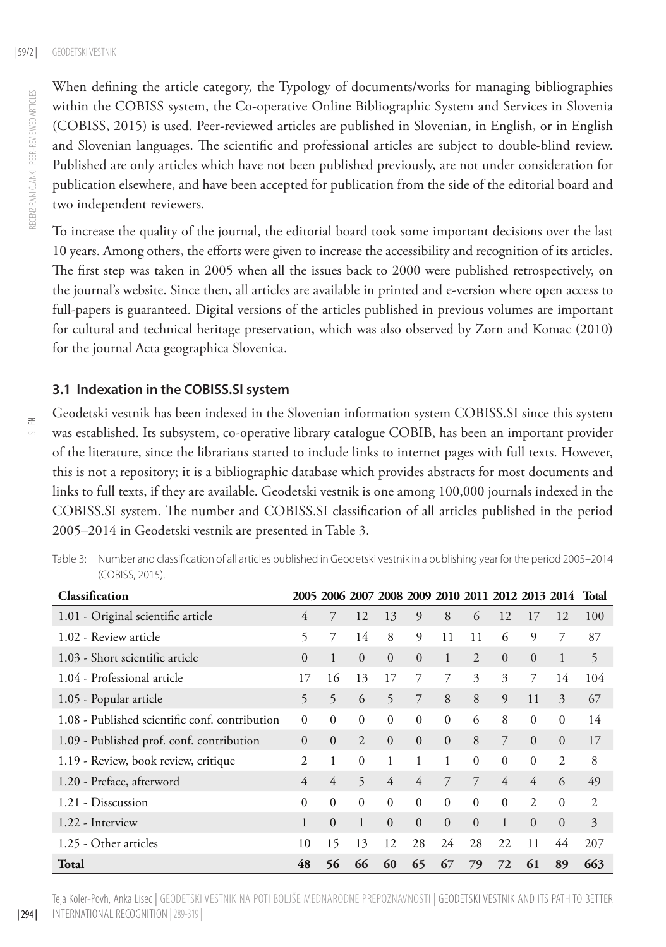$\leq$ 

When defining the article category, the Typology of documents/works for managing bibliographies within the COBISS system, the Co-operative Online Bibliographic System and Services in Slovenia (COBISS, 2015) is used. Peer-reviewed articles are published in Slovenian, in English, or in English and Slovenian languages. The scientific and professional articles are subject to double-blind review. Published are only articles which have not been published previously, are not under consideration for publication elsewhere, and have been accepted for publication from the side of the editorial board and two independent reviewers.

To increase the quality of the journal, the editorial board took some important decisions over the last 10 years. Among others, the efforts were given to increase the accessibility and recognition of its articles. The first step was taken in 2005 when all the issues back to 2000 were published retrospectively, on the journal's website. Since then, all articles are available in printed and e-version where open access to full-papers is guaranteed. Digital versions of the articles published in previous volumes are important for cultural and technical heritage preservation, which was also observed by Zorn and Komac (2010) for the journal Acta geographica Slovenica.

#### **3.1 Indexation in the COBISS.SI system**

Geodetski vestnik has been indexed in the Slovenian information system COBISS.SI since this system was established. Its subsystem, co-operative library catalogue COBIB, has been an important provider of the literature, since the librarians started to include links to internet pages with full texts. However, this is not a repository; it is a bibliographic database which provides abstracts for most documents and links to full texts, if they are available. Geodetski vestnik is one among 100,000 journals indexed in the COBISS.SI system. The number and COBISS.SI classification of all articles published in the period 2005–2014 in Geodetski vestnik are presented in Table 3.

Table 3: Number and classification of all articles published in Geodetski vestnik in a publishing year for the period 2005–2014 (COBISS, 2015).

| Classification                                 |              |              |                |          |          |              |          |              |                |              | 2005 2006 2007 2008 2009 2010 2011 2012 2013 2014 Total |
|------------------------------------------------|--------------|--------------|----------------|----------|----------|--------------|----------|--------------|----------------|--------------|---------------------------------------------------------|
| 1.01 - Original scientific article             | 4            | 7            | 12             | 13       | 9        | 8            | 6        | 12           | 17             | 12           | 100                                                     |
| 1.02 - Review article                          | 5            | 7            | 14             | 8        | 9        | 11           | 11       | 6            | 9              | 7            | 87                                                      |
| 1.03 - Short scientific article                | $\Omega$     | $\mathbf{1}$ | $\Omega$       | $\Omega$ | $\Omega$ | $\mathbf{1}$ | 2        | $\Omega$     | $\Omega$       | $\mathbf{1}$ | 5                                                       |
| 1.04 - Professional article                    | 17           | 16           | 13             | 17       | 7        | 7            | 3        | 3            | 7              | 14           | 104                                                     |
| 1.05 - Popular article                         | 5            | 5            | 6              | 5        | 7        | 8            | 8        | 9            | 11             | 3            | 67                                                      |
| 1.08 - Published scientific conf. contribution | $\Omega$     | $\Omega$     | $\Omega$       | $\Omega$ | $\Omega$ | $\Omega$     | 6        | 8            | $\Omega$       | $\Omega$     | 14                                                      |
| 1.09 - Published prof. conf. contribution      | $\Omega$     | $\Omega$     | $\mathfrak{D}$ | $\Omega$ | $\Omega$ | $\Omega$     | 8        | 7            | $\Omega$       | $\Omega$     | 17                                                      |
| 1.19 - Review, book review, critique           | 2            | 1            | $\Omega$       |          |          | 1            | $\Omega$ | $\Omega$     | $\Omega$       | 2            | 8                                                       |
| 1.20 - Preface, afterword                      | 4            | 4            | 5              | 4        | 4        | 7            | 7        | 4            | 4              | 6            | 49                                                      |
| 1.21 - Disscussion                             | $\Omega$     | $\Omega$     | $\mathbf{0}$   | $\Omega$ | $\theta$ | $\Omega$     | $\Omega$ | $\Omega$     | $\overline{c}$ | $\mathbf{0}$ | $\overline{2}$                                          |
| 1.22 - Interview                               | $\mathbf{1}$ | $\Omega$     | 1              | $\Omega$ | $\Omega$ | $\Omega$     | $\Omega$ | $\mathbf{1}$ | $\Omega$       | $\mathbf{0}$ | 3                                                       |
| 1.25 - Other articles                          | 10           | 15           | 13             | 12       | 28       | 24           | 28       | 22           | 11             | 44           | 207                                                     |
| Total                                          | 48           | 56           | 66             | 60       | 65       | 67           | 79       | 72           | 61             | 89           | 663                                                     |

Teja Koler-Povh, Anka Lisec | Geodetski vestnik na poti boljše mednarodne prepoznavnosti | Geodetski vestnik and its path to better international recognition |289-319 |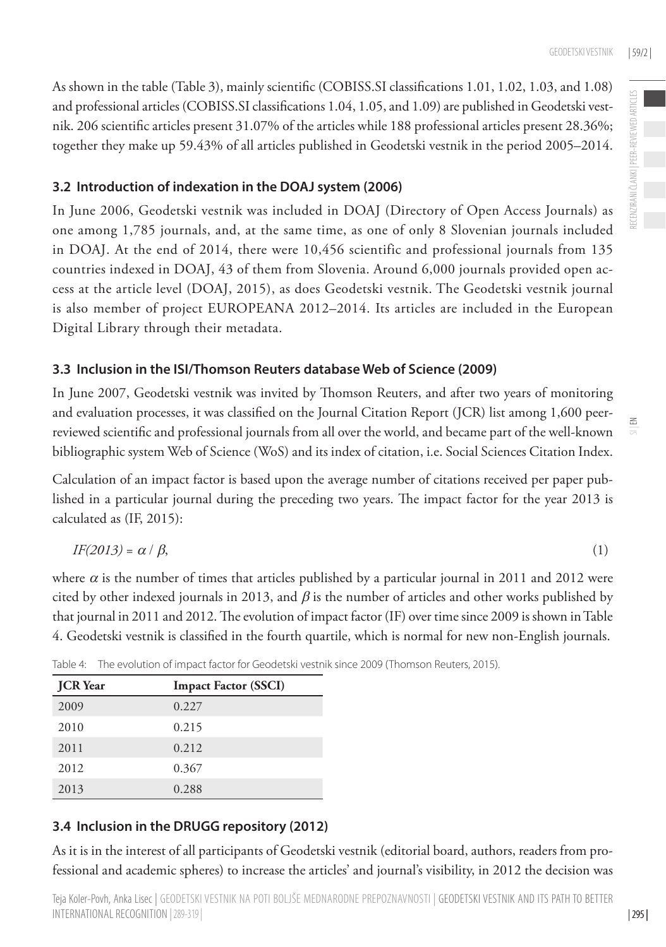As shown in the table (Table 3), mainly scientific (COBISS.SI classifications 1.01, 1.02, 1.03, and 1.08) and professional articles (COBISS.SI classifications 1.04, 1.05, and 1.09) are published in Geodetski vestnik. 206 scientific articles present 31.07% of the articles while 188 professional articles present 28.36%; together they make up 59.43% of all articles published in Geodetski vestnik in the period 2005–2014.

#### **3.2 Introduction of indexation in the DOAJ system (2006)**

In June 2006, Geodetski vestnik was included in DOAJ (Directory of Open Access Journals) as one among 1,785 journals, and, at the same time, as one of only 8 Slovenian journals included in DOAJ. At the end of 2014, there were 10,456 scientific and professional journals from 135 countries indexed in DOAJ, 43 of them from Slovenia. Around 6,000 journals provided open access at the article level (DOAJ, 2015), as does Geodetski vestnik. The Geodetski vestnik journal is also member of project EUROPEANA 2012–2014. Its articles are included in the European Digital Library through their metadata.

#### **3.3 Inclusion in the ISI/Thomson Reuters database Web of Science (2009)**

In June 2007, Geodetski vestnik was invited by Thomson Reuters, and after two years of monitoring and evaluation processes, it was classified on the Journal Citation Report (JCR) list among 1,600 peerreviewed scientific and professional journals from all over the world, and became part of the well-known bibliographic system Web of Science (WoS) and its index of citation, i.e. Social Sciences Citation Index.

Calculation of an impact factor is based upon the average number of citations received per paper published in a particular journal during the preceding two years. The impact factor for the year 2013 is calculated as (IF, 2015):

$$
IF(2013) = \alpha / \beta, \tag{1}
$$

where  $\alpha$  is the number of times that articles published by a particular journal in 2011 and 2012 were cited by other indexed journals in 2013, and  $\beta$  is the number of articles and other works published by that journal in 2011 and 2012. The evolution of impact factor (IF) over time since 2009 is shown in Table 4. Geodetski vestnik is classified in the fourth quartile, which is normal for new non-English journals.

| <b>JCR</b> Year | <b>Impact Factor (SSCI)</b> |
|-----------------|-----------------------------|
| 2009            | 0.227                       |
| 2010            | 0.215                       |
| 2011            | 0.212                       |
| 2012            | 0.367                       |
| 2013            | 0.288                       |

Table 4: The evolution of impact factor for Geodetski vestnik since 2009 (Thomson Reuters, 2015).

#### **3.4 Inclusion in the DRUGG repository (2012)**

As it is in the interest of all participants of Geodetski vestnik (editorial board, authors, readers from professional and academic spheres) to increase the articles' and journal's visibility, in 2012 the decision was  $\leq$ 

| 295 |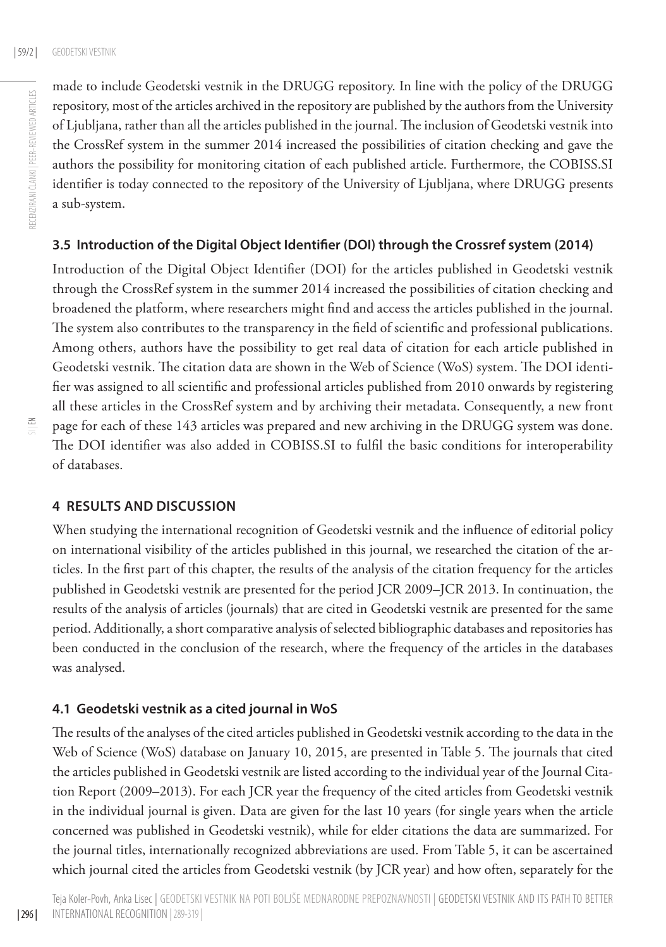made to include Geodetski vestnik in the DRUGG repository. In line with the policy of the DRUGG repository, most of the articles archived in the repository are published by the authors from the University of Ljubljana, rather than all the articles published in the journal. The inclusion of Geodetski vestnik into the CrossRef system in the summer 2014 increased the possibilities of citation checking and gave the authors the possibility for monitoring citation of each published article. Furthermore, the COBISS.SI identifier is today connected to the repository of the University of Ljubljana, where DRUGG presents a sub-system.

#### **3.5 Introduction of the Digital Object Identifier (DOI) through the Crossref system (2014)**

Introduction of the Digital Object Identifier (DOI) for the articles published in Geodetski vestnik through the CrossRef system in the summer 2014 increased the possibilities of citation checking and broadened the platform, where researchers might find and access the articles published in the journal. The system also contributes to the transparency in the field of scientific and professional publications. Among others, authors have the possibility to get real data of citation for each article published in Geodetski vestnik. The citation data are shown in the Web of Science (WoS) system. The DOI identifier was assigned to all scientific and professional articles published from 2010 onwards by registering all these articles in the CrossRef system and by archiving their metadata. Consequently, a new front page for each of these 143 articles was prepared and new archiving in the DRUGG system was done. The DOI identifier was also added in COBISS.SI to fulfil the basic conditions for interoperability of databases.

#### **4 Results and discussion**

When studying the international recognition of Geodetski vestnik and the influence of editorial policy on international visibility of the articles published in this journal, we researched the citation of the articles. In the first part of this chapter, the results of the analysis of the citation frequency for the articles published in Geodetski vestnik are presented for the period JCR 2009–JCR 2013. In continuation, the results of the analysis of articles (journals) that are cited in Geodetski vestnik are presented for the same period. Additionally, a short comparative analysis of selected bibliographic databases and repositories has been conducted in the conclusion of the research, where the frequency of the articles in the databases was analysed.

#### **4.1 Geodetski vestnik as a cited journal in WoS**

The results of the analyses of the cited articles published in Geodetski vestnik according to the data in the Web of Science (WoS) database on January 10, 2015, are presented in Table 5. The journals that cited the articles published in Geodetski vestnik are listed according to the individual year of the Journal Citation Report (2009–2013). For each JCR year the frequency of the cited articles from Geodetski vestnik in the individual journal is given. Data are given for the last 10 years (for single years when the article concerned was published in Geodetski vestnik), while for elder citations the data are summarized. For the journal titles, internationally recognized abbreviations are used. From Table 5, it can be ascertained which journal cited the articles from Geodetski vestnik (by JCR year) and how often, separately for the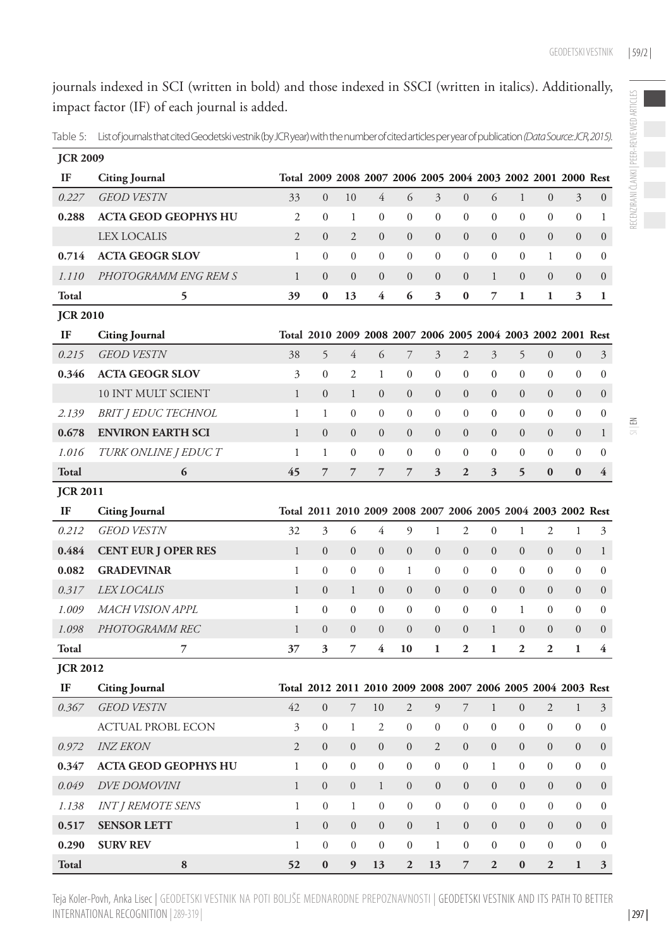journals indexed in SCI (written in bold) and those indexed in SSCI (written in italics). Additionally, impact factor (IF) of each journal is added.

Table 5: List of journals that cited Geodetski vestnik (by JCR year) with the number of cited articles per year of publication *(Data Source: JCR, 2015).*

| <b>JCR 2009</b> |                             |                |                                                              |                  |                  |                          |                  |                  |                  |                  |                  |                  |                  |
|-----------------|-----------------------------|----------------|--------------------------------------------------------------|------------------|------------------|--------------------------|------------------|------------------|------------------|------------------|------------------|------------------|------------------|
| IF              | <b>Citing Journal</b>       |                | Total 2009 2008 2007 2006 2005 2004 2003 2002 2001 2000 Rest |                  |                  |                          |                  |                  |                  |                  |                  |                  |                  |
| 0.227           | <b>GEOD VESTN</b>           | 33             | $\overline{0}$                                               | 10               | $\overline{4}$   | 6                        | $\overline{3}$   | $\boldsymbol{0}$ | 6                | $\,1$            | $\boldsymbol{0}$ | 3                | $\overline{0}$   |
| 0.288           | <b>ACTA GEOD GEOPHYS HU</b> | $\mathfrak{2}$ | $\boldsymbol{0}$                                             | $\mathbf{1}$     | $\mathbf{0}$     | $\boldsymbol{0}$         | $\boldsymbol{0}$ | $\boldsymbol{0}$ | $\boldsymbol{0}$ | $\boldsymbol{0}$ | $\boldsymbol{0}$ | $\boldsymbol{0}$ | $\mathbf 1$      |
|                 | <b>LEX LOCALIS</b>          | $\overline{2}$ | $\mathbf{0}$                                                 | $\overline{2}$   | $\overline{0}$   | $\overline{0}$           | $\overline{0}$   | $\mathbf{0}$     | $\mathbf{0}$     | $\overline{0}$   | $\overline{0}$   | $\overline{0}$   | $\boldsymbol{0}$ |
| 0.714           | <b>ACTA GEOGR SLOV</b>      | $\mathbf{1}$   | $\boldsymbol{0}$                                             | $\boldsymbol{0}$ | $\mathbf{0}$     | $\boldsymbol{0}$         | $\mathbf{0}$     | $\mathbf{0}$     | $\boldsymbol{0}$ | $\boldsymbol{0}$ | $\mathbf{1}$     | $\boldsymbol{0}$ | $\boldsymbol{0}$ |
| 1.110           | PHOTOGRAMM ENG REM S        | $\mathbf{1}$   | $\mathbf{0}$                                                 | $\mathbf{0}$     | $\boldsymbol{0}$ | $\overline{0}$           | $\overline{0}$   | $\overline{0}$   | $\mathbf{1}$     | $\overline{0}$   | $\overline{0}$   | $\boldsymbol{0}$ | $\boldsymbol{0}$ |
| Total           | 5                           | 39             | $\bf{0}$                                                     | 13               | 4                | 6                        | 3                | $\bf{0}$         | $\overline{7}$   | $\mathbf{1}$     | 1                | 3                | 1                |
| <b>JCR 2010</b> |                             |                |                                                              |                  |                  |                          |                  |                  |                  |                  |                  |                  |                  |
| IF              | <b>Citing Journal</b>       |                | Total 2010 2009 2008 2007 2006 2005 2004 2003 2002 2001 Rest |                  |                  |                          |                  |                  |                  |                  |                  |                  |                  |
| 0.215           | <b>GEOD VESTN</b>           | 38             | 5                                                            | $\overline{4}$   | 6                | $\overline{\mathcal{I}}$ | 3                | $\overline{2}$   | $\mathfrak{Z}$   | 5                | $\overline{0}$   | $\overline{0}$   | $\mathfrak{Z}$   |
| 0.346           | <b>ACTA GEOGR SLOV</b>      | 3              | $\boldsymbol{0}$                                             | $\mathfrak{2}$   | $\mathbf{1}$     | $\boldsymbol{0}$         | $\boldsymbol{0}$ | $\boldsymbol{0}$ | $\boldsymbol{0}$ | $\boldsymbol{0}$ | $\boldsymbol{0}$ | $\boldsymbol{0}$ | $\boldsymbol{0}$ |
|                 | 10 INT MULT SCIENT          | $\mathbf{1}$   | $\boldsymbol{0}$                                             | $\mathbf{1}$     | $\overline{0}$   | $\overline{0}$           | $\mathbf{0}$     | $\overline{0}$   | $\overline{0}$   | $\overline{0}$   | $\overline{0}$   | $\overline{0}$   | $\boldsymbol{0}$ |
| 2.139           | <b>BRIT   EDUC TECHNOL</b>  | $\mathbf{1}$   | $\mathbf{1}$                                                 | $\boldsymbol{0}$ | $\mathbf{0}$     | $\boldsymbol{0}$         | $\boldsymbol{0}$ | $\boldsymbol{0}$ | $\boldsymbol{0}$ | $\boldsymbol{0}$ | $\boldsymbol{0}$ | $\boldsymbol{0}$ | $\boldsymbol{0}$ |
| 0.678           | <b>ENVIRON EARTH SCI</b>    | $\mathbf{1}$   | $\boldsymbol{0}$                                             | $\boldsymbol{0}$ | $\mathbf{0}$     | $\overline{0}$           | $\overline{0}$   | $\overline{0}$   | $\overline{0}$   | $\boldsymbol{0}$ | $\boldsymbol{0}$ | $\boldsymbol{0}$ | $\mathbf{1}$     |
| 1.016           | TURK ONLINE J EDUCT         | $\mathbf{1}$   | $\mathbf{1}$                                                 | $\mathbf{0}$     | $\mathbf{0}$     | $\mathbf{0}$             | $\mathbf{0}$     | $\mathbf{0}$     | $\overline{0}$   | $\overline{0}$   | $\overline{0}$   | $\mathbf{0}$     | $\mathbf{0}$     |
| Total           | 6                           | 45             | $\overline{7}$                                               | 7                | $\overline{7}$   | $\overline{7}$           | 3                | $\overline{2}$   | 3                | 5                | $\bf{0}$         | $\bf{0}$         | $\overline{4}$   |
| <b>JCR 2011</b> |                             |                |                                                              |                  |                  |                          |                  |                  |                  |                  |                  |                  |                  |
| IF              | <b>Citing Journal</b>       |                | Total 2011 2010 2009 2008 2007 2006 2005 2004 2003 2002 Rest |                  |                  |                          |                  |                  |                  |                  |                  |                  |                  |
| 0.212           | <b>GEOD VESTN</b>           | 32             | 3                                                            | 6                | 4                | 9                        | $\mathbf{1}$     | $\mathfrak{2}$   | $\mathbf{0}$     | $\mathbf{1}$     | $\overline{2}$   | $\mathbf{1}$     | 3                |
| 0.484           | <b>CENT EUR J OPER RES</b>  | $\,1$          | $\boldsymbol{0}$                                             | $\boldsymbol{0}$ | $\mathbf{0}$     | $\mathbf{0}$             | $\overline{0}$   | $\overline{0}$   | $\overline{0}$   | $\boldsymbol{0}$ | $\boldsymbol{0}$ | $\boldsymbol{0}$ | $\mathbf{1}$     |
| 0.082           | <b>GRADEVINAR</b>           | $\mathbf{1}$   | $\boldsymbol{0}$                                             | $\boldsymbol{0}$ | $\boldsymbol{0}$ | $\mathbf 1$              | $\boldsymbol{0}$ | $\mathbf{0}$     | $\boldsymbol{0}$ | $\boldsymbol{0}$ | $\boldsymbol{0}$ | $\boldsymbol{0}$ | $\boldsymbol{0}$ |
| 0.317           | <b>LEX LOCALIS</b>          | $\,1$          | $\boldsymbol{0}$                                             | $\mathbf{1}$     | $\mathbf{0}$     | $\mathbf{0}$             | $\overline{0}$   | $\mathbf{0}$     | $\overline{0}$   | $\boldsymbol{0}$ | $\boldsymbol{0}$ | $\overline{0}$   | $\boldsymbol{0}$ |
| 1.009           | MACH VISION APPL            | $\mathbf{1}$   | $\mathbf{0}$                                                 | $\mathbf{0}$     | $\mathbf{0}$     | $\mathbf{0}$             | $\mathbf{0}$     | $\mathbf{0}$     | $\mathbf{0}$     | $\mathbf{1}$     | $\overline{0}$   | $\mathbf{0}$     | $\overline{0}$   |
| 1.098           | PHOTOGRAMM REC              | $\mathbf{1}$   | $\boldsymbol{0}$                                             | $\boldsymbol{0}$ | $\mathbf{0}$     | $\overline{0}$           | $\overline{0}$   | $\boldsymbol{0}$ | $\mathbf{1}$     | $\boldsymbol{0}$ | $\boldsymbol{0}$ | $\boldsymbol{0}$ | $\overline{0}$   |
| Total           | 7                           | 37             | $\overline{\mathbf{3}}$                                      | $\overline{7}$   | 4                | 10                       | $\mathbf{1}$     | $\mathbf{2}$     | $\mathbf{1}$     | $\mathbf{2}$     | $\overline{2}$   | $\mathbf{1}$     | 4                |
| <b>JCR 2012</b> |                             |                |                                                              |                  |                  |                          |                  |                  |                  |                  |                  |                  |                  |
| IF              | <b>Citing Journal</b>       |                | Total 2012 2011 2010 2009 2008 2007 2006 2005 2004 2003 Rest |                  |                  |                          |                  |                  |                  |                  |                  |                  |                  |
| 0.367           | <b>GEOD VESTN</b>           | 42             | $\mathbf{0}$                                                 | 7                | 10               | $\overline{2}$           | $\mathfrak{g}$   | $\overline{7}$   | $\mathbf{1}$     | $\boldsymbol{0}$ | $\overline{c}$   | $\mathbf{1}$     | 3 <sup>1</sup>   |
|                 | <b>ACTUAL PROBL ECON</b>    | 3              | $\boldsymbol{0}$                                             | $\mathbf 1$      | $\overline{2}$   | $\boldsymbol{0}$         | $\mathbf{0}$     | $\boldsymbol{0}$ | $\boldsymbol{0}$ | $\boldsymbol{0}$ | $\boldsymbol{0}$ | $\boldsymbol{0}$ | $\boldsymbol{0}$ |
| 0.972           | <b>INZ EKON</b>             | $\mathfrak{2}$ | $\boldsymbol{0}$                                             | $\mathbf{0}$     | $\boldsymbol{0}$ | $\boldsymbol{0}$         | 2                | $\mathbf{0}$     | $\boldsymbol{0}$ | $\boldsymbol{0}$ | $\boldsymbol{0}$ | $\boldsymbol{0}$ | $\boldsymbol{0}$ |
| 0.347           | <b>ACTA GEOD GEOPHYS HU</b> | $\mathbf{1}$   | $\overline{0}$                                               | $\mathbf{0}$     | $\mathbf{0}$     | $\mathbf{0}$             | $\overline{0}$   | $\mathbf{0}$     | $\mathbf{1}$     | $\overline{0}$   | $\overline{0}$   | $\mathbf{0}$     | $\overline{0}$   |
| 0.049           | <b>DVE DOMOVINI</b>         | $\,1$          | $\boldsymbol{0}$                                             | $\boldsymbol{0}$ | $\mathbf{1}$     | $\boldsymbol{0}$         | $\boldsymbol{0}$ | $\boldsymbol{0}$ | $\mathbf{0}$     | $\boldsymbol{0}$ | $\boldsymbol{0}$ | $\boldsymbol{0}$ | $\boldsymbol{0}$ |
| 1.138           | <b>INT J REMOTE SENS</b>    | $\,1$          | $\overline{0}$                                               | $\mathbf{1}$     | $\overline{0}$   | $\overline{0}$           | $\overline{0}$   | $\boldsymbol{0}$ | $\mathbf{0}$     | $\mathbf{0}$     | $\overline{0}$   | $\overline{0}$   | $\overline{0}$   |
| 0.517           | <b>SENSOR LETT</b>          | $\mathbf{1}$   | $\boldsymbol{0}$                                             | $\boldsymbol{0}$ | $\overline{0}$   | $\boldsymbol{0}$         | $\mathbf{1}$     | $\mathbf{0}$     | $\boldsymbol{0}$ | $\boldsymbol{0}$ | $\boldsymbol{0}$ | $\boldsymbol{0}$ | $\mathbf{0}$     |
| 0.290           | <b>SURV REV</b>             | $\mathbf{1}$   | $\boldsymbol{0}$                                             | $\boldsymbol{0}$ | $\mathbf{0}$     | $\boldsymbol{0}$         | 1                | $\boldsymbol{0}$ | $\boldsymbol{0}$ | $\boldsymbol{0}$ | $\boldsymbol{0}$ | $\mathbf{0}$     | $\boldsymbol{0}$ |
| Total           | 8                           | 52             | $\bf{0}$                                                     | 9                | 13               | $\overline{2}$           | 13               | $\overline{7}$   | $\overline{2}$   | $\bf{0}$         | $\overline{2}$   | 1                | 3                |

Teja Koler-Povh, Anka Lisec | Geodetski vestnik na poti boljše mednarodne prepoznavnosti | Geodetski vestnik and its path to better international recognition |289-319 |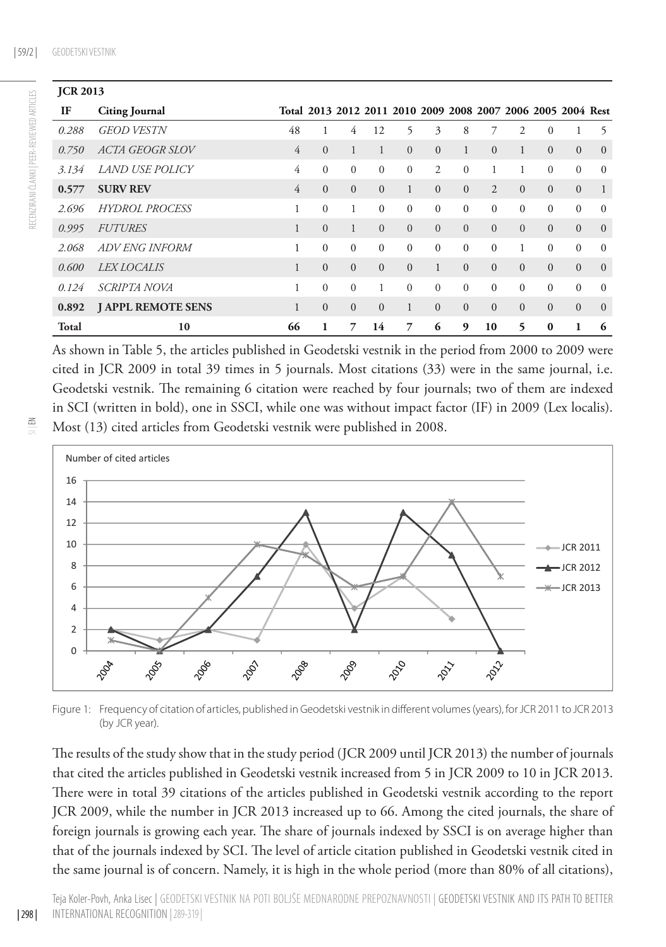| <b>JCR 2013</b> |                           |                |                |                |          |                |                                                              |          |                |              |              |              |              |
|-----------------|---------------------------|----------------|----------------|----------------|----------|----------------|--------------------------------------------------------------|----------|----------------|--------------|--------------|--------------|--------------|
| IF              | <b>Citing Journal</b>     |                |                |                |          |                | Total 2013 2012 2011 2010 2009 2008 2007 2006 2005 2004 Rest |          |                |              |              |              |              |
| 0.288           | <b>GEOD VESTN</b>         | 48             |                | 4              | 12       | 5              | 3                                                            | 8        | 7              | 2            | $\mathbf{0}$ |              | 5            |
| 0.750           | <i>ACTA GEOGR SLOV</i>    | $\overline{4}$ | $\overline{0}$ | 1              |          | $\overline{0}$ | $\overline{0}$                                               | 1        | $\Omega$       | 1            | $\mathbf{0}$ | $\mathbf{0}$ | $\Omega$     |
| 3.134           | <i>LAND USE POLICY</i>    | 4              | $\Omega$       | $\mathbf{0}$   | $\Omega$ | $\Omega$       | $\overline{2}$                                               | $\Omega$ |                | 1            | $\Omega$     | $\Omega$     | $\Omega$     |
| 0.577           | <b>SURV REV</b>           | 4              | $\Omega$       | $\mathbf{0}$   | $\Omega$ |                | $\overline{0}$                                               | $\Omega$ | $\mathfrak{D}$ | $\Omega$     | $\mathbf{0}$ | $\mathbf{0}$ | 1            |
| 2.696           | <b>HYDROL PROCESS</b>     |                | $\theta$       | 1              | $\Omega$ | $\Omega$       | $\Omega$                                                     | $\Omega$ | $\Omega$       | $\mathbf{0}$ | $\Omega$     | $\Omega$     | $\Omega$     |
| 0.995           | <b>FUTURES</b>            | $\mathbf{1}$   | $\Omega$       | $\mathbf{1}$   | $\Omega$ | $\Omega$       | $\Omega$                                                     | $\Omega$ | $\Omega$       | $\Omega$     | $\Omega$     | $\Omega$     | $\mathbf{0}$ |
| 2.068           | ADV ENG INFORM            |                | $\theta$       | $\Omega$       | $\Omega$ | $\Omega$       | $\Omega$                                                     | $\theta$ | $\Omega$       | 1            | $\Omega$     | $\theta$     | $\Omega$     |
| 0.600           | <b>LEX LOCALIS</b>        |                | $\mathbf{0}$   | $\mathbf{0}$   | $\Omega$ | $\Omega$       | $\mathbf{1}$                                                 | $\Omega$ | $\Omega$       | $\Omega$     | $\mathbf{0}$ | $\mathbf{0}$ | $\mathbf{0}$ |
| 0.124           | <i>SCRIPTA NOVA</i>       |                | $\Omega$       | $\overline{0}$ |          | $\Omega$       | $\Omega$                                                     | $\Omega$ | $\Omega$       | $\theta$     | $\Omega$     | $\theta$     | $\Omega$     |
| 0.892           | <b>J APPL REMOTE SENS</b> |                | $\mathbf{0}$   | $\mathbf{0}$   | $\Omega$ | 1              | $\Omega$                                                     | $\Omega$ | $\Omega$       | $\Omega$     | $\Omega$     | $\mathbf{0}$ | $\Omega$     |
| Total           | 10                        | 66             | 1              | 7              | 14       | 7              | 6                                                            | 9        | 10             | 5            | $\bf{0}$     | 1            | 6            |

As shown in Table 5, the articles published in Geodetski vestnik in the period from 2000 to 2009 were cited in JCR 2009 in total 39 times in 5 journals. Most citations (33) were in the same journal, i.e. Geodetski vestnik. The remaining 6 citation were reached by four journals; two of them are indexed in SCI (written in bold), one in SSCI, while one was without impact factor (IF) in 2009 (Lex localis). Most (13) cited articles from Geodetski vestnik were published in 2008.



Figure 1: Frequency of citation of articles, published in Geodetski vestnik in different volumes (years), for JCR 2011 to JCR 2013 (by JCR year).

The results of the study show that in the study period (JCR 2009 until JCR 2013) the number of journals that cited the articles published in Geodetski vestnik increased from 5 in JCR 2009 to 10 in JCR 2013. There were in total 39 citations of the articles published in Geodetski vestnik according to the report JCR 2009, while the number in JCR 2013 increased up to 66. Among the cited journals, the share of foreign journals is growing each year. The share of journals indexed by SSCI is on average higher than that of the journals indexed by SCI. The level of article citation published in Geodetski vestnik cited in the same journal is of concern. Namely, it is high in the whole period (more than 80% of all citations),

 $\Xi$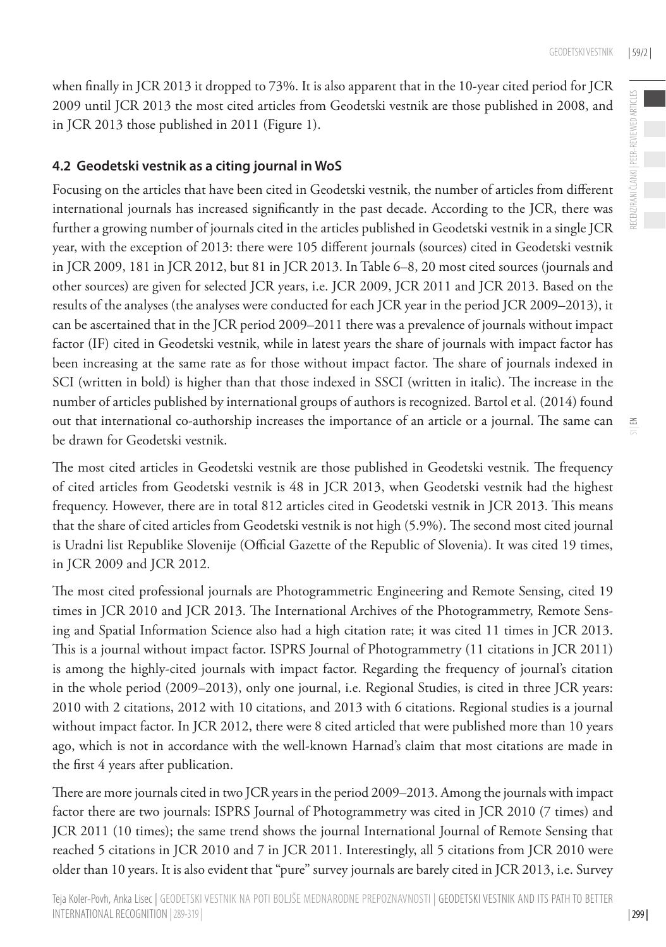$\leq$ 

when finally in JCR 2013 it dropped to 73%. It is also apparent that in the 10-year cited period for JCR 2009 until JCR 2013 the most cited articles from Geodetski vestnik are those published in 2008, and in JCR 2013 those published in 2011 (Figure 1).

#### **4.2 Geodetski vestnik as a citing journal in WoS**

Focusing on the articles that have been cited in Geodetski vestnik, the number of articles from different international journals has increased significantly in the past decade. According to the JCR, there was further a growing number of journals cited in the articles published in Geodetski vestnik in a single JCR year, with the exception of 2013: there were 105 different journals (sources) cited in Geodetski vestnik in JCR 2009, 181 in JCR 2012, but 81 in JCR 2013. In Table 6–8, 20 most cited sources (journals and other sources) are given for selected JCR years, i.e. JCR 2009, JCR 2011 and JCR 2013. Based on the results of the analyses (the analyses were conducted for each JCR year in the period JCR 2009–2013), it can be ascertained that in the JCR period 2009–2011 there was a prevalence of journals without impact factor (IF) cited in Geodetski vestnik, while in latest years the share of journals with impact factor has been increasing at the same rate as for those without impact factor. The share of journals indexed in SCI (written in bold) is higher than that those indexed in SSCI (written in italic). The increase in the number of articles published by international groups of authors is recognized. Bartol et al. (2014) found out that international co-authorship increases the importance of an article or a journal. The same can be drawn for Geodetski vestnik.

The most cited articles in Geodetski vestnik are those published in Geodetski vestnik. The frequency of cited articles from Geodetski vestnik is 48 in JCR 2013, when Geodetski vestnik had the highest frequency. However, there are in total 812 articles cited in Geodetski vestnik in JCR 2013. This means that the share of cited articles from Geodetski vestnik is not high (5.9%). The second most cited journal is Uradni list Republike Slovenije (Official Gazette of the Republic of Slovenia). It was cited 19 times, in JCR 2009 and JCR 2012.

The most cited professional journals are Photogrammetric Engineering and Remote Sensing, cited 19 times in JCR 2010 and JCR 2013. The International Archives of the Photogrammetry, Remote Sensing and Spatial Information Science also had a high citation rate; it was cited 11 times in JCR 2013. This is a journal without impact factor. ISPRS Journal of Photogrammetry (11 citations in JCR 2011) is among the highly-cited journals with impact factor. Regarding the frequency of journal's citation in the whole period (2009–2013), only one journal, i.e. Regional Studies, is cited in three JCR years: 2010 with 2 citations, 2012 with 10 citations, and 2013 with 6 citations. Regional studies is a journal without impact factor. In JCR 2012, there were 8 cited articled that were published more than 10 years ago, which is not in accordance with the well-known Harnad's claim that most citations are made in the first 4 years after publication.

There are more journals cited in two JCR years in the period 2009–2013. Among the journals with impact factor there are two journals: ISPRS Journal of Photogrammetry was cited in JCR 2010 (7 times) and JCR 2011 (10 times); the same trend shows the journal International Journal of Remote Sensing that reached 5 citations in JCR 2010 and 7 in JCR 2011. Interestingly, all 5 citations from JCR 2010 were older than 10 years. It is also evident that "pure" survey journals are barely cited in JCR 2013, i.e. Survey

| 299 |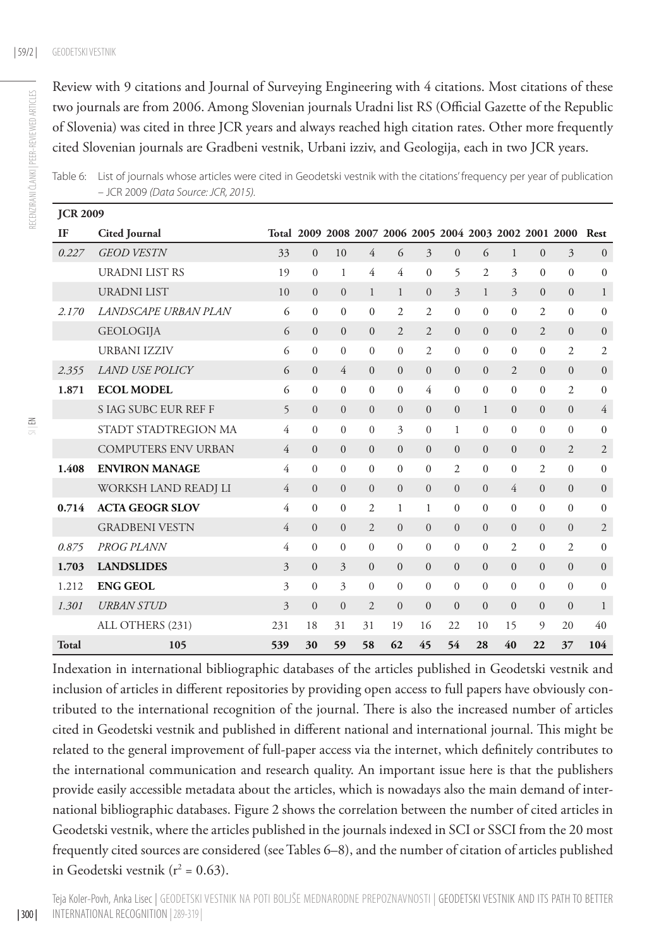Review with 9 citations and Journal of Surveying Engineering with 4 citations. Most citations of these two journals are from 2006. Among Slovenian journals Uradni list RS (Official Gazette of the Republic of Slovenia) was cited in three JCR years and always reached high citation rates. Other more frequently cited Slovenian journals are Gradbeni vestnik, Urbani izziv, and Geologija, each in two JCR years.

| <b>JCR 2009</b> |                            |                |              |                                                         |                |                |                |                |                |                |                |                |                  |
|-----------------|----------------------------|----------------|--------------|---------------------------------------------------------|----------------|----------------|----------------|----------------|----------------|----------------|----------------|----------------|------------------|
| IF              | <b>Cited Journal</b>       |                |              | Total 2009 2008 2007 2006 2005 2004 2003 2002 2001 2000 |                |                |                |                |                |                |                |                | Rest             |
| 0.227           | <b>GEOD VESTN</b>          | 33             | $\mathbf{0}$ | 10                                                      | $\overline{4}$ | 6              | 3              | $\mathbf{0}$   | 6              | 1              | $\mathbf{0}$   | 3              | $\mathbf{0}$     |
|                 | <b>URADNI LIST RS</b>      | 19             | $\Omega$     | 1                                                       | 4              | 4              | $\mathbf{0}$   | 5              | $\overline{2}$ | 3              | $\mathbf{0}$   | $\mathbf{0}$   | $\boldsymbol{0}$ |
|                 | <b>URADNI LIST</b>         | 10             | $\Omega$     | $\Omega$                                                | $\mathbf{1}$   | $\mathbf{1}$   | $\theta$       | $\overline{3}$ | $\mathbf{1}$   | $\overline{3}$ | $\mathbf{0}$   | $\mathbf{0}$   | 1                |
| 2.170           | LANDSCAPE URBAN PLAN       | 6              | $\mathbf{0}$ | $\mathbf{0}$                                            | $\Omega$       | $\overline{c}$ | $\overline{c}$ | $\mathbf{0}$   | $\mathbf{0}$   | $\mathbf{0}$   | 2              | $\mathbf{0}$   | $\mathbf{0}$     |
|                 | <b>GEOLOGIJA</b>           | 6              | $\Omega$     | $\mathbf{0}$                                            | $\mathbf{0}$   | $\overline{2}$ | $\overline{2}$ | $\mathbf{0}$   | $\mathbf{0}$   | $\mathbf{0}$   | $\overline{2}$ | $\mathbf{0}$   | $\boldsymbol{0}$ |
|                 | <b>URBANI IZZIV</b>        | 6              | $\Omega$     | $\Omega$                                                | $\Omega$       | $\Omega$       | $\overline{c}$ | $\mathbf{0}$   | $\mathbf{0}$   | $\mathbf{0}$   | $\mathbf{0}$   | $\overline{2}$ | 2                |
| 2.355           | <b>LAND USE POLICY</b>     | 6              | $\Omega$     | $\overline{4}$                                          | $\Omega$       | $\mathbf{0}$   | $\mathbf{0}$   | $\overline{0}$ | $\overline{0}$ | $\overline{2}$ | $\mathbf{0}$   | $\mathbf{0}$   | $\boldsymbol{0}$ |
| 1.871           | <b>ECOL MODEL</b>          | 6              | $\theta$     | $\mathbf{0}$                                            | $\Omega$       | $\mathbf{0}$   | 4              | $\overline{0}$ | $\mathbf{0}$   | $\mathbf{0}$   | $\mathbf{0}$   | $\overline{2}$ | $\mathbf{0}$     |
|                 | <b>SIAG SUBC EUR REF F</b> | 5              | $\Omega$     | $\Omega$                                                | $\overline{0}$ | $\overline{0}$ | $\mathbf{0}$   | $\overline{0}$ | $\mathbf{1}$   | $\mathbf{0}$   | $\mathbf{0}$   | $\overline{0}$ | $\overline{4}$   |
|                 | STADT STADTREGION MA       | $\overline{4}$ | $\Omega$     | $\Omega$                                                | $\Omega$       | 3              | $\overline{0}$ | 1              | $\overline{0}$ | $\mathbf{0}$   | $\mathbf{0}$   | $\mathbf{0}$   | $\mathbf{0}$     |
|                 | <b>COMPUTERS ENV URBAN</b> | 4              | $\mathbf{0}$ | $\mathbf{0}$                                            | $\mathbf{0}$   | $\mathbf{0}$   | $\mathbf{0}$   | $\overline{0}$ | $\overline{0}$ | $\mathbf{0}$   | $\mathbf{0}$   | $\overline{2}$ | $\mathfrak{2}$   |
| 1.408           | <b>ENVIRON MANAGE</b>      | 4              | $\Omega$     | $\Omega$                                                | $\Omega$       | $\mathbf{0}$   | $\mathbf{0}$   | 2              | $\mathbf{0}$   | $\mathbf{0}$   | $\mathfrak{2}$ | $\mathbf{0}$   | $\boldsymbol{0}$ |
|                 | WORKSH LAND READJ LI       | $\overline{4}$ | $\Omega$     | $\Omega$                                                | $\Omega$       | $\Omega$       | $\Omega$       | $\overline{0}$ | $\overline{0}$ | $\overline{4}$ | $\mathbf{0}$   | $\mathbf{0}$   | $\boldsymbol{0}$ |
| 0.714           | <b>ACTA GEOGR SLOV</b>     | 4              | $\theta$     | $\Omega$                                                | $\overline{c}$ | 1              | 1              | $\mathbf{0}$   | $\overline{0}$ | $\mathbf{0}$   | $\mathbf{0}$   | $\mathbf{0}$   | $\mathbf{0}$     |
|                 | <b>GRADBENI VESTN</b>      | 4              | $\Omega$     | $\overline{0}$                                          | $\overline{2}$ | $\overline{0}$ | $\overline{0}$ | $\overline{0}$ | $\overline{0}$ | $\overline{0}$ | $\overline{0}$ | $\overline{0}$ | $\overline{2}$   |
| 0.875           | PROG PLANN                 | 4              | $\theta$     | $\mathbf{0}$                                            | $\Omega$       | $\overline{0}$ | $\mathbf{0}$   | $\mathbf{0}$   | $\overline{0}$ | $\overline{2}$ | $\mathbf{0}$   | $\overline{2}$ | $\mathbf{0}$     |
| 1.703           | <b>LANDSLIDES</b>          | 3              | $\Omega$     | 3                                                       | $\Omega$       | $\Omega$       | $\mathbf{0}$   | $\overline{0}$ | $\overline{0}$ | $\mathbf{0}$   | $\mathbf{0}$   | $\mathbf{0}$   | $\boldsymbol{0}$ |
| 1.212           | <b>ENG GEOL</b>            | 3              | $\Omega$     | $\overline{\mathbf{3}}$                                 | $\Omega$       | $\Omega$       | $\overline{0}$ | $\mathbf{0}$   | $\overline{0}$ | $\overline{0}$ | $\overline{0}$ | $\mathbf{0}$   | $\boldsymbol{0}$ |
| 1.301           | <b>URBAN STUD</b>          | 3              | $\Omega$     | $\Omega$                                                | $\overline{2}$ | $\Omega$       | $\mathbf{0}$   | $\mathbf{0}$   | $\mathbf{0}$   | $\mathbf{0}$   | $\mathbf{0}$   | $\mathbf{0}$   | $\mathbf{1}$     |
|                 | ALL OTHERS (231)           | 231            | 18           | 31                                                      | 31             | 19             | 16             | 22             | 10             | 15             | 9              | 20             | 40               |

Table 6: List of journals whose articles were cited in Geodetski vestnik with the citations' frequency per year of publication – JCR 2009 *(Data Source: JCR, 2015).*

Indexation in international bibliographic databases of the articles published in Geodetski vestnik and inclusion of articles in different repositories by providing open access to full papers have obviously contributed to the international recognition of the journal. There is also the increased number of articles cited in Geodetski vestnik and published in different national and international journal. This might be related to the general improvement of full-paper access via the internet, which definitely contributes to the international communication and research quality. An important issue here is that the publishers provide easily accessible metadata about the articles, which is nowadays also the main demand of international bibliographic databases. Figure 2 shows the correlation between the number of cited articles in Geodetski vestnik, where the articles published in the journals indexed in SCI or SSCI from the 20 most frequently cited sources are considered (see Tables 6–8), and the number of citation of articles published in Geodetski vestnik ( $r^2 = 0.63$ ).

**Total 105 539 30 59 58 62 45 54 28 40 22 37 104**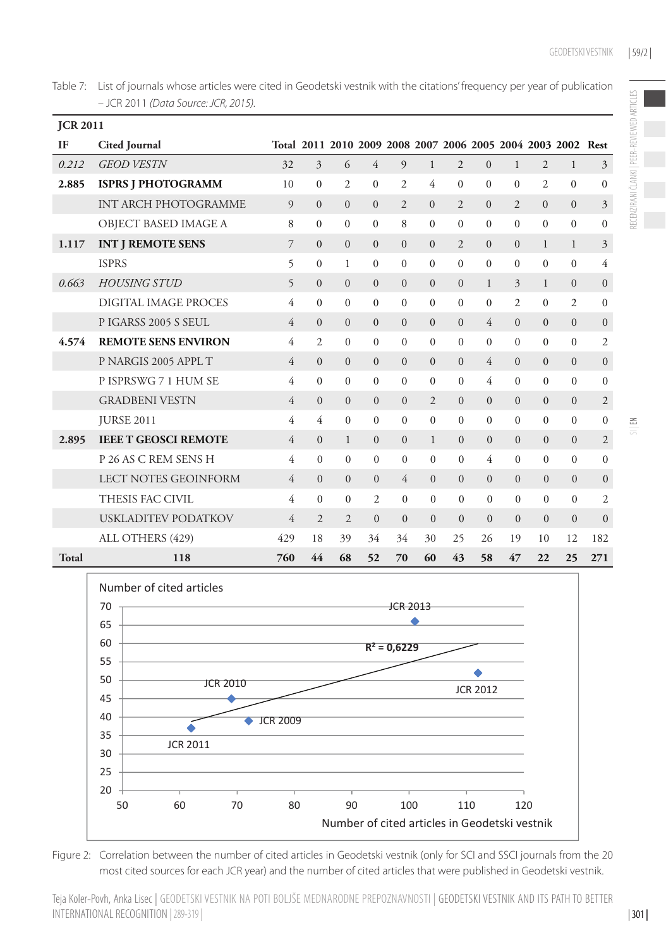Table 7: List of journals whose articles were cited in Geodetski vestnik with the citations' frequency per year of publication – JCR 2011 *(Data Source: JCR, 2015).*

| <b>JCR 2011</b> |                             |                |                |                |                |                |                |                |                |                |                |                                                              |                  |
|-----------------|-----------------------------|----------------|----------------|----------------|----------------|----------------|----------------|----------------|----------------|----------------|----------------|--------------------------------------------------------------|------------------|
| IF              | <b>Cited Journal</b>        |                |                |                |                |                |                |                |                |                |                | Total 2011 2010 2009 2008 2007 2006 2005 2004 2003 2002 Rest |                  |
| 0.212           | <b>GEOD VESTN</b>           | 32             | 3              | 6              | $\overline{4}$ | 9              | $\mathbf{1}$   | $\overline{2}$ | $\Omega$       | $\mathbf{1}$   | $\overline{2}$ | $\mathbf{1}$                                                 | 3                |
| 2.885           | <b>ISPRS J PHOTOGRAMM</b>   | 10             | $\Omega$       | $\overline{c}$ | $\Omega$       | $\overline{2}$ | 4              | $\Omega$       | $\Omega$       | $\Omega$       | 2              | $\Omega$                                                     | $\mathbf{0}$     |
|                 | <b>INT ARCH PHOTOGRAMME</b> | 9              | $\Omega$       | $\Omega$       | $\Omega$       | $\overline{2}$ | $\Omega$       | $\overline{c}$ | $\Omega$       | $\overline{2}$ | $\Omega$       | $\mathbf{0}$                                                 | 3                |
|                 | OBJECT BASED IMAGE A        | 8              | $\Omega$       | $\Omega$       | $\Omega$       | 8              | $\Omega$       | $\Omega$       | $\Omega$       | $\Omega$       | $\Omega$       | $\theta$                                                     | $\mathbf{0}$     |
| 1.117           | <b>INT J REMOTE SENS</b>    | 7              | $\Omega$       | $\Omega$       | $\Omega$       | $\Omega$       | $\Omega$       | $\overline{2}$ | $\Omega$       | $\Omega$       | $\mathbf{1}$   | 1                                                            | 3                |
|                 | <b>ISPRS</b>                | 5              | $\Omega$       | 1              | $\Omega$       | $\overline{0}$ | $\overline{0}$ | $\Omega$       | $\Omega$       | $\Omega$       | $\Omega$       | $\Omega$                                                     | 4                |
| 0.663           | <b>HOUSING STUD</b>         | 5              | $\Omega$       | $\Omega$       | $\Omega$       | $\Omega$       | $\Omega$       | $\Omega$       | $\mathbf{1}$   | $\mathcal{E}$  | $\mathbf{1}$   | $\Omega$                                                     | $\mathbf{0}$     |
|                 | DIGITAL IMAGE PROCES        | 4              | $\Omega$       | $\mathbf{0}$   | $\mathbf{0}$   | $\overline{0}$ | $\mathbf{0}$   | $\Omega$       | $\Omega$       | $\overline{c}$ | $\Omega$       | $\overline{2}$                                               | $\mathbf{0}$     |
|                 | PIGARSS 2005 S SEUL         | 4              | $\Omega$       | $\Omega$       | $\mathbf{0}$   | $\mathbf{0}$   | $\overline{0}$ | $\Omega$       | $\overline{4}$ | $\Omega$       | $\overline{0}$ | $\mathbf{0}$                                                 | $\boldsymbol{0}$ |
| 4.574           | <b>REMOTE SENS ENVIRON</b>  | 4              | 2              | $\Omega$       | $\Omega$       | $\Omega$       | $\Omega$       | $\Omega$       | $\Omega$       | $\Omega$       | $\Omega$       | $\Omega$                                                     | $\overline{2}$   |
|                 | P NARGIS 2005 APPL T        | 4              | $\Omega$       | $\mathbf{0}$   | $\mathbf{0}$   | $\mathbf{0}$   | $\mathbf{0}$   | $\Omega$       | $\overline{4}$ | $\Omega$       | $\mathbf{0}$   | $\mathbf{0}$                                                 | $\boldsymbol{0}$ |
|                 | P ISPRSWG 7 1 HUM SE        | 4              | $\Omega$       | $\Omega$       | $\Omega$       | $\Omega$       | $\Omega$       | $\theta$       | 4              | $\Omega$       | $\Omega$       | $\Omega$                                                     | $\theta$         |
|                 | <b>GRADBENI VESTN</b>       | 4              | $\Omega$       | $\Omega$       | $\Omega$       | $\Omega$       | $\overline{2}$ | $\Omega$       | $\Omega$       | $\Omega$       | $\Omega$       | $\Omega$                                                     | $\overline{2}$   |
|                 | <b>JURSE 2011</b>           | 4              | 4              | $\Omega$       | $\mathbf{0}$   | $\mathbf{0}$   | $\mathbf{0}$   | $\mathbf{0}$   | $\Omega$       | $\Omega$       | $\mathbf{0}$   | $\mathbf{0}$                                                 | $\mathbf{0}$     |
| 2.895           | <b>IEEE T GEOSCI REMOTE</b> | $\overline{4}$ | $\Omega$       | $\mathbf{1}$   | $\Omega$       | $\mathbf{0}$   | $\mathbf{1}$   | $\Omega$       | $\Omega$       | $\Omega$       | $\Omega$       | $\mathbf{0}$                                                 | $\mathfrak{2}$   |
|                 | P 26 AS C REM SENS H        | 4              | $\Omega$       | $\mathbf{0}$   | $\overline{0}$ | $\mathbf{0}$   | $\overline{0}$ | $\mathbf{0}$   | 4              | $\Omega$       | $\Omega$       | $\Omega$                                                     | $\mathbf{0}$     |
|                 | <b>LECT NOTES GEOINFORM</b> | $\overline{4}$ | $\Omega$       | $\Omega$       | $\Omega$       | $\overline{4}$ | $\overline{0}$ | $\Omega$       | $\Omega$       | $\Omega$       | $\Omega$       | $\overline{0}$                                               | $\boldsymbol{0}$ |
|                 | THESIS FAC CIVIL            | 4              | $\Omega$       | $\overline{0}$ | 2              | $\Omega$       | $\Omega$       | $\Omega$       | $\Omega$       | $\Omega$       | $\Omega$       | $\mathbf{0}$                                                 | $\overline{2}$   |
|                 | USKLADITEV PODATKOV         | 4              | $\overline{2}$ | $\overline{2}$ | $\mathbf{0}$   | $\mathbf{0}$   | $\mathbf{0}$   | $\mathbf{0}$   | $\mathbf{0}$   | $\Omega$       | $\Omega$       | $\mathbf{0}$                                                 | $\mathbf{0}$     |
|                 | ALL OTHERS (429)            | 429            | 18             | 39             | 34             | 34             | 30             | 25             | 26             | 19             | 10             | 12                                                           | 182              |
| Total           | 118                         | 760            | 44             | 68             | 52             | 70             | 60             | 43             | 58             | 47             | 22             | 25                                                           | 271              |



Figure 2: Correlation between the number of cited articles in Geodetski vestnik (only for SCI and SSCI journals from the 20 most cited sources for each JCR year) and the number of cited articles that were published in Geodetski vestnik.

Teja Koler-Povh, Anka Lisec | Geodetski vestnik na poti boljše mednarodne prepoznavnosti | Geodetski vestnik and its path to better international recognition |289-319 |

| 301 |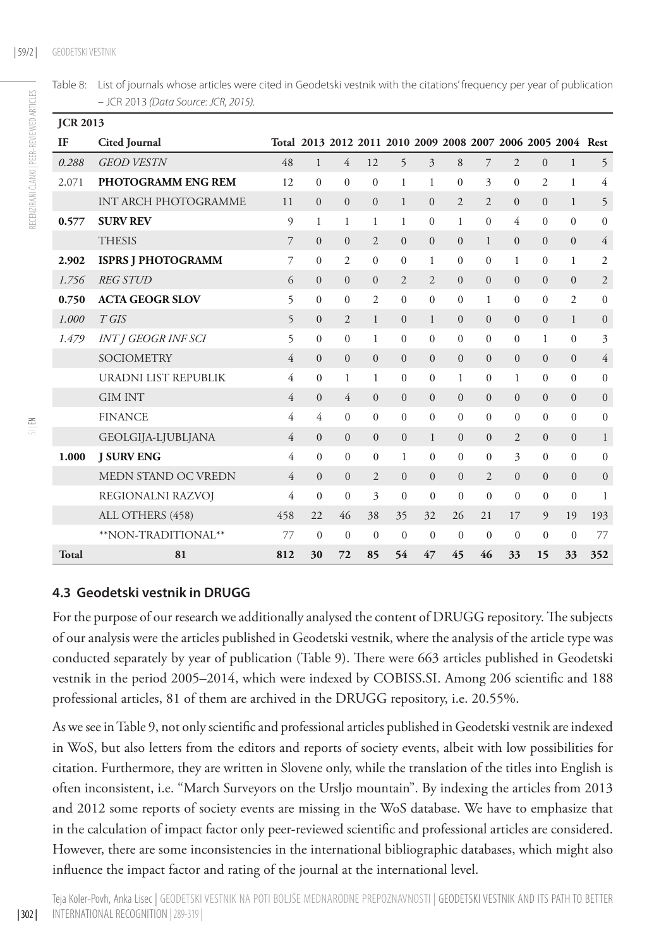| Table 8: List of journals whose articles were cited in Geodetski vestnik with the citations' frequency per year of publication |
|--------------------------------------------------------------------------------------------------------------------------------|
| – JCR 2013 (Data Source: JCR, 2015).                                                                                           |

| <b>JCR 2013</b> |                             |                |                                                              |                |                |                |                |                |                |                |                |                |                |
|-----------------|-----------------------------|----------------|--------------------------------------------------------------|----------------|----------------|----------------|----------------|----------------|----------------|----------------|----------------|----------------|----------------|
| IF              | <b>Cited Journal</b>        |                | Total 2013 2012 2011 2010 2009 2008 2007 2006 2005 2004 Rest |                |                |                |                |                |                |                |                |                |                |
| 0.288           | <b>GEOD VESTN</b>           | 48             | $\mathbf{1}$                                                 | $\overline{4}$ | 12             | 5              | 3              | 8              | $\overline{7}$ | $\overline{2}$ | $\Omega$       | $\mathbf{1}$   | 5              |
| 2.071           | <b>PHOTOGRAMM ENG REM</b>   | 12             | $\Omega$                                                     | $\Omega$       | $\Omega$       | 1              | $\mathbf{1}$   | $\theta$       | 3              | $\Omega$       | $\overline{c}$ | 1              | 4              |
|                 | <b>INT ARCH PHOTOGRAMME</b> | 11             | $\Omega$                                                     | $\Omega$       | $\overline{0}$ | 1              | $\mathbf{0}$   | $\overline{2}$ | $\overline{2}$ | $\mathbf{0}$   | $\Omega$       | $\mathbf{1}$   | 5              |
| 0.577           | <b>SURV REV</b>             | 9              | 1                                                            | 1              | 1              | 1              | $\Omega$       | 1              | $\Omega$       | 4              | $\Omega$       | $\Omega$       | $\mathbf{0}$   |
|                 | <b>THESIS</b>               | $\overline{7}$ | $\mathbf{0}$                                                 | $\mathbf{0}$   | $\overline{2}$ | $\mathbf{0}$   | $\mathbf{0}$   | $\overline{0}$ | 1              | $\overline{0}$ | $\mathbf{0}$   | $\mathbf{0}$   | $\overline{4}$ |
| 2.902           | <b>ISPRS J PHOTOGRAMM</b>   | $\overline{7}$ | $\Omega$                                                     | $\overline{2}$ | $\theta$       | $\Omega$       | 1              | $\mathbf{0}$   | $\mathbf{0}$   | 1              | $\Omega$       | 1              | 2              |
| 1.756           | <b>REG STUD</b>             | 6              | $\Omega$                                                     | $\Omega$       | $\Omega$       | $\overline{2}$ | $\overline{2}$ | $\overline{0}$ | $\overline{0}$ | $\overline{0}$ | $\Omega$       | $\Omega$       | $\mathfrak{2}$ |
| 0.750           | <b>ACTA GEOGR SLOV</b>      | 5              | $\mathbf{0}$                                                 | $\mathbf{0}$   | 2              | $\mathbf{0}$   | $\mathbf{0}$   | $\mathbf{0}$   | 1              | $\mathbf{0}$   | $\mathbf{0}$   | $\overline{c}$ | $\mathbf{0}$   |
| 1.000           | $T$ GIS                     | 5              | $\overline{0}$                                               | $\overline{2}$ | $\mathbf{1}$   | $\Omega$       | 1              | $\overline{0}$ | $\overline{0}$ | $\mathbf{0}$   | $\overline{0}$ | $\mathbf{1}$   | $\overline{0}$ |
| 1.479           | <b>INT J GEOGR INF SCI</b>  | 5              | $\Omega$                                                     | $\Omega$       | 1              | $\Omega$       | $\overline{0}$ | $\mathbf{0}$   | $\mathbf{0}$   | $\mathbf{0}$   | 1              | $\mathbf{0}$   | 3              |
|                 | <b>SOCIOMETRY</b>           | 4              | $\Omega$                                                     | $\mathbf{0}$   | $\mathbf{0}$   | $\mathbf{0}$   | $\mathbf{0}$   | $\overline{0}$ | $\mathbf{0}$   | $\mathbf{0}$   | $\Omega$       | $\Omega$       | $\overline{4}$ |
|                 | URADNI LIST REPUBLIK        | 4              | $\Omega$                                                     | $\mathbf{1}$   | 1              | $\mathbf{0}$   | $\mathbf{0}$   | $\mathbf{1}$   | $\mathbf{0}$   | $\mathbf{1}$   | $\theta$       | $\Omega$       | $\mathbf{0}$   |
|                 | <b>GIM INT</b>              | 4              | $\overline{0}$                                               | 4              | $\overline{0}$ | $\overline{0}$ | $\mathbf{0}$   | $\mathbf{0}$   | $\overline{0}$ | $\mathbf{0}$   | $\mathbf{0}$   | $\mathbf{0}$   | $\mathbf{0}$   |
|                 | <b>FINANCE</b>              | 4              | 4                                                            | $\Omega$       | $\theta$       | $\Omega$       | $\mathbf{0}$   | $\mathbf{0}$   | $\mathbf{0}$   | $\mathbf{0}$   | $\Omega$       | $\Omega$       | $\mathbf{0}$   |
|                 | GEOLGIJA-LJUBLJANA          | $\overline{4}$ | $\mathbf{0}$                                                 | $\mathbf{0}$   | $\mathbf{0}$   | $\mathbf{0}$   | 1              | $\mathbf{0}$   | $\mathbf{0}$   | $\overline{2}$ | $\overline{0}$ | $\mathbf{0}$   | $\mathbf{1}$   |
| 1.000           | <b>J SURV ENG</b>           | 4              | $\Omega$                                                     | $\Omega$       | $\theta$       | 1              | $\mathbf{0}$   | $\mathbf{0}$   | $\mathbf{0}$   | 3              | $\mathbf{0}$   | $\Omega$       | $\Omega$       |
|                 | MEDN STAND OC VREDN         | $\overline{4}$ | $\overline{0}$                                               | $\Omega$       | $\overline{2}$ | $\overline{0}$ | $\mathbf{0}$   | $\overline{0}$ | $\overline{2}$ | $\overline{0}$ | $\overline{0}$ | $\Omega$       | $\mathbf{0}$   |
|                 | REGIONALNI RAZVOJ           | 4              | $\mathbf{0}$                                                 | $\Omega$       | 3              | $\mathbf{0}$   | $\mathbf{0}$   | $\mathbf{0}$   | $\mathbf{0}$   | $\mathbf{0}$   | $\mathbf{0}$   | $\mathbf{0}$   | 1              |
|                 | ALL OTHERS (458)            | 458            | 22                                                           | 46             | 38             | 35             | 32             | 26             | 21             | 17             | 9              | 19             | 193            |
|                 | **NON-TRADITIONAL**         | 77             | $\mathbf{0}$                                                 | $\mathbf{0}$   | $\mathbf{0}$   | $\mathbf{0}$   | $\mathbf{0}$   | $\overline{0}$ | $\mathbf{0}$   | $\mathbf{0}$   | $\mathbf{0}$   | $\mathbf{0}$   | 77             |
| <b>Total</b>    | 81                          | 812            | 30                                                           | 72             | 85             | 54             | 47             | 45             | 46             | 33             | 15             | 33             | 352            |

#### **4.3 Geodetski vestnik in DRUGG**

For the purpose of our research we additionally analysed the content of DRUGG repository. The subjects of our analysis were the articles published in Geodetski vestnik, where the analysis of the article type was conducted separately by year of publication (Table 9). There were 663 articles published in Geodetski vestnik in the period 2005–2014, which were indexed by COBISS.SI. Among 206 scientific and 188 professional articles, 81 of them are archived in the DRUGG repository, i.e. 20.55%.

As we see in Table 9, not only scientific and professional articles published in Geodetski vestnik are indexed in WoS, but also letters from the editors and reports of society events, albeit with low possibilities for citation. Furthermore, they are written in Slovene only, while the translation of the titles into English is often inconsistent, i.e. "March Surveyors on the Ursljo mountain". By indexing the articles from 2013 and 2012 some reports of society events are missing in the WoS database. We have to emphasize that in the calculation of impact factor only peer-reviewed scientific and professional articles are considered. However, there are some inconsistencies in the international bibliographic databases, which might also influence the impact factor and rating of the journal at the international level.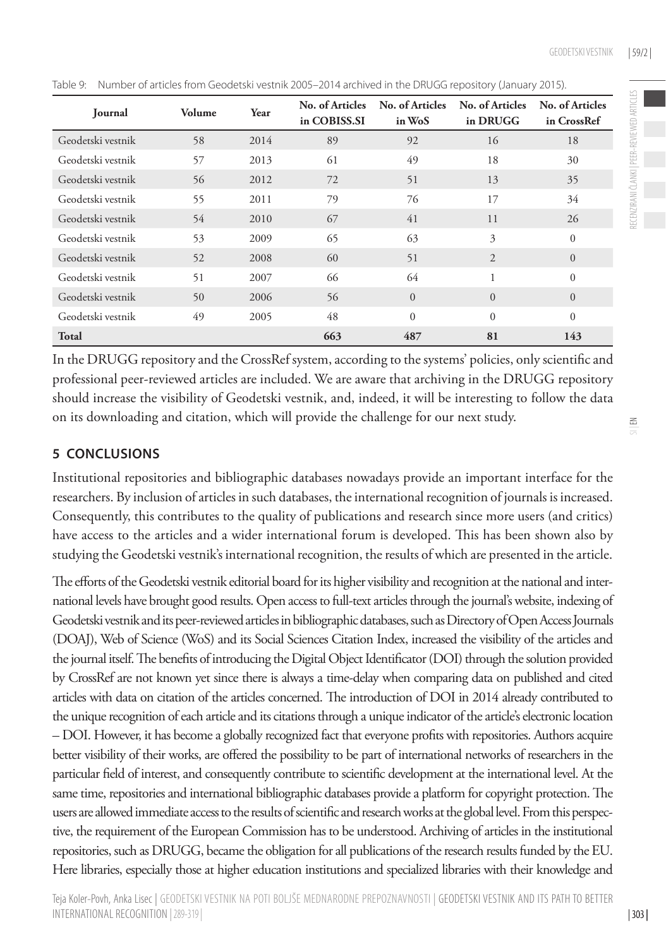| <b>Journal</b>    | Volume | Year | No. of Articles<br>in COBISS.SI | No. of Articles<br>in WoS | No. of Articles<br>in DRUGG | No. of Articles<br>in CrossRef |
|-------------------|--------|------|---------------------------------|---------------------------|-----------------------------|--------------------------------|
| Geodetski vestnik | 58     | 2014 | 89                              | 92                        | 16                          | 18                             |
| Geodetski vestnik | 57     | 2013 | 61                              | 49                        | 18                          | 30                             |
| Geodetski vestnik | 56     | 2012 | 72                              | 51                        | 13                          | 35                             |
| Geodetski vestnik | 55     | 2011 | 79                              | 76                        | 17                          | 34                             |
| Geodetski vestnik | 54     | 2010 | 67                              | 41                        | 11                          | 26                             |
| Geodetski vestnik | 53     | 2009 | 65                              | 63                        | 3                           | $\Omega$                       |
| Geodetski vestnik | 52     | 2008 | 60                              | 51                        | $\overline{2}$              | $\Omega$                       |
| Geodetski vestnik | 51     | 2007 | 66                              | 64                        | 1                           | $\Omega$                       |
| Geodetski vestnik | 50     | 2006 | 56                              | $\Omega$                  | $\mathbf{0}$                | $\Omega$                       |
| Geodetski vestnik | 49     | 2005 | 48                              | $\Omega$                  | $\Omega$                    | $\Omega$                       |
| Total             |        |      | 663                             | 487                       | 81                          | 143                            |

Table 9: Number of articles from Geodetski vestnik 2005–2014 archived in the DRUGG repository (January 2015).

In the DRUGG repository and the CrossRef system, according to the systems' policies, only scientific and professional peer-reviewed articles are included. We are aware that archiving in the DRUGG repository should increase the visibility of Geodetski vestnik, and, indeed, it will be interesting to follow the data on its downloading and citation, which will provide the challenge for our next study.

#### **5 CONCLUSIONS**

Institutional repositories and bibliographic databases nowadays provide an important interface for the researchers. By inclusion of articles in such databases, the international recognition of journals is increased. Consequently, this contributes to the quality of publications and research since more users (and critics) have access to the articles and a wider international forum is developed. This has been shown also by studying the Geodetski vestnik's international recognition, the results of which are presented in the article.

The efforts of the Geodetski vestnik editorial board for its higher visibility and recognition at the national and international levels have brought good results. Open access to full-text articles through the journal's website, indexing of Geodetski vestnik and its peer-reviewed articles in bibliographic databases, such as Directory of Open Access Journals (DOAJ), Web of Science (WoS) and its Social Sciences Citation Index, increased the visibility of the articles and the journal itself. The benefits of introducing the Digital Object Identificator (DOI) through the solution provided by CrossRef are not known yet since there is always a time-delay when comparing data on published and cited articles with data on citation of the articles concerned. The introduction of DOI in 2014 already contributed to the unique recognition of each article and its citations through a unique indicator of the article's electronic location – DOI. However, it has become a globally recognized fact that everyone profits with repositories. Authors acquire better visibility of their works, are offered the possibility to be part of international networks of researchers in the particular field of interest, and consequently contribute to scientific development at the international level. At the same time, repositories and international bibliographic databases provide a platform for copyright protection. The users are allowed immediate access to the results of scientific and research works at the global level. From this perspective, the requirement of the European Commission has to be understood. Archiving of articles in the institutional repositories, such as DRUGG, became the obligation for all publications of the research results funded by the EU. Here libraries, especially those at higher education institutions and specialized libraries with their knowledge and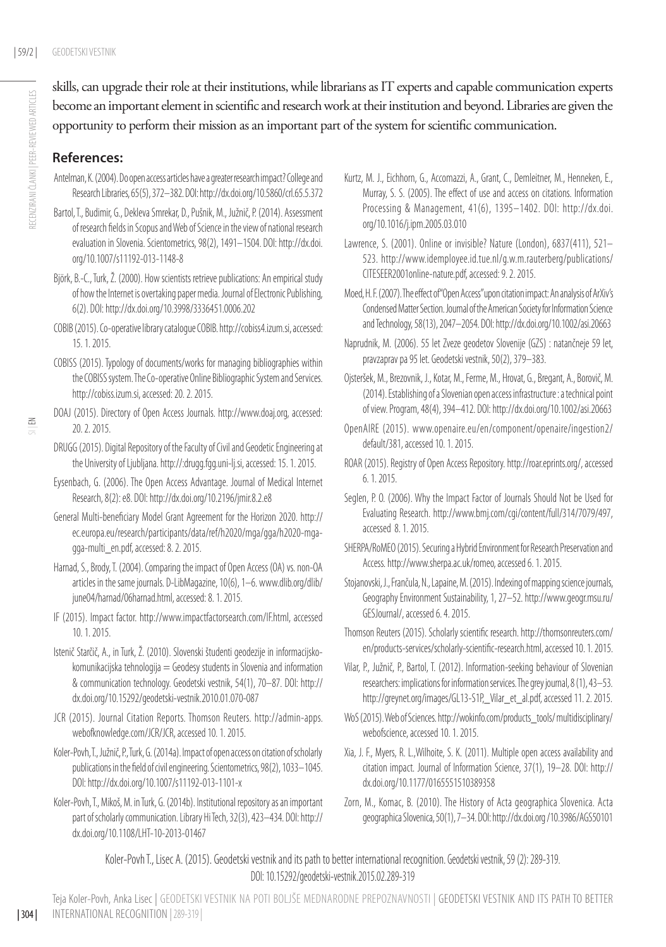skills, can upgrade their role at their institutions, while librarians as IT experts and capable communication experts become an important element in scientific and research work at their institution and beyond. Libraries are given the opportunity to perform their mission as an important part of the system for scientific communication.

#### **References:**

- Antelman, K. (2004). Do open access articles have a greater research impact? College and Research Libraries, 65(5), 372–382. DOI:<http://dx.doi.org/10.5860/crl.65.5.372>
- Bartol, T., Budimir, G., Dekleva Smrekar, D., Pušnik, M., Južnič, P. (2014). Assessment of research fields in Scopus and Web of Science in the view of national research evaluation in Slovenia. Scientometrics, 98(2), 1491–1504. DOI: [http://dx.doi.](http://dx.doi.org/10.1007/s11192-013-1148-8) [org/10.1007/s11192-013-1148-8](http://dx.doi.org/10.1007/s11192-013-1148-8)
- Björk, B.-C., Turk, Ž. (2000). How scientists retrieve publications: An empirical study of how the Internet is overtaking paper media. Journal of Electronic Publishing, 6(2). DOI:<http://dx.doi.org/10.3998/3336451.0006.202>
- COBIB (2015). Co-operative library catalogue COBIB.<http://cobiss4.izum.si>, accessed: 15. 1. 2015.
- COBISS (2015). Typology of documents/works for managing bibliographies within the COBISS system. The Co-operative Online Bibliographic System and Services. <http://cobiss.izum.si>, accessed: 20. 2. 2015.
- DOAJ (2015). Directory of Open Access Journals. [http://www.doaj.org,](http://www.doaj.org) accessed: 20. 2. 2015.
- DRUGG (2015). Digital Repository of the Faculty of Civil and Geodetic Engineering at the University of Ljubljana. http://:drugg.fgg.uni-lj.si, accessed: 15. 1. 2015.
- Eysenbach, G. (2006). The Open Access Advantage. Journal of Medical Internet Research, 8(2): e8. DOI: http://dx.doi.org/10.2196/jmir.8.2.e8
- General Multi-beneficiary Model Grant Agreement for the Horizon 2020. [http://](http://ec.europa.eu/research/participants/data/ref/h2020/mga/gga/h2020-mga-gga-multi_en.pdf) [ec.europa.eu/research/participants/data/ref/h2020/mga/gga/h2020-mga](http://ec.europa.eu/research/participants/data/ref/h2020/mga/gga/h2020-mga-gga-multi_en.pdf)[gga-multi\\_en.pdf](http://ec.europa.eu/research/participants/data/ref/h2020/mga/gga/h2020-mga-gga-multi_en.pdf), accessed: 8. 2. 2015.
- Harnad, S., Brody, T. (2004). Comparing the impact of Open Access (OA) vs. non-OA articles in the same journals. D-LibMagazine, 10(6), 1–6. [www.dlib.org/dlib/](http://www.dlib.org/dlib/june04/harnad/06harnad.html) [june04/harnad/06harnad.html](http://www.dlib.org/dlib/june04/harnad/06harnad.html), accessed: 8. 1. 2015.
- IF (2015). Impact factor. [http://www.impactfactorsearch.com/IF.html,](http://www.impactfactorsearch.com/IF.html) accessed 10. 1. 2015.
- Istenič Starčič, A., in Turk, Ž. (2010). Slovenski študenti geodezije in informacijskokomunikacijska tehnologija = Geodesy students in Slovenia and information & communication technology. Geodetski vestnik, 54(1), 70–87. DOI: [http://](http://dx.doi.org/10.15292/geodetski-vestnik.2010.01.070-087) [dx.doi.org/10.15292/geodetski-vestnik.2010.01.070-087](http://dx.doi.org/10.15292/geodetski-vestnik.2010.01.070-087)
- JCR (2015). Journal Citation Reports. Thomson Reuters. [http://admin-apps.](http://admin-apps.webofknowledge.com/JCR/JCR) [webofknowledge.com/JCR/JCR](http://admin-apps.webofknowledge.com/JCR/JCR), accessed 10. 1. 2015.
- Koler-Povh, T., Južnič, P., Turk, G. (2014a). Impact of open access on citation of scholarly publications in the field of civil engineering. Scientometrics, 98(2), 1033–1045. DOI: http://dx.doi.org[/10.1007/s11192-013-1101-x](http://dx.doi.org/10.1007/s11192-013-1101-x)
- Koler-Povh, T., Mikoš, M. in Turk, G. (2014b). Institutional repository as an important part of scholarly communication. Library Hi Tech, 32(3), 423–434. DOI: [http://](http://dx.doi.org/10.1108/LHT-10-2013-01467) [dx.doi.org/10.1108/LHT-10-2013-01467](http://dx.doi.org/10.1108/LHT-10-2013-01467)
- Kurtz, M. J., Eichhorn, G., Accomazzi, A., Grant, C., Demleitner, M., Henneken, E., Murray, S. S. (2005). The effect of use and access on citations. Information Processing & Management, 41(6), 1395–1402. DOI: [http://dx.doi.](http://dx.doi.org/10.1016/j.ipm.2005.03.010) [org/10.1016/j.ipm.2005.03.010](http://dx.doi.org/10.1016/j.ipm.2005.03.010)
- Lawrence, S. (2001). Online or invisible? Nature (London), 6837(411), 521– 523. [http://www.idemployee.id.tue.nl/g.w.m.rauterberg/publications/](http://www.idemployee.id.tue.nl/g.w.m.rauterberg/publications/CITESEER2001online-nature.pdf) [CITESEER2001online-nature.pdf](http://www.idemployee.id.tue.nl/g.w.m.rauterberg/publications/CITESEER2001online-nature.pdf), accessed: 9. 2. 2015.
- Moed, H. F. (2007). The effect of "Open Access" upon citation impact: An analysis of ArXiv's Condensed Matter Section. Journal of the American Society for Information Science and Technology, 58(13), 2047–2054. DOI:<http://dx.doi.org/10.1002/asi.20663>
- Naprudnik, M. (2006). 55 let Zveze geodetov Slovenije (GZS) : natančneje 59 let, pravzaprav pa 95 let. Geodetski vestnik, 50(2), 379–383.
- Ojsteršek, M., Brezovnik, J., Kotar, M., Ferme, M., Hrovat, G., Bregant, A., Borovič, M. (2014). Establishing of a Slovenian open access infrastructure : a technical point of view. Program, 48(4), 394–412. DOI:<http://dx.doi.org/10.1002/asi.20663>
- OpenAIRE (2015). [www.openaire.eu/en/component/openaire/ingestion2/](http://www.openaire.eu/en/component/openaire/ingestion2/default/381) [default/381,](http://www.openaire.eu/en/component/openaire/ingestion2/default/381) accessed 10. 1. 2015.
- ROAR (2015). Registry of Open Access Repository.<http://roar.eprints.org/>, accessed 6. 1. 2015.
- Seglen, P. O. (2006). Why the Impact Factor of Journals Should Not be Used for Evaluating Research. <http://www.bmj.com/cgi/content/full/314/7079/497>, accessed 8. 1. 2015.
- SHERPA/RoMEO (2015). Securing a Hybrid Environment for Research Preservation and Access.<http://www.sherpa.ac.uk/romeo>, accessed 6. 1. 2015.
- Stojanovski, J., Frančula, N., Lapaine, M. (2015). Indexing of mapping science journals, Geography Environment Sustainability, 1, 27–52. http://www.geogr.msu.ru/ GESJournal/, accessed 6. 4. 2015.
- Thomson Reuters (2015). Scholarly scientific research. [http://thomsonreuters.com/](http://thomsonreuters.com/en/products-services/scholarly-scientific-research.html) [en/products-services/scholarly-scientific-research.html,](http://thomsonreuters.com/en/products-services/scholarly-scientific-research.html) accessed 10. 1. 2015.
- Vilar, P., Južnič, P., Bartol, T. (2012). Information-seeking behaviour of Slovenian researchers: implications for information services. The grey journal, 8 (1), 43–53. [http://greynet.org/images/GL13-S1P,\\_Vilar\\_et\\_al.pdf,](http://greynet.org/images/GL13-S1P,_Vilar_et_al.pdf) accessed 11. 2. 2015.
- WoS (2015). Web of Sciences. [http://wokinfo.com/products\\_tools/ multidisciplinary/](http://wokinfo.com/products_tools/%20multidisciplinary/webofscience) [webofscience,](http://wokinfo.com/products_tools/%20multidisciplinary/webofscience) accessed 10. 1. 2015.
- Xia, J. F., Myers, R. L.,Wilhoite, S. K. (2011). Multiple open access availability and citation impact. Journal of Information Science, 37(1), 19–28. DOI: [http://](http://dx.doi.org/) [dx.doi.org/](http://dx.doi.org/)[10.1177/0165551510389358](http://jis.sagepub.com/content/early/2010/12/09/0165551510389358)
- Zorn, M., Komac, B. (2010). The History of Acta geographica Slovenica. Acta geographica Slovenica, 50(1), 7–34. DOI: http://dx.doi.org /10.3986/AGS50101

Koler-Povh T., Lisec A. (2015). Geodetski vestnik and its path to better international recognition. Geodetski vestnik, 59 (2): 289-319. DOI: 10.15292/geodetski-vestnik.2015.02.289-319

Teja Koler-Povh, Anka Lisec | Geodetski vestnik na poti boljše mednarodne prepoznavnosti | Geodetski vestnik and its path to better international recognition |289-319 |

| 304 |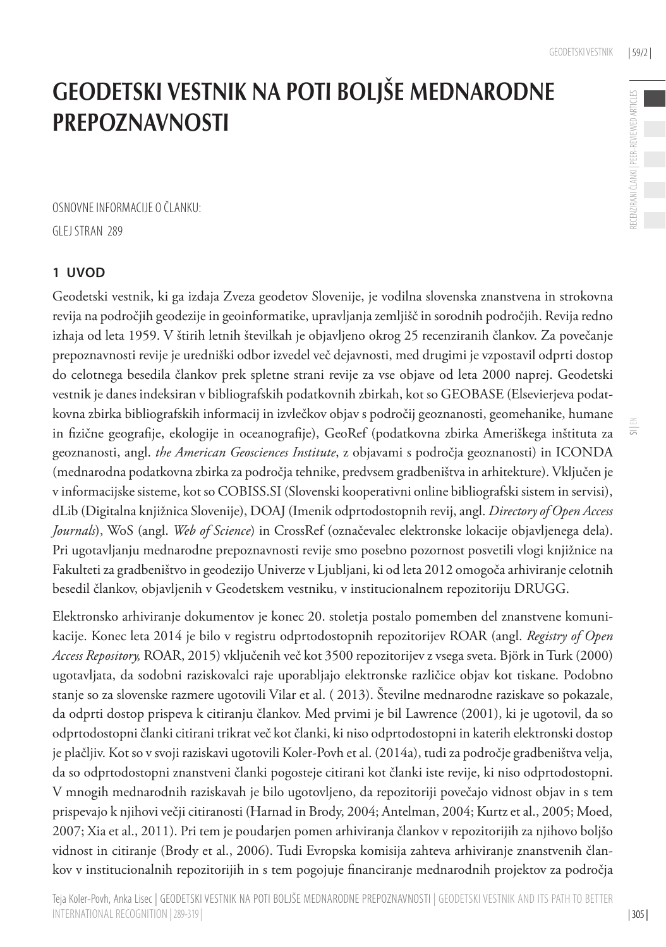$\equiv$ 

# Geodetski vestnik na poti boljše mednarodne **PREPOZNAVNOSTI**

Osnovne informacije o članku:

Glej stran 289

#### **1 Uvod**

Geodetski vestnik, ki ga izdaja Zveza geodetov Slovenije, je vodilna slovenska znanstvena in strokovna revija na področjih geodezije in geoinformatike, upravljanja zemljišč in sorodnih področjih. Revija redno izhaja od leta 1959. V štirih letnih številkah je objavljeno okrog 25 recenziranih člankov. Za povečanje prepoznavnosti revije je uredniški odbor izvedel več dejavnosti, med drugimi je vzpostavil odprti dostop do celotnega besedila člankov prek spletne strani revije za vse objave od leta 2000 naprej. Geodetski vestnik je danes indeksiran v bibliografskih podatkovnih zbirkah, kot so GEOBASE (Elsevierjeva podatkovna zbirka bibliografskih informacij in izvlečkov objav s področij geoznanosti, geomehanike, humane in fizične geografije, ekologije in oceanografije), GeoRef (podatkovna zbirka Ameriškega inštituta za geoznanosti, angl. *the American Geosciences Institute*, z objavami s področja geoznanosti) in ICONDA (mednarodna podatkovna zbirka za področja tehnike, predvsem gradbeništva in arhitekture). Vključen je v informacijske sisteme, kot so COBISS.SI (Slovenski kooperativni online bibliografski sistem in servisi), dLib (Digitalna knjižnica Slovenije), DOAJ (Imenik odprtodostopnih revij, angl. *Directory of Open Access Journals*), WoS (angl. *Web of Science*) in CrossRef (označevalec elektronske lokacije objavljenega dela). Pri ugotavljanju mednarodne prepoznavnosti revije smo posebno pozornost posvetili vlogi knjižnice na Fakulteti za gradbeništvo in geodezijo Univerze v Ljubljani, ki od leta 2012 omogoča arhiviranje celotnih besedil člankov, objavljenih v Geodetskem vestniku, v institucionalnem repozitoriju DRUGG.

Elektronsko arhiviranje dokumentov je konec 20. stoletja postalo pomemben del znanstvene komunikacije. Konec leta 2014 je bilo v registru odprtodostopnih repozitorijev ROAR (angl. *Registry of Open Access Repository,* ROAR, 2015) vključenih več kot 3500 repozitorijev z vsega sveta. Björk in Turk (2000) ugotavljata, da sodobni raziskovalci raje uporabljajo elektronske različice objav kot tiskane. Podobno stanje so za slovenske razmere ugotovili Vilar et al. ( 2013). Številne mednarodne raziskave so pokazale, da odprti dostop prispeva k citiranju člankov. Med prvimi je bil Lawrence (2001), ki je ugotovil, da so odprtodostopni članki citirani trikrat več kot članki, ki niso odprtodostopni in katerih elektronski dostop je plačljiv. Kot so v svoji raziskavi ugotovili Koler-Povh et al. (2014a), tudi za področje gradbeništva velja, da so odprtodostopni znanstveni članki pogosteje citirani kot članki iste revije, ki niso odprtodostopni. V mnogih mednarodnih raziskavah je bilo ugotovljeno, da repozitoriji povečajo vidnost objav in s tem prispevajo k njihovi večji citiranosti (Harnad in Brody, 2004; Antelman, 2004; Kurtz et al., 2005; Moed, 2007; Xia et al., 2011). Pri tem je poudarjen pomen arhiviranja člankov v repozitorijih za njihovo boljšo vidnost in citiranje (Brody et al., 2006). Tudi Evropska komisija zahteva arhiviranje znanstvenih člankov v institucionalnih repozitorijih in s tem pogojuje financiranje mednarodnih projektov za področja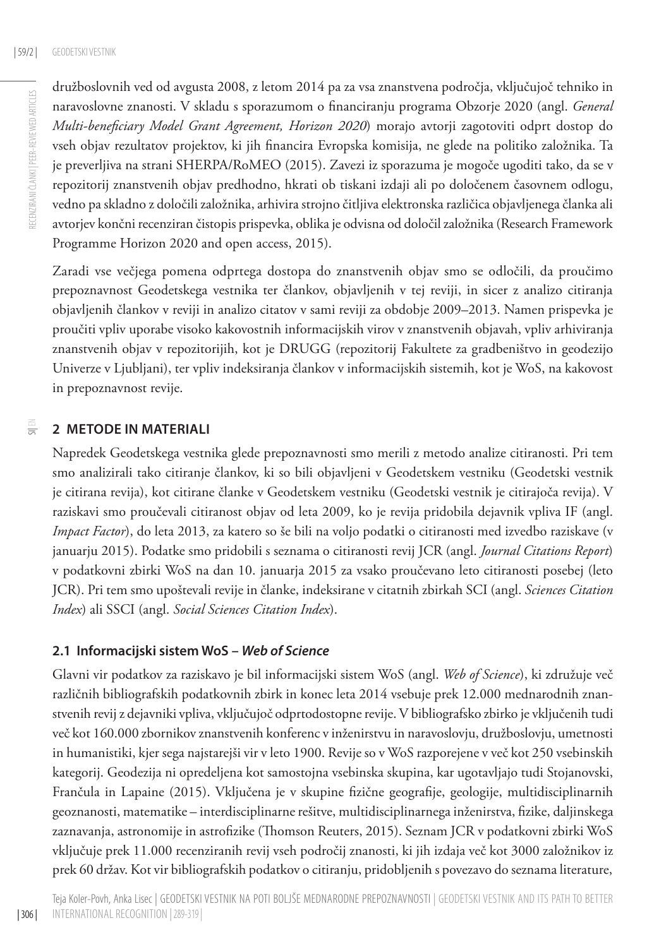RECENZIRANI ČLANKI | PEER-REVIEWED ARTICLES RECENZIRANI ČLANKI | PEER-REVIEWED ARTICLES družboslovnih ved od avgusta 2008, z letom 2014 pa za vsa znanstvena področja, vključujoč tehniko in naravoslovne znanosti. V skladu s sporazumom o financiranju programa Obzorje 2020 (angl. *General Multi-beneficiary Model Grant Agreement, Horizon 2020*) morajo avtorji zagotoviti odprt dostop do vseh objav rezultatov projektov, ki jih financira Evropska komisija, ne glede na politiko založnika. Ta je preverljiva na strani SHERPA/RoMEO (2015). Zavezi iz sporazuma je mogoče ugoditi tako, da se v repozitorij znanstvenih objav predhodno, hkrati ob tiskani izdaji ali po določenem časovnem odlogu, vedno pa skladno z določili založnika, arhivira strojno čitljiva elektronska različica objavljenega članka ali avtorjev končni recenziran čistopis prispevka, oblika je odvisna od določil založnika (Research Framework Programme Horizon 2020 and open access, 2015).

Zaradi vse večjega pomena odprtega dostopa do znanstvenih objav smo se odločili, da proučimo prepoznavnost Geodetskega vestnika ter člankov, objavljenih v tej reviji, in sicer z analizo citiranja objavljenih člankov v reviji in analizo citatov v sami reviji za obdobje 2009–2013. Namen prispevka je proučiti vpliv uporabe visoko kakovostnih informacijskih virov v znanstvenih objavah, vpliv arhiviranja znanstvenih objav v repozitorijih, kot je DRUGG (repozitorij Fakultete za gradbeništvo in geodezijo Univerze v Ljubljani), ter vpliv indeksiranja člankov v informacijskih sistemih, kot je WoS, na kakovost in prepoznavnost revije.

#### $\equiv$ **2 Metode in materiali**

Napredek Geodetskega vestnika glede prepoznavnosti smo merili z metodo analize citiranosti. Pri tem smo analizirali tako citiranje člankov, ki so bili objavljeni v Geodetskem vestniku (Geodetski vestnik je citirana revija), kot citirane članke v Geodetskem vestniku (Geodetski vestnik je citirajoča revija). V raziskavi smo proučevali citiranost objav od leta 2009, ko je revija pridobila dejavnik vpliva IF (angl. *Impact Factor*), do leta 2013, za katero so še bili na voljo podatki o citiranosti med izvedbo raziskave (v januarju 2015). Podatke smo pridobili s seznama o citiranosti revij JCR (angl. *Journal Citations Report*) v podatkovni zbirki WoS na dan 10. januarja 2015 za vsako proučevano leto citiranosti posebej (leto JCR). Pri tem smo upoštevali revije in članke, indeksirane v citatnih zbirkah SCI (angl. *Sciences Citation Index*) ali SSCI (angl. *Social Sciences Citation Index*).

#### **2.1 Informacijski sistem WoS –** *Web of Science*

Glavni vir podatkov za raziskavo je bil informacijski sistem WoS (angl. *Web of Science*), ki združuje več različnih bibliografskih podatkovnih zbirk in konec leta 2014 vsebuje prek 12.000 mednarodnih znanstvenih revij z dejavniki vpliva, vključujoč odprtodostopne revije. V bibliografsko zbirko je vključenih tudi več kot 160.000 zbornikov znanstvenih konferenc v inženirstvu in naravoslovju, družboslovju, umetnosti in humanistiki, kjer sega najstarejši vir v leto 1900. Revije so v WoS razporejene v več kot 250 vsebinskih kategorij. Geodezija ni opredeljena kot samostojna vsebinska skupina, kar ugotavljajo tudi Stojanovski, Frančula in Lapaine (2015). Vključena je v skupine fizične geografije, geologije, multidisciplinarnih geoznanosti, matematike – interdisciplinarne rešitve, multidisciplinarnega inženirstva, fizike, daljinskega zaznavanja, astronomije in astrofizike (Thomson Reuters, 2015). Seznam JCR v podatkovni zbirki WoS vključuje prek 11.000 recenziranih revij vseh področij znanosti, ki jih izdaja več kot 3000 založnikov iz prek 60 držav. Kot vir bibliografskih podatkov o citiranju, pridobljenih s povezavo do seznama literature,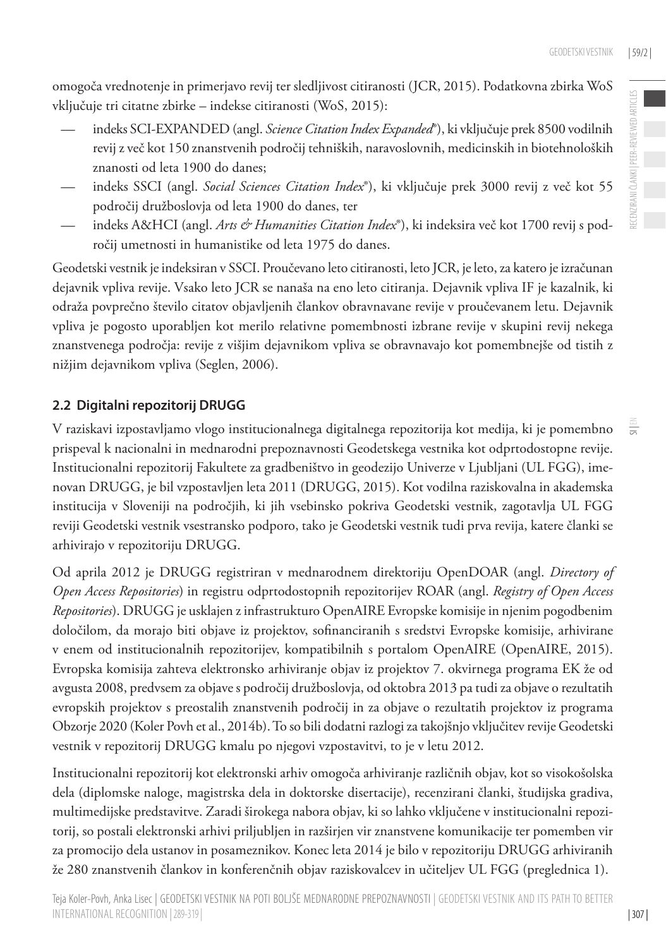omogoča vrednotenje in primerjavo revij ter sledljivost citiranosti (JCR, 2015). Podatkovna zbirka WoS vključuje tri citatne zbirke – indekse citiranosti (WoS, 2015):

- indeks SCI-EXPANDED (angl. *Science Citation Index Expanded*®), ki vključuje prek 8500 vodilnih revij z več kot 150 znanstvenih področij tehniških, naravoslovnih, medicinskih in biotehnoloških znanosti od leta 1900 do danes;
- indeks SSCI (angl. *Social Sciences Citation Index*®), ki vključuje prek 3000 revij z več kot 55 področij družboslovja od leta 1900 do danes, ter
- indeks A&HCI (angl. *Arts & Humanities Citation Index*®), ki indeksira več kot 1700 revij s področij umetnosti in humanistike od leta 1975 do danes.

Geodetski vestnik je indeksiran v SSCI. Proučevano leto citiranosti, leto JCR, je leto, za katero je izračunan dejavnik vpliva revije. Vsako leto JCR se nanaša na eno leto citiranja. Dejavnik vpliva IF je kazalnik, ki odraža povprečno število citatov objavljenih člankov obravnavane revije v proučevanem letu. Dejavnik vpliva je pogosto uporabljen kot merilo relativne pomembnosti izbrane revije v skupini revij nekega znanstvenega področja: revije z višjim dejavnikom vpliva se obravnavajo kot pomembnejše od tistih z nižjim dejavnikom vpliva (Seglen, 2006).

#### **2.2 Digitalni repozitorij DRUGG**

V raziskavi izpostavljamo vlogo institucionalnega digitalnega repozitorija kot medija, ki je pomembno prispeval k nacionalni in mednarodni prepoznavnosti Geodetskega vestnika kot odprtodostopne revije. Institucionalni repozitorij Fakultete za gradbeništvo in geodezijo Univerze v Ljubljani (UL FGG), imenovan DRUGG, je bil vzpostavljen leta 2011 (DRUGG, 2015). Kot vodilna raziskovalna in akademska institucija v Sloveniji na področjih, ki jih vsebinsko pokriva Geodetski vestnik, zagotavlja UL FGG reviji Geodetski vestnik vsestransko podporo, tako je Geodetski vestnik tudi prva revija, katere članki se arhivirajo v repozitoriju DRUGG.

Od aprila 2012 je DRUGG registriran v mednarodnem direktoriju OpenDOAR (angl. *Directory of Open Access Repositories*) in registru odprtodostopnih repozitorijev ROAR (angl. *Registry of Open Access Repositories*). DRUGG je usklajen z infrastrukturo OpenAIRE Evropske komisije in njenim pogodbenim določilom, da morajo biti objave iz projektov, sofinanciranih s sredstvi Evropske komisije, arhivirane v enem od institucionalnih repozitorijev, kompatibilnih s portalom OpenAIRE (OpenAIRE, 2015). Evropska komisija zahteva elektronsko arhiviranje objav iz projektov 7. okvirnega programa EK že od avgusta 2008, predvsem za objave s področij družboslovja, od oktobra 2013 pa tudi za objave o rezultatih evropskih projektov s preostalih znanstvenih področij in za objave o rezultatih projektov iz programa Obzorje 2020 (Koler Povh et al., 2014b). To so bili dodatni razlogi za takojšnjo vključitev revije Geodetski vestnik v repozitorij DRUGG kmalu po njegovi vzpostavitvi, to je v letu 2012.

Institucionalni repozitorij kot elektronski arhiv omogoča arhiviranje različnih objav, kot so visokošolska dela (diplomske naloge, magistrska dela in doktorske disertacije), recenzirani članki, študijska gradiva, multimedijske predstavitve. Zaradi širokega nabora objav, ki so lahko vključene v institucionalni repozitorij, so postali elektronski arhivi priljubljen in razširjen vir znanstvene komunikacije ter pomemben vir za promocijo dela ustanov in posameznikov. Konec leta 2014 je bilo v repozitoriju DRUGG arhiviranih že 280 znanstvenih člankov in konferenčnih objav raziskovalcev in učiteljev UL FGG (preglednica 1).

 $\equiv$ 

| 307 |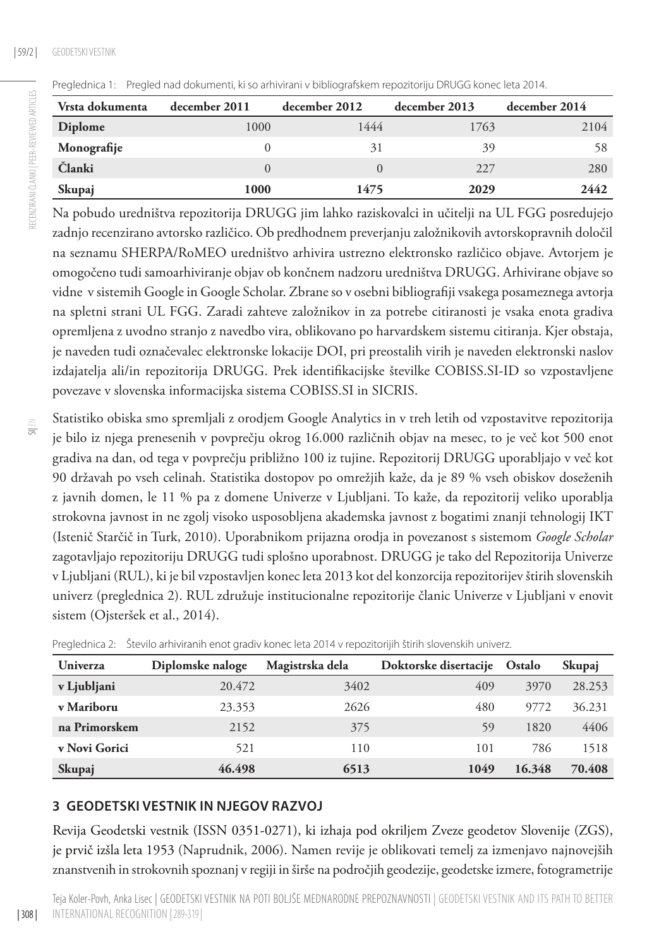| Vrsta dokumenta | december 2011 | december 2012 | december 2013 | december 2014 |
|-----------------|---------------|---------------|---------------|---------------|
| Diplome         | 1000          | 1444          | 1763          | 2104          |
| Monografije     |               | 31            | 39            | 58            |
| Članki          |               |               | 227           | 280           |
| Skupaj          | 1000          | 1475          | 2029          | 2442          |

Preglednica 1: Pregled nad dokumenti, ki so arhivirani v bibliografskem repozitoriju DRUGG konec leta 2014.

Na pobudo uredništva repozitorija DRUGG jim lahko raziskovalci in učitelji na UL FGG posredujejo zadnjo recenzirano avtorsko različico. Ob predhodnem preverjanju založnikovih avtorskopravnih določil na seznamu SHERPA/RoMEO uredništvo arhivira ustrezno elektronsko različico objave. Avtorjem je omogočeno tudi samoarhiviranje objav ob končnem nadzoru uredništva DRUGG. Arhivirane objave so vidne v sistemih Google in Google Scholar. Zbrane so v osebni bibliografiji vsakega posameznega avtorja na spletni strani UL FGG. Zaradi zahteve založnikov in za potrebe citiranosti je vsaka enota gradiva opremljena z uvodno stranjo z navedbo vira, oblikovano po harvardskem sistemu citiranja. Kjer obstaja, je naveden tudi označevalec elektronske lokacije DOI, pri preostalih virih je naveden elektronski naslov izdajatelja ali/in repozitorija DRUGG. Prek identifikacijske številke COBISS.SI-ID so vzpostavljene povezave v slovenska informacijska sistema COBISS.SI in SICRIS.

Statistiko obiska smo spremljali z orodjem Google Analytics in v treh letih od vzpostavitve repozitorija je bilo iz njega prenesenih v povprečju okrog 16.000 različnih objav na mesec, to je več kot 500 enot gradiva na dan, od tega v povprečju približno 100 iz tujine. Repozitorij DRUGG uporabljajo v več kot 90 državah po vseh celinah. Statistika dostopov po omrežjih kaže, da je 89 % vseh obiskov doseženih z javnih domen, le 11 % pa z domene Univerze v Ljubljani. To kaže, da repozitorij veliko uporablja strokovna javnost in ne zgolj visoko usposobljena akademska javnost z bogatimi znanji tehnologij IKT (Istenič Starčič in Turk, 2010). Uporabnikom prijazna orodja in povezanost s sistemom *Google Scholar* zagotavljajo repozitoriju DRUGG tudi splošno uporabnost. DRUGG je tako del Repozitorija Univerze v Ljubljani (RUL), ki je bil vzpostavljen konec leta 2013 kot del konzorcija repozitorijev štirih slovenskih univerz (preglednica 2). RUL združuje institucionalne repozitorije članic Univerze v Ljubljani v enovit sistem (Ojsteršek et al., 2014).

| <b>Univerza</b> | Diplomske naloge | Magistrska dela | Doktorske disertacije Ostalo |        | Skupaj |
|-----------------|------------------|-----------------|------------------------------|--------|--------|
| v Ljubljani     | 20.472           | 3402            | 409                          | 3970   | 28.253 |
| v Mariboru      | 23.353           | 2626            | 480                          | 9772   | 36.231 |
| na Primorskem   | 2152             | 375             | 59                           | 1820   | 4406   |
| v Novi Gorici   | 521              | 110             | 101                          | 786    | 1518   |
| Skupaj          | 46.498           | 6513            | 1049                         | 16.348 | 70.408 |

Preglednica 2: Število arhiviranih enot gradiv konec leta 2014 v repozitorijih štirih slovenskih univerz.

#### **3 Geodetsk i vestnik in njegov razvoj**

Revija Geodetski vestnik (ISSN 0351-0271), ki izhaja pod okriljem Zveze geodetov Slovenije (ZGS), je prvič izšla leta 1953 (Naprudnik, 2006). Namen revije je oblikovati temelj za izmenjavo najnovejših znanstvenih in strokovnih spoznanj v regiji in širše na področjih geodezije, geodetske izmere, fotogrametrije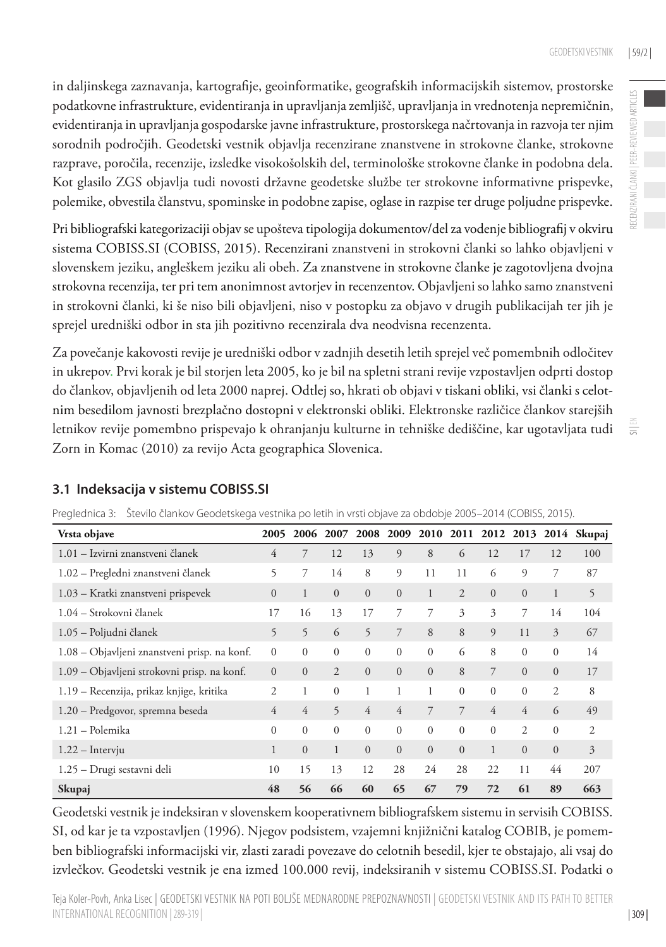RECENZIRANI ČLANKI | PEER-REVIEWED ARTICLES

RECENZIRANI ČLANKI | PEER-REVIEWED ARTICLES

 $\equiv$ 

in daljinskega zaznavanja, kartografije, geoinformatike, geografskih informacijskih sistemov, prostorske podatkovne infrastrukture, evidentiranja in upravljanja zemljišč, upravljanja in vrednotenja nepremičnin, evidentiranja in upravljanja gospodarske javne infrastrukture, prostorskega načrtovanja in razvoja ter njim sorodnih področjih. Geodetski vestnik objavlja recenzirane znanstvene in strokovne članke, strokovne razprave, poročila, recenzije, izsledke visokošolskih del, terminološke strokovne članke in podobna dela. Kot glasilo ZGS objavlja tudi novosti državne geodetske službe ter strokovne informativne prispevke, polemike, obvestila članstvu, spominske in podobne zapise, oglase in razpise ter druge poljudne prispevke.

Pri bibliografski kategorizaciji objav se upošteva tipologija dokumentov/del za vodenje bibliografij v okviru sistema COBISS.SI (COBISS, 2015). Recenzirani znanstveni in strokovni članki so lahko objavljeni v slovenskem jeziku, angleškem jeziku ali obeh. Za znanstvene in strokovne članke je zagotovljena dvojna strokovna recenzija, ter pri tem anonimnost avtorjev in recenzentov. Objavljeni so lahko samo znanstveni in strokovni članki, ki še niso bili objavljeni, niso v postopku za objavo v drugih publikacijah ter jih je sprejel uredniški odbor in sta jih pozitivno recenzirala dva neodvisna recenzenta.

Za povečanje kakovosti revije je uredniški odbor v zadnjih desetih letih sprejel več pomembnih odločitev in ukrepov. Prvi korak je bil storjen leta 2005, ko je bil na spletni strani revije vzpostavljen odprti dostop do člankov, objavljenih od leta 2000 naprej. Odtlej so, hkrati ob objavi v tiskani obliki, vsi članki s celotnim besedilom javnosti brezplačno dostopni v elektronski obliki. Elektronske različice člankov starejših letnikov revije pomembno prispevajo k ohranjanju kulturne in tehniške dediščine, kar ugotavljata tudi Zorn in Komac (2010) za revijo Acta geographica Slovenica.

| Vrsta objave                                 | 2005           | 2006           | 2007           | 2008           | 2009           |                |                |                |                |                | 2010 2011 2012 2013 2014 Skupaj |
|----------------------------------------------|----------------|----------------|----------------|----------------|----------------|----------------|----------------|----------------|----------------|----------------|---------------------------------|
| 1.01 - Izvirni znanstveni članek             | 4              | 7              | 12             | 13             | 9              | 8              | 6              | 12             | 17             | 12             | 100                             |
| 1.02 - Pregledni znanstveni članek           | 5              | 7              | 14             | 8              | 9              | 11             | 11             | 6              | 9              | 7              | 87                              |
| 1.03 – Kratki znanstveni prispevek           | $\overline{0}$ | $\mathbf{1}$   | $\overline{0}$ | $\overline{0}$ | $\overline{0}$ | $\mathbf{1}$   | 2              | $\overline{0}$ | $\overline{0}$ | 1              | 5                               |
| 1.04 - Strokovni članek                      | 17             | 16             | 13             | 17             | 7              | 7              | 3              | 3              | 7              | 14             | 104                             |
| 1.05 – Poljudni članek                       | 5              | 5              | 6              | 5              | 7              | 8              | 8              | $\Omega$       | 11             | 3              | 67                              |
| 1.08 - Objavljeni znanstveni prisp. na konf. | $\mathbf{0}$   | $\mathbf{0}$   | $\mathbf{0}$   | $\mathbf{0}$   | $\overline{0}$ | $\mathbf{0}$   | 6              | 8              | $\mathbf{0}$   | $\mathbf{0}$   | 14                              |
| 1.09 – Objavljeni strokovni prisp. na konf.  | $\Omega$       | $\Omega$       | 2              | $\overline{0}$ | $\mathbf{0}$   | $\overline{0}$ | 8              | $\overline{7}$ | $\Omega$       | $\Omega$       | 17                              |
| 1.19 – Recenzija, prikaz knjige, kritika     | $\mathfrak{2}$ | 1              | $\Omega$       | 1              | 1              | 1              | $\Omega$       | $\Omega$       | $\theta$       | $\overline{c}$ | 8                               |
| 1.20 - Predgovor, spremna beseda             | 4              | $\overline{4}$ | 5              | $\overline{4}$ | $\overline{4}$ | $\overline{7}$ | $\overline{7}$ | 4              | 4              | 6              | 49                              |
| 1.21 - Polemika                              | $\mathbf{0}$   | $\mathbf{0}$   | $\mathbf{0}$   | $\overline{0}$ | $\theta$       | $\mathbf{0}$   | $\mathbf{0}$   | $\mathbf{0}$   | 2              | $\mathbf{0}$   | 2                               |
| $1.22 -$ Intervju                            | $\mathbf{1}$   | $\Omega$       | 1              | $\overline{0}$ | $\overline{0}$ | $\overline{0}$ | $\Omega$       | $\mathbf{1}$   | $\Omega$       | $\Omega$       | 3                               |
| 1.25 - Drugi sestavni deli                   | 10             | 15             | 13             | 12             | 28             | 24             | 28             | 22             | 11             | 44             | 207                             |
| Skupaj                                       | 48             | 56             | 66             | 60             | 65             | 67             | 79             | 72             | 61             | 89             | 663                             |

#### **3.1 Indeksacija v sistemu COBISS.SI**

Preglednica 3: Število člankov Geodetskega vestnika po letih in vrsti objave za obdobje 2005–2014 (COBISS, 2015).

Geodetski vestnik je indeksiran v slovenskem kooperativnem bibliografskem sistemu in servisih COBISS. SI, od kar je ta vzpostavljen (1996). Njegov podsistem, vzajemni knjižnični katalog COBIB, je pomemben bibliografski informacijski vir, zlasti zaradi povezave do celotnih besedil, kjer te obstajajo, ali vsaj do izvlečkov. Geodetski vestnik je ena izmed 100.000 revij, indeksiranih v sistemu COBISS.SI. Podatki o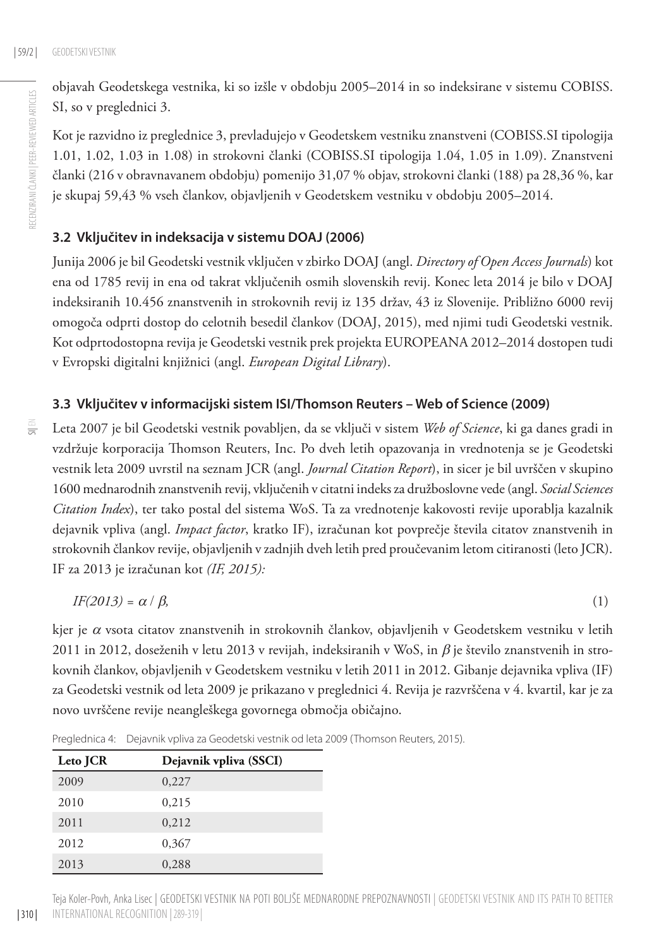RECENZIRANI ČLANKI | PEER-REVIEWED ARTICLES

RECENZIRANI ČLANKI | PEER-REVIEWED ARTICLES

objavah Geodetskega vestnika, ki so izšle v obdobju 2005–2014 in so indeksirane v sistemu COBISS. SI, so v preglednici 3.

Kot je razvidno iz preglednice 3, prevladujejo v Geodetskem vestniku znanstveni (COBISS.SI tipologija 1.01, 1.02, 1.03 in 1.08) in strokovni članki (COBISS.SI tipologija 1.04, 1.05 in 1.09). Znanstveni članki (216 v obravnavanem obdobju) pomenijo 31,07 % objav, strokovni članki (188) pa 28,36 %, kar je skupaj 59,43 % vseh člankov, objavljenih v Geodetskem vestniku v obdobju 2005–2014.

#### **3.2 Vključitev in indeksacija v sistemu DOAJ (2006)**

Junija 2006 je bil Geodetski vestnik vključen v zbirko DOAJ (angl. *Directory of Open Access Journals*) kot ena od 1785 revij in ena od takrat vključenih osmih slovenskih revij. Konec leta 2014 je bilo v DOAJ indeksiranih 10.456 znanstvenih in strokovnih revij iz 135 držav, 43 iz Slovenije. Približno 6000 revij omogoča odprti dostop do celotnih besedil člankov (DOAJ, 2015), med njimi tudi Geodetski vestnik. Kot odprtodostopna revija je Geodetski vestnik prek projekta EUROPEANA 2012–2014 dostopen tudi v Evropski digitalni knjižnici (angl. *European Digital Library*).

#### **3.3 Vključitev v informacijski sistem ISI/Thomson Reuters – Web of Science (2009)**

 $\equiv$ 

Leta 2007 je bil Geodetski vestnik povabljen, da se vključi v sistem *Web of Science*, ki ga danes gradi in vzdržuje korporacija Thomson Reuters, Inc. Po dveh letih opazovanja in vrednotenja se je Geodetski vestnik leta 2009 uvrstil na seznam JCR (angl. *Journal Citation Report*), in sicer je bil uvrščen v skupino 1600 mednarodnih znanstvenih revij, vključenih v citatni indeks za družboslovne vede (angl. *Social Sciences Citation Index*), ter tako postal del sistema WoS. Ta za vrednotenje kakovosti revije uporablja kazalnik dejavnik vpliva (angl. *Impact factor*, kratko IF), izračunan kot povprečje števila citatov znanstvenih in strokovnih člankov revije, objavljenih v zadnjih dveh letih pred proučevanim letom citiranosti (leto JCR). IF za 2013 je izračunan kot *(IF, 2015):*

$$
IF(2013) = \alpha / \beta, \tag{1}
$$

kjer je  $\alpha$  vsota citatov znanstvenih in strokovnih člankov, objavljenih v Geodetskem vestniku v letih 2011 in 2012, doseženih v letu 2013 v revijah, indeksiranih v WoS, in  $\beta$  je število znanstvenih in strokovnih člankov, objavljenih v Geodetskem vestniku v letih 2011 in 2012. Gibanje dejavnika vpliva (IF) za Geodetski vestnik od leta 2009 je prikazano v preglednici 4. Revija je razvrščena v 4. kvartil, kar je za novo uvrščene revije neangleškega govornega območja običajno.

| Leto JCR | Dejavnik vpliva (SSCI) |
|----------|------------------------|
| 2009     | 0,227                  |
| 2010     | 0,215                  |
| 2011     | 0.212                  |
| 2012     | 0.367                  |
| 2013     | 0.288                  |

Preglednica 4: Dejavnik vpliva za Geodetski vestnik od leta 2009 (Thomson Reuters, 2015).

Teja Koler-Povh, Anka Lisec | Geodetski vestnik na poti boljše mednarodne prepoznavnosti | Geodetski vestnik and its path to better international recognition |289-319 |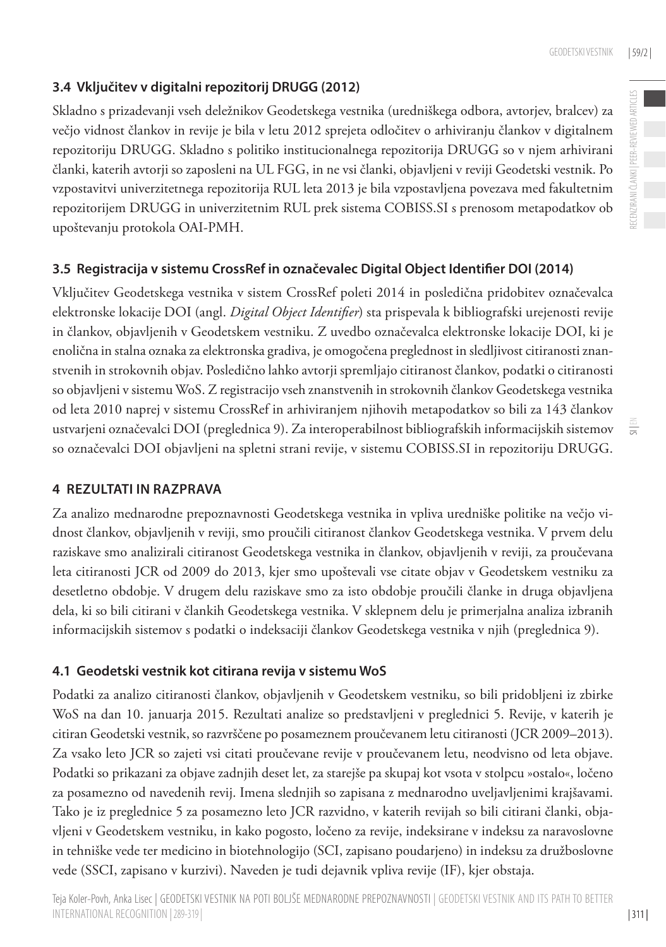## **3.4 Vključitev v digitalni repozitorij DRUGG (2012)**

Skladno s prizadevanji vseh deležnikov Geodetskega vestnika (uredniškega odbora, avtorjev, bralcev) za večjo vidnost člankov in revije je bila v letu 2012 sprejeta odločitev o arhiviranju člankov v digitalnem repozitoriju DRUGG. Skladno s politiko institucionalnega repozitorija DRUGG so v njem arhivirani članki, katerih avtorji so zaposleni na UL FGG, in ne vsi članki, objavljeni v reviji Geodetski vestnik. Po vzpostavitvi univerzitetnega repozitorija RUL leta 2013 je bila vzpostavljena povezava med fakultetnim repozitorijem DRUGG in univerzitetnim RUL prek sistema COBISS.SI s prenosom metapodatkov ob upoštevanju protokola OAI-PMH.

## **3.5 Registracija v sistemu CrossRef in označevalec Digital Object Identifier DOI (2014)**

Vključitev Geodetskega vestnika v sistem CrossRef poleti 2014 in posledična pridobitev označevalca elektronske lokacije DOI (angl. *Digital Object Identifier*) sta prispevala k bibliografski urejenosti revije in člankov, objavljenih v Geodetskem vestniku. Z uvedbo označevalca elektronske lokacije DOI, ki je enolična in stalna oznaka za elektronska gradiva, je omogočena preglednost in sledljivost citiranosti znanstvenih in strokovnih objav. Posledično lahko avtorji spremljajo citiranost člankov, podatki o citiranosti so objavljeni v sistemu WoS. Z registracijo vseh znanstvenih in strokovnih člankov Geodetskega vestnika od leta 2010 naprej v sistemu CrossRef in arhiviranjem njihovih metapodatkov so bili za 143 člankov ustvarjeni označevalci DOI (preglednica 9). Za interoperabilnost bibliografskih informacijskih sistemov so označevalci DOI objavljeni na spletni strani revije, v sistemu COBISS.SI in repozitoriju DRUGG.

### **4 Rezultati in razprava**

Za analizo mednarodne prepoznavnosti Geodetskega vestnika in vpliva uredniške politike na večjo vidnost člankov, objavljenih v reviji, smo proučili citiranost člankov Geodetskega vestnika. V prvem delu raziskave smo analizirali citiranost Geodetskega vestnika in člankov, objavljenih v reviji, za proučevana leta citiranosti JCR od 2009 do 2013, kjer smo upoštevali vse citate objav v Geodetskem vestniku za desetletno obdobje. V drugem delu raziskave smo za isto obdobje proučili članke in druga objavljena dela, ki so bili citirani v člankih Geodetskega vestnika. V sklepnem delu je primerjalna analiza izbranih informacijskih sistemov s podatki o indeksaciji člankov Geodetskega vestnika v njih (preglednica 9).

### **4.1 Geodetski vestnik kot citirana revija v sistemu WoS**

Podatki za analizo citiranosti člankov, objavljenih v Geodetskem vestniku, so bili pridobljeni iz zbirke WoS na dan 10. januarja 2015. Rezultati analize so predstavljeni v preglednici 5. Revije, v katerih je citiran Geodetski vestnik, so razvrščene po posameznem proučevanem letu citiranosti (JCR 2009–2013). Za vsako leto JCR so zajeti vsi citati proučevane revije v proučevanem letu, neodvisno od leta objave. Podatki so prikazani za objave zadnjih deset let, za starejše pa skupaj kot vsota v stolpcu »ostalo«, ločeno za posamezno od navedenih revij. Imena slednjih so zapisana z mednarodno uveljavljenimi krajšavami. Tako je iz preglednice 5 za posamezno leto JCR razvidno, v katerih revijah so bili citirani članki, objavljeni v Geodetskem vestniku, in kako pogosto, ločeno za revije, indeksirane v indeksu za naravoslovne in tehniške vede ter medicino in biotehnologijo (SCI, zapisano poudarjeno) in indeksu za družboslovne vede (SSCI, zapisano v kurzivi). Naveden je tudi dejavnik vpliva revije (IF), kjer obstaja.

 $\equiv$ 

| 311 |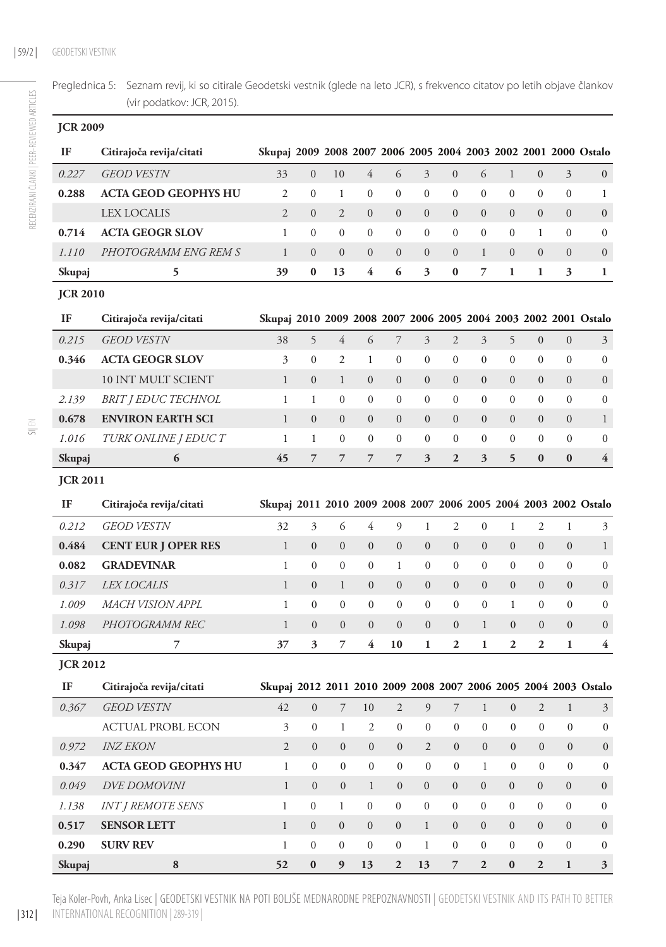Preglednica 5: Seznam revij, ki so citirale Geodetski vestnik (glede na leto JCR), s frekvenco citatov po letih objave člankov (vir podatkov: JCR, 2015).

| <b>JCR 2009</b> |                             |                                                                 |                  |                  |                  |                  |                  |                  |                  |                  |                  |                  |                                                                      |
|-----------------|-----------------------------|-----------------------------------------------------------------|------------------|------------------|------------------|------------------|------------------|------------------|------------------|------------------|------------------|------------------|----------------------------------------------------------------------|
| IF              | Citirajoča revija/citati    | Skupaj 2009 2008 2007 2006 2005 2004 2003 2002 2001 2000 Ostalo |                  |                  |                  |                  |                  |                  |                  |                  |                  |                  |                                                                      |
| 0.227           | <b>GEOD VESTN</b>           | 33                                                              | $\boldsymbol{0}$ | 10               | $\overline{4}$   | 6                | $\overline{3}$   | $\mathbf{0}$     | 6                | $\mathbf{1}$     | $\boldsymbol{0}$ | $\overline{3}$   | $\mathbf{0}$                                                         |
| 0.288           | <b>ACTA GEOD GEOPHYS HU</b> | $\overline{2}$                                                  | $\mathbf{0}$     | 1                | $\mathbf{0}$     | $\mathbf{0}$     | $\overline{0}$   | $\boldsymbol{0}$ | $\boldsymbol{0}$ | $\mathbf{0}$     | $\mathbf{0}$     | $\boldsymbol{0}$ | 1                                                                    |
|                 | <b>LEX LOCALIS</b>          | $\overline{2}$                                                  | $\overline{0}$   | $\overline{2}$   | $\mathbf{0}$     | $\boldsymbol{0}$ | $\overline{0}$   | $\boldsymbol{0}$ | $\mathbf{0}$     | $\overline{0}$   | $\overline{0}$   | $\mathbf{0}$     | $\boldsymbol{0}$                                                     |
| 0.714           | <b>ACTA GEOGR SLOV</b>      | $\mathbf{1}$                                                    | $\mathbf{0}$     | $\mathbf{0}$     | $\theta$         | $\boldsymbol{0}$ | $\boldsymbol{0}$ | $\boldsymbol{0}$ | $\mathbf{0}$     | $\mathbf{0}$     | 1                | $\boldsymbol{0}$ | $\boldsymbol{0}$                                                     |
| 1.110           | PHOTOGRAMM ENG REM S        | $\mathbf{1}$                                                    | $\mathbf{0}$     | $\mathbf{0}$     | $\overline{0}$   | $\boldsymbol{0}$ | $\overline{0}$   | $\mathbf{0}$     | 1                | $\overline{0}$   | $\overline{0}$   | $\mathbf{0}$     | $\boldsymbol{0}$                                                     |
| Skupaj          | 5                           | 39                                                              | $\bf{0}$         | 13               | 4                | 6                | 3                | 0                | 7                | 1                | 1                | 3                | 1                                                                    |
| <b>JCR 2010</b> |                             |                                                                 |                  |                  |                  |                  |                  |                  |                  |                  |                  |                  |                                                                      |
| IF              | Citirajoča revija/citati    |                                                                 |                  |                  |                  |                  |                  |                  |                  |                  |                  |                  | Skupaj 2010 2009 2008 2007 2006 2005 2004 2003 2002 2001 Ostalo      |
| 0.215           | <b>GEOD VESTN</b>           | 38                                                              | 5                | $\overline{4}$   | 6                | 7                | 3                | $\overline{c}$   | 3                | 5                | $\boldsymbol{0}$ | $\boldsymbol{0}$ | 3                                                                    |
| 0.346           | <b>ACTA GEOGR SLOV</b>      | 3                                                               | $\mathbf{0}$     | 2                | 1                | $\boldsymbol{0}$ | $\boldsymbol{0}$ | $\boldsymbol{0}$ | 0                | 0                | 0                | $\boldsymbol{0}$ | $\boldsymbol{0}$                                                     |
|                 | 10 INT MULT SCIENT          | $\mathbf{1}$                                                    | $\overline{0}$   | $\mathbf{1}$     | $\boldsymbol{0}$ | $\boldsymbol{0}$ | $\overline{0}$   | $\boldsymbol{0}$ | $\mathbf{0}$     | $\mathbf{0}$     | $\overline{0}$   | $\mathbf{0}$     | $\mathbf{0}$                                                         |
| 2.139           | <b>BRIT I EDUC TECHNOL</b>  | 1                                                               | 1                | $\boldsymbol{0}$ | $\mathbf{0}$     | $\boldsymbol{0}$ | $\boldsymbol{0}$ | 0                | $\boldsymbol{0}$ | $\mathbf{0}$     | $\mathbf{0}$     | $\mathbf{0}$     | $\boldsymbol{0}$                                                     |
| 0.678           | <b>ENVIRON EARTH SCI</b>    | 1                                                               | $\boldsymbol{0}$ | $\boldsymbol{0}$ | $\boldsymbol{0}$ | $\boldsymbol{0}$ | $\boldsymbol{0}$ | $\boldsymbol{0}$ | $\boldsymbol{0}$ | $\mathbf{0}$     | $\boldsymbol{0}$ | $\mathbf{0}$     | $\mathbf{1}$                                                         |
| 1.016           | <b>TURK ONLINE J EDUC T</b> | 1                                                               | $\mathbf{1}$     | 0                | $\boldsymbol{0}$ | $\boldsymbol{0}$ | $\boldsymbol{0}$ | 0                | $\boldsymbol{0}$ | $\mathbf{0}$     | $\mathbf{0}$     | $\boldsymbol{0}$ | 0                                                                    |
| Skupaj          | 6                           | 45                                                              | 7                | $\overline{7}$   | $\overline{7}$   | $\overline{7}$   | 3                | $\overline{2}$   | 3                | 5                | $\bf{0}$         | $\bf{0}$         | 4                                                                    |
| <b>JCR 2011</b> |                             |                                                                 |                  |                  |                  |                  |                  |                  |                  |                  |                  |                  |                                                                      |
|                 |                             |                                                                 |                  |                  |                  |                  |                  |                  |                  |                  |                  |                  |                                                                      |
| IF              | Citirajoča revija/citati    |                                                                 |                  |                  |                  |                  |                  |                  |                  |                  |                  |                  |                                                                      |
| 0.212           | <b>GEOD VESTN</b>           | 32                                                              | 3                | 6                | 4                | 9                | $\mathbf{1}$     | $\overline{2}$   | $\boldsymbol{0}$ | $\mathbf{1}$     | 2                | $\mathbf{1}$     | 3                                                                    |
| 0.484           | <b>CENT EUR J OPER RES</b>  | $\mathbf{1}$                                                    | $\boldsymbol{0}$ | $\boldsymbol{0}$ | $\mathbf{0}$     | $\mathbf{0}$     | $\boldsymbol{0}$ | $\boldsymbol{0}$ | $\mathbf{0}$     | $\boldsymbol{0}$ | $\boldsymbol{0}$ | $\boldsymbol{0}$ | $\mathbf{1}$                                                         |
| 0.082           | <b>GRADEVINAR</b>           | 1                                                               | $\boldsymbol{0}$ | $\boldsymbol{0}$ | $\boldsymbol{0}$ | 1                | $\boldsymbol{0}$ | $\boldsymbol{0}$ | $\boldsymbol{0}$ | $\boldsymbol{0}$ | $\overline{0}$   | $\boldsymbol{0}$ | $\boldsymbol{0}$                                                     |
| 0.317           | <i>LEX LOCALIS</i>          | $\mathbf{1}$                                                    | $\mathbf{0}$     | $\mathbf{1}$     | $\mathbf{0}$     | $\mathbf{0}$     | $\mathbf{0}$     | $\boldsymbol{0}$ | $\mathbf{0}$     | $\mathbf{0}$     | $\overline{0}$   | $\overline{0}$   | $\mathbf{0}$                                                         |
| 1.009           | MACH VISION APPL            | $\mathbf{1}$                                                    | $\overline{0}$   | 0                | $\mathbf{0}$     | $\boldsymbol{0}$ | $\boldsymbol{0}$ | 0                | 0                | $\mathbf{1}$     | $\mathbf{0}$     | 0                | $\boldsymbol{0}$                                                     |
| 1.098           | PHOTOGRAMM REC              | $\mathbf{1}$                                                    | $\overline{0}$   | $\overline{0}$   | $\overline{0}$   | $\overline{0}$   | $\overline{0}$   | $\boldsymbol{0}$ | $\mathbf{1}$     | $\overline{0}$   | $\overline{0}$   | $\overline{0}$   | $\boldsymbol{0}$                                                     |
| Skupaj          | 7                           | 37                                                              | 3                | 7                | 4                | 10               | $\mathbf{1}$     | $\overline{2}$   | 1                | $\overline{2}$   | $\overline{2}$   | $\mathbf{1}$     | Skupaj 2011 2010 2009 2008 2007 2006 2005 2004 2003 2002 Ostalo<br>4 |
| <b>JCR 2012</b> |                             |                                                                 |                  |                  |                  |                  |                  |                  |                  |                  |                  |                  |                                                                      |
| IF              | Citirajoča revija/citati    |                                                                 |                  |                  |                  |                  |                  |                  |                  |                  |                  |                  | Skupaj 2012 2011 2010 2009 2008 2007 2006 2005 2004 2003 Ostalo      |
| 0.367           | <b>GEOD VESTN</b>           | 42                                                              | $\overline{0}$   | 7                | 10               | $\mathfrak{2}$   | 9                | $\overline{7}$   | $\mathbf{1}$     | $\overline{0}$   | $\overline{2}$   | $\mathbf{1}$     | 3                                                                    |
|                 | ACTUAL PROBL ECON           | 3                                                               | 0                | 1                | 2                | $\boldsymbol{0}$ | $\boldsymbol{0}$ | $\boldsymbol{0}$ | 0                | $\boldsymbol{0}$ | 0                | $\boldsymbol{0}$ | $\boldsymbol{0}$                                                     |
| 0.972           | <b>INZ EKON</b>             | $\overline{2}$                                                  | $\overline{0}$   | $\overline{0}$   | $\boldsymbol{0}$ | $\mathbf{0}$     | $\overline{2}$   | $\mathbf{0}$     | $\overline{0}$   | $\overline{0}$   | $\mathbf{0}$     | $\mathbf{0}$     | $\boldsymbol{0}$                                                     |
| 0.347           | <b>ACTA GEOD GEOPHYS HU</b> | $\mathbf{1}$                                                    | $\boldsymbol{0}$ | $\boldsymbol{0}$ | $\boldsymbol{0}$ | $\boldsymbol{0}$ | $\boldsymbol{0}$ | $\boldsymbol{0}$ | $\mathbf{1}$     | $\boldsymbol{0}$ | $\boldsymbol{0}$ | $\boldsymbol{0}$ | $\boldsymbol{0}$                                                     |
| 0.049           | <b>DVE DOMOVINI</b>         | $\mathbf{1}$                                                    | $\overline{0}$   | $\mathbf{0}$     | $\mathbf{1}$     | $\boldsymbol{0}$ | $\boldsymbol{0}$ | $\boldsymbol{0}$ | $\boldsymbol{0}$ | $\mathbf{0}$     | $\mathbf{0}$     | $\boldsymbol{0}$ | $\boldsymbol{0}$                                                     |
| 1.138           | <b>INT J REMOTE SENS</b>    | $\mathbf{1}$                                                    | $\overline{0}$   | $\mathbf{1}$     | $\boldsymbol{0}$ | $\boldsymbol{0}$ | $\boldsymbol{0}$ | $\boldsymbol{0}$ | $\boldsymbol{0}$ | $\boldsymbol{0}$ | $\overline{0}$   | $\boldsymbol{0}$ | $\mathbf{0}$                                                         |
| 0.517           | <b>SENSOR LETT</b>          | $\mathbf{1}$                                                    | $\boldsymbol{0}$ | $\boldsymbol{0}$ | $\boldsymbol{0}$ | $\boldsymbol{0}$ | $\mathbf{1}$     | $\boldsymbol{0}$ | $\boldsymbol{0}$ | $\boldsymbol{0}$ | $\boldsymbol{0}$ | $\boldsymbol{0}$ | $\boldsymbol{0}$                                                     |
| 0.290           | <b>SURV REV</b>             | $\,1$                                                           | $\overline{0}$   | $\boldsymbol{0}$ | $\boldsymbol{0}$ | $\boldsymbol{0}$ | $\mathbf{1}$     | $\boldsymbol{0}$ | $\boldsymbol{0}$ | $\boldsymbol{0}$ | $\overline{0}$   | $\boldsymbol{0}$ | $\boldsymbol{0}$                                                     |

| 312 | Teja Koler-Povh, Anka Lisec | Geodetski vestnik na poti boljše mednarodne prepoznavnosti | Geodetski vestnik and its path to better international recognition |289-319 |

SI| EN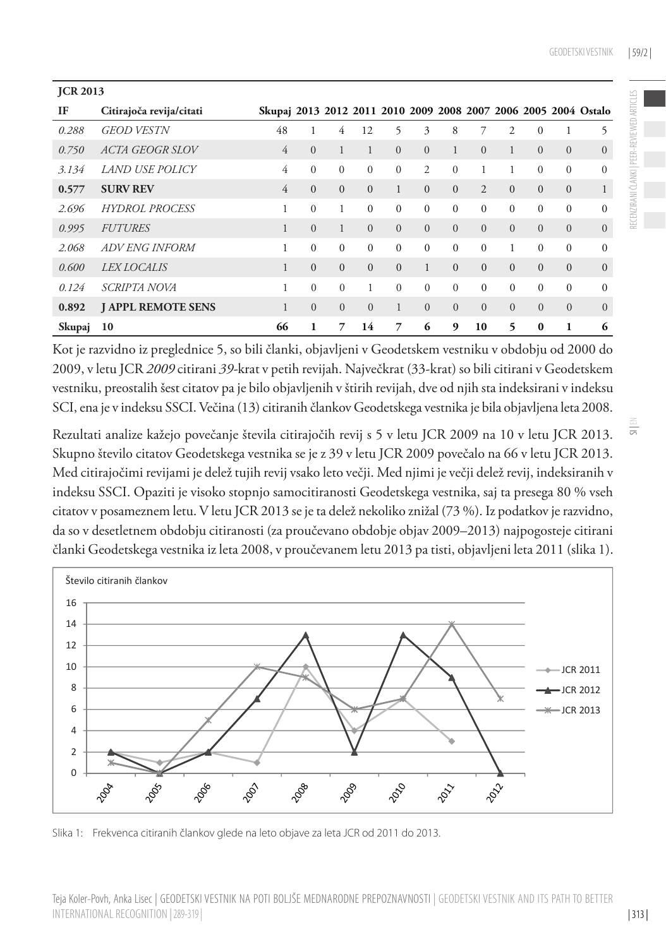| <b>JCR 2013</b> |                           |                                                                 |                |                |          |              |                |          |                |                |                |                |                |
|-----------------|---------------------------|-----------------------------------------------------------------|----------------|----------------|----------|--------------|----------------|----------|----------------|----------------|----------------|----------------|----------------|
| IF              | Citirajoča revija/citati  | Skupaj 2013 2012 2011 2010 2009 2008 2007 2006 2005 2004 Ostalo |                |                |          |              |                |          |                |                |                |                |                |
| 0.288           | <b>GEOD VESTN</b>         | 48                                                              |                | 4              | 12       | 5            | 3              | 8        |                | $\overline{c}$ | $\Omega$       |                | 5              |
| 0.750           | <i>ACTA GEOGR SLOV</i>    | 4                                                               | $\Omega$       | 1              | 1        | $\Omega$     | $\Omega$       | 1        | $\Omega$       | $\mathbf{1}$   | $\Omega$       | $\overline{0}$ | $\Omega$       |
| 3.134           | <i>LAND USE POLICY</i>    | 4                                                               | $\mathbf{0}$   | $\mathbf{0}$   | $\Omega$ | $\Omega$     | $\overline{c}$ | $\theta$ |                |                | $\Omega$       | $\mathbf{0}$   | $\Omega$       |
| 0.577           | <b>SURV REV</b>           | $\overline{4}$                                                  | $\Omega$       | $\overline{0}$ | $\Omega$ | $\mathbf{1}$ | $\Omega$       | $\Omega$ | $\mathfrak{D}$ | $\Omega$       | $\overline{0}$ | $\overline{0}$ | $\mathbf{1}$   |
| 2.696           | <b>HYDROL PROCESS</b>     |                                                                 | $\Omega$       | 1              | $\Omega$ | $\Omega$     | $\Omega$       | $\Omega$ | $\Omega$       | $\Omega$       | $\Omega$       | $\mathbf{0}$   | $\Omega$       |
| 0.995           | <b>FUTURES</b>            |                                                                 | $\theta$       | $\mathbf{1}$   | $\Omega$ | $\Omega$     | $\Omega$       | $\Omega$ | $\Omega$       | $\Omega$       | $\Omega$       | $\overline{0}$ | $\mathbf{0}$   |
| 2.068           | ADV ENG INFORM            |                                                                 | $\theta$       | $\mathbf{0}$   | $\Omega$ | $\Omega$     | $\Omega$       | $\Omega$ | $\Omega$       | 1              | $\Omega$       | $\mathbf{0}$   | $\Omega$       |
| 0.600           | LEX LOCALIS               |                                                                 | $\Omega$       | $\Omega$       | $\Omega$ | $\Omega$     | 1              | $\Omega$ | $\Omega$       | $\Omega$       | $\Omega$       | $\mathbf{0}$   | $\mathbf{0}$   |
| 0.124           | <i>SCRIPTA NOVA</i>       | 1                                                               | $\theta$       | $\Omega$       |          | $\Omega$     | $\Omega$       | $\Omega$ | $\Omega$       | $\Omega$       | $\Omega$       | $\Omega$       | $\Omega$       |
| 0.892           | <b>J APPL REMOTE SENS</b> | $\mathbf{1}$                                                    | $\overline{0}$ | $\overline{0}$ | $\Omega$ | $\mathbf{1}$ | $\Omega$       | $\Omega$ | $\Omega$       | $\Omega$       | $\Omega$       | $\overline{0}$ | $\overline{0}$ |
| Skupaj          | 10                        | 66                                                              | 1              | 7              | 14       | 7            | 6              | 9        | 10             | 5              | $\bf{0}$       | 1              | 6              |

Kot je razvidno iz preglednice 5, so bili članki, objavljeni v Geodetskem vestniku v obdobju od 2000 do 2009, v letu JCR *2009* citirani *39-*krat v petih revijah. Največkrat (33-krat) so bili citirani v Geodetskem vestniku, preostalih šest citatov pa je bilo objavljenih v štirih revijah, dve od njih sta indeksirani v indeksu SCI, ena je v indeksu SSCI. Večina (13) citiranih člankov Geodetskega vestnika je bila objavljena leta 2008.

Rezultati analize kažejo povečanje števila citirajočih revij s 5 v letu JCR 2009 na 10 v letu JCR 2013. Skupno število citatov Geodetskega vestnika se je z 39 v letu JCR 2009 povečalo na 66 v letu JCR 2013. Med citirajočimi revijami je delež tujih revij vsako leto večji. Med njimi je večji delež revij, indeksiranih v indeksu SSCI. Opaziti je visoko stopnjo samocitiranosti Geodetskega vestnika, saj ta presega 80 % vseh citatov v posameznem letu. V letu JCR 2013 se je ta delež nekoliko znižal (73 %). Iz podatkov je razvidno, da so v desetletnem obdobju citiranosti (za proučevano obdobje objav 2009–2013) najpogosteje citirani članki Geodetskega vestnika iz leta 2008, v proučevanem letu 2013 pa tisti, objavljeni leta 2011 (slika 1).



Slika 1: Frekvenca citiranih člankov glede na leto objave za leta JCR od 2011 do 2013.

RECENZIRANI ČLANKI | PEER-REVIEWED ARTICLES

IECENZIRANI ČLANKI | PEER-REVIEWED ARTICLES

| 313 |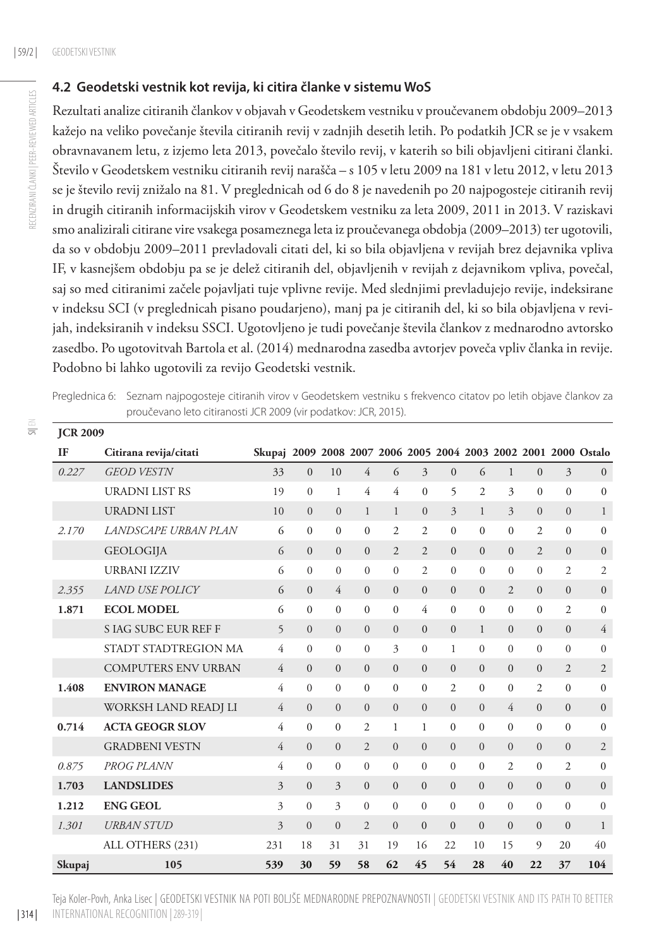#### **4.2 Geodetski vestnik kot revija, ki citira članke v sistemu WoS**

Rezultati analize citiranih člankov v objavah v Geodetskem vestniku v proučevanem obdobju 2009–2013 kažejo na veliko povečanje števila citiranih revij v zadnjih desetih letih. Po podatkih JCR se je v vsakem obravnavanem letu, z izjemo leta 2013, povečalo število revij, v katerih so bili objavljeni citirani članki. Število v Geodetskem vestniku citiranih revij narašča – s 105 v letu 2009 na 181 v letu 2012, v letu 2013 se je število revij znižalo na 81. V preglednicah od 6 do 8 je navedenih po 20 najpogosteje citiranih revij in drugih citiranih informacijskih virov v Geodetskem vestniku za leta 2009, 2011 in 2013. V raziskavi smo analizirali citirane vire vsakega posameznega leta iz proučevanega obdobja (2009–2013) ter ugotovili, da so v obdobju 2009–2011 prevladovali citati del, ki so bila objavljena v revijah brez dejavnika vpliva IF, v kasnejšem obdobju pa se je delež citiranih del, objavljenih v revijah z dejavnikom vpliva, povečal, saj so med citiranimi začele pojavljati tuje vplivne revije. Med slednjimi prevladujejo revije, indeksirane v indeksu SCI (v preglednicah pisano poudarjeno), manj pa je citiranih del, ki so bila objavljena v revijah, indeksiranih v indeksu SSCI. Ugotovljeno je tudi povečanje števila člankov z mednarodno avtorsko zasedbo. Po ugotovitvah Bartola et al. (2014) mednarodna zasedba avtorjev poveča vpliv članka in revije. Podobno bi lahko ugotovili za revijo Geodetski vestnik.

Preglednica 6: Seznam najpogosteje citiranih virov v Geodetskem vestniku s frekvenco citatov po letih objave člankov za proučevano leto citiranosti JCR 2009 (vir podatkov: JCR, 2015).

| <b>JUKZUUY</b> |                             |                |                |                  |                |                |                |                |                |                |                |                |                                                          |
|----------------|-----------------------------|----------------|----------------|------------------|----------------|----------------|----------------|----------------|----------------|----------------|----------------|----------------|----------------------------------------------------------|
| IF             | Citirana revija/citati      | Skupaj         |                |                  |                |                |                |                |                |                |                |                | 2009 2008 2007 2006 2005 2004 2003 2002 2001 2000 Ostalo |
| 0.227          | <b>GEOD VESTN</b>           | 33             | $\mathbf{0}$   | 10               | 4              | 6              | 3              | $\overline{0}$ | 6              | $\mathbf{1}$   | $\overline{0}$ | $\overline{3}$ | $\mathbf{0}$                                             |
|                | <b>URADNI LIST RS</b>       | 19             | $\mathbf{0}$   | 1                | 4              | 4              | $\overline{0}$ | 5              | $\overline{c}$ | 3              | $\Omega$       | $\Omega$       | $\mathbf{0}$                                             |
|                | <b>URADNI LIST</b>          | 10             | $\Omega$       | $\mathbf{0}$     | 1              | $\mathbf{1}$   | $\overline{0}$ | 3              | $\mathbf{1}$   | 3              | $\Omega$       | $\Omega$       | 1                                                        |
| 2.170          | LANDSCAPE URBAN PLAN        | 6              | $\mathbf{0}$   | $\boldsymbol{0}$ | $\overline{0}$ | $\overline{c}$ | 2              | $\overline{0}$ | $\Omega$       | $\theta$       | $\overline{c}$ | $\theta$       | $\mathbf{0}$                                             |
|                | <b>GEOLOGIJA</b>            | 6              | $\mathbf{0}$   | $\mathbf{0}$     | $\Omega$       | $\overline{2}$ | $\overline{c}$ | $\theta$       | $\theta$       | $\Omega$       | $\overline{2}$ | $\Omega$       | $\mathbf{0}$                                             |
|                | <b>URBANI IZZIV</b>         | 6              | $\mathbf{0}$   | $\mathbf{0}$     | $\overline{0}$ | $\overline{0}$ | 2              | $\overline{0}$ | $\Omega$       | $\theta$       | $\Omega$       | $\overline{2}$ | $\overline{2}$                                           |
| 2.355          | <b>LAND USE POLICY</b>      | 6              | $\mathbf{0}$   | 4                | $\overline{0}$ | $\mathbf{0}$   | $\mathbf{0}$   | $\overline{0}$ | $\overline{0}$ | $\overline{2}$ | $\Omega$       | $\mathbf{0}$   | $\overline{0}$                                           |
| 1.871          | <b>ECOL MODEL</b>           | 6              | $\mathbf{0}$   | $\boldsymbol{0}$ | $\overline{0}$ | $\mathbf{0}$   | 4              | $\Omega$       | $\theta$       | $\theta$       | $\Omega$       | $\overline{2}$ | $\mathbf{0}$                                             |
|                | <b>S IAG SUBC EUR REF F</b> | 5              | $\overline{0}$ | $\overline{0}$   | $\overline{0}$ | $\overline{0}$ | $\mathbf{0}$   | $\mathbf{0}$   | 1              | $\Omega$       | $\Omega$       | $\mathbf{0}$   | $\overline{4}$                                           |
|                | STADT STADTREGION MA        | 4              | $\overline{0}$ | $\overline{0}$   | $\overline{0}$ | 3              | $\mathbf{0}$   | 1              | $\theta$       | $\Omega$       | $\Omega$       | $\Omega$       | $\mathbf{0}$                                             |
|                | <b>COMPUTERS ENV URBAN</b>  | $\overline{4}$ | $\Omega$       | $\mathbf{0}$     | $\overline{0}$ | $\Omega$       | $\Omega$       | $\Omega$       | $\theta$       | $\Omega$       | $\Omega$       | $\overline{c}$ | $\overline{2}$                                           |
| 1.408          | <b>ENVIRON MANAGE</b>       | $\overline{4}$ | $\mathbf{0}$   | $\mathbf{0}$     | $\mathbf{0}$   | $\overline{0}$ | $\mathbf{0}$   | $\overline{c}$ | $\overline{0}$ | $\overline{0}$ | 2              | $\mathbf{0}$   | $\mathbf{0}$                                             |
|                | WORKSH LAND READJ LI        | $\overline{4}$ | $\overline{0}$ | $\overline{0}$   | $\overline{0}$ | $\overline{0}$ | $\mathbf{0}$   | $\overline{0}$ | $\theta$       | 4              | $\Omega$       | $\mathbf{0}$   | $\mathbf{0}$                                             |
| 0.714          | <b>ACTA GEOGR SLOV</b>      | 4              | $\mathbf{0}$   | $\mathbf{0}$     | 2              | $\mathbf{1}$   | 1              | $\Omega$       | $\theta$       | $\Omega$       | $\Omega$       | $\Omega$       | $\mathbf{0}$                                             |
|                | <b>GRADBENI VESTN</b>       | $\overline{4}$ | $\overline{0}$ | $\overline{0}$   | $\overline{2}$ | $\overline{0}$ | $\overline{0}$ | $\Omega$       | $\overline{0}$ | $\Omega$       | $\Omega$       | $\overline{0}$ | $\mathfrak{2}$                                           |
| 0.875          | PROG PLANN                  | 4              | $\mathbf{0}$   | $\mathbf{0}$     | $\overline{0}$ | $\overline{0}$ | $\overline{0}$ | $\mathbf{0}$   | $\mathbf{0}$   | $\overline{2}$ | $\Omega$       | $\overline{c}$ | $\mathbf{0}$                                             |
| 1.703          | <b>LANDSLIDES</b>           | 3              | $\mathbf{0}$   | 3                | $\overline{0}$ | $\overline{0}$ | $\mathbf{0}$   | $\Omega$       | $\Omega$       | $\Omega$       | $\Omega$       | $\Omega$       | $\overline{0}$                                           |
| 1.212          | <b>ENG GEOL</b>             | 3              | $\theta$       | 3                | $\theta$       | $\Omega$       | $\Omega$       | $\Omega$       | $\theta$       | $\Omega$       | $\Omega$       | $\Omega$       | $\mathbf{0}$                                             |
| 1.301          | <b>URBAN STUD</b>           | 3              | $\overline{0}$ | $\overline{0}$   | $\overline{2}$ | $\overline{0}$ | $\overline{0}$ | $\Omega$       | $\overline{0}$ | $\overline{0}$ | $\overline{0}$ | $\Omega$       | $\mathbf{1}$                                             |
|                | ALL OTHERS (231)            | 231            | 18             | 31               | 31             | 19             | 16             | 22             | 10             | 15             | 9              | 20             | 40                                                       |
| Skupaj         | 105                         | 539            | 30             | 59               | 58             | 62             | 45             | 54             | 28             | 40             | 22             | 37             | 104                                                      |

RECENZIRANI ČLANKI | PEER-REVIEWED ARTICLES RECENZIRANI ČLANKI | PEER-REVIEWED ARTICLES

 $\equiv$ 

**JCR 2009**

Teja Koler-Povh, Anka Lisec | Geodetski vestnik na poti boljše mednarodne prepoznavnosti | Geodetski vestnik and its path to better international recognition |289-319 |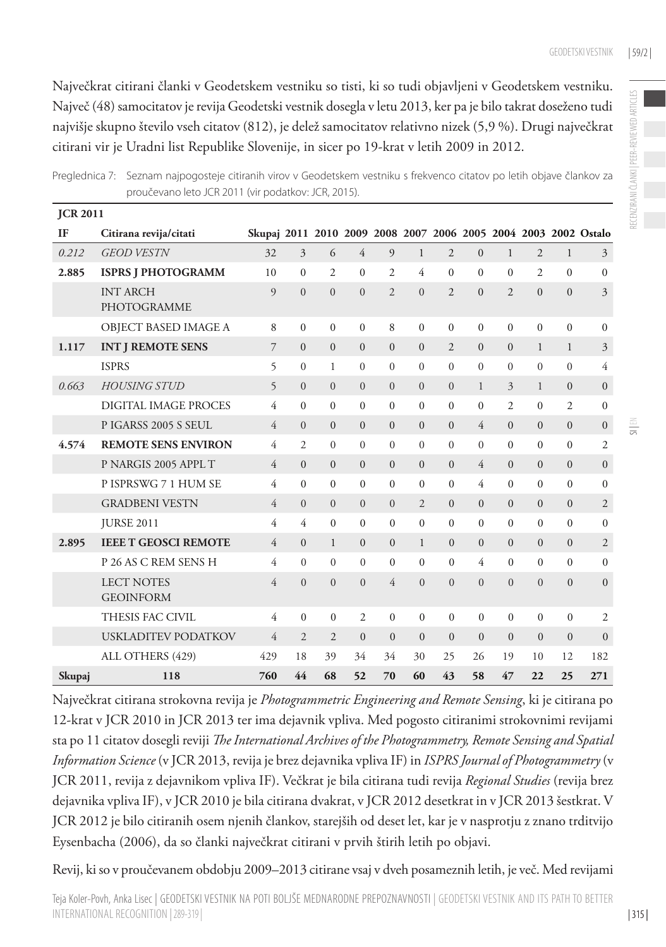Največkrat citirani članki v Geodetskem vestniku so tisti, ki so tudi objavljeni v Geodetskem vestniku. Največ (48) samocitatov je revija Geodetski vestnik dosegla v letu 2013, ker pa je bilo takrat doseženo tudi najvišje skupno število vseh citatov (812), je delež samocitatov relativno nizek (5,9 %). Drugi največkrat citirani vir je Uradni list Republike Slovenije, in sicer po 19-krat v letih 2009 in 2012.

| <b>JCR 2011</b> |                                       |                                                                 |                |                |                |                |                |                |                |                |                |                |                |
|-----------------|---------------------------------------|-----------------------------------------------------------------|----------------|----------------|----------------|----------------|----------------|----------------|----------------|----------------|----------------|----------------|----------------|
| IF              | Citirana revija/citati                | Skupaj 2011 2010 2009 2008 2007 2006 2005 2004 2003 2002 Ostalo |                |                |                |                |                |                |                |                |                |                |                |
| 0.212           | <b>GEOD VESTN</b>                     | 32                                                              | 3              | 6              | $\overline{4}$ | 9              | $\mathbf{1}$   | $\overline{2}$ | $\Omega$       | $\mathbf{1}$   | $\overline{2}$ | $\mathbf{1}$   | 3              |
| 2.885           | <b>ISPRS J PHOTOGRAMM</b>             | 10                                                              | $\mathbf{0}$   | 2              | $\mathbf{0}$   | $\overline{c}$ | 4              | $\mathbf{0}$   | $\theta$       | $\theta$       | $\overline{c}$ | $\overline{0}$ | $\mathbf{0}$   |
|                 | <b>INT ARCH</b><br>PHOTOGRAMME        | $\overline{Q}$                                                  | $\theta$       | $\theta$       | $\Omega$       | $\overline{c}$ | $\Omega$       | $\overline{c}$ | $\Omega$       | $\overline{c}$ | $\Omega$       | $\Omega$       | $\overline{3}$ |
|                 | OBJECT BASED IMAGE A                  | 8                                                               | $\Omega$       | $\Omega$       | $\theta$       | 8              | $\Omega$       | $\theta$       | $\Omega$       | $\theta$       | $\Omega$       | $\Omega$       | $\Omega$       |
| 1.117           | <b>INT J REMOTE SENS</b>              | 7                                                               | $\mathbf{0}$   | $\mathbf{0}$   | $\mathbf{0}$   | $\Omega$       | $\Omega$       | $\overline{2}$ | $\Omega$       | $\Omega$       | $\mathbf{1}$   | $\mathbf{1}$   | 3              |
|                 | <b>ISPRS</b>                          | 5                                                               | $\Omega$       | 1              | $\Omega$       | $\Omega$       | $\Omega$       | $\Omega$       | $\Omega$       | $\Omega$       | $\Omega$       | $\Omega$       | 4              |
| 0.663           | <b>HOUSING STUD</b>                   | 5                                                               | $\Omega$       | $\Omega$       | $\Omega$       | $\Omega$       | $\Omega$       | $\Omega$       | $\mathbf{1}$   | $\overline{3}$ | $\mathbf{1}$   | $\mathbf{0}$   | $\mathbf{0}$   |
|                 | DIGITAL IMAGE PROCES                  | 4                                                               | $\Omega$       | $\Omega$       | $\Omega$       | $\Omega$       | $\Omega$       | $\Omega$       | $\Omega$       | $\overline{c}$ | $\Omega$       | $\overline{c}$ | $\Omega$       |
|                 | PIGARSS 2005 S SEUL                   | 4                                                               | $\Omega$       | $\Omega$       | $\mathbf{0}$   | $\Omega$       | $\Omega$       | $\Omega$       | 4              | $\Omega$       | $\Omega$       | $\mathbf{0}$   | $\mathbf{0}$   |
| 4.574           | <b>REMOTE SENS ENVIRON</b>            | 4                                                               | 2              | $\Omega$       | $\Omega$       | $\Omega$       | $\Omega$       | $\Omega$       | 0              | $\Omega$       | $\Omega$       | $\Omega$       | 2              |
|                 | P NARGIS 2005 APPL T                  | $\overline{4}$                                                  | $\Omega$       | $\mathbf{0}$   | $\mathbf{0}$   | $\mathbf{0}$   | $\mathbf{0}$   | $\mathbf{0}$   | 4              | $\Omega$       | $\overline{0}$ | $\overline{0}$ | $\mathbf{0}$   |
|                 | P ISPRSWG 7 1 HUM SE                  | 4                                                               | $\Omega$       | 0              | $\Omega$       | $\Omega$       | $\Omega$       | $\Omega$       | 4              | $\Omega$       | $\Omega$       | $\mathbf{0}$   | $\mathbf{0}$   |
|                 | <b>GRADBENI VESTN</b>                 | $\overline{4}$                                                  | $\Omega$       | $\Omega$       | $\Omega$       | $\Omega$       | $\overline{c}$ | $\Omega$       | $\Omega$       | $\Omega$       | $\Omega$       | $\Omega$       | $\mathfrak{2}$ |
|                 | <b>JURSE 2011</b>                     | $\overline{4}$                                                  | $\overline{4}$ | $\Omega$       | $\Omega$       | $\Omega$       | $\theta$       | $\Omega$       | $\theta$       | $\theta$       | $\Omega$       | $\Omega$       | $\mathbf{0}$   |
| 2.895           | <b>IEEE T GEOSCI REMOTE</b>           | $\overline{4}$                                                  | $\Omega$       | $\mathbf{1}$   | $\Omega$       | $\Omega$       | $\mathbf{1}$   | $\Omega$       | $\Omega$       | $\Omega$       | $\Omega$       | $\Omega$       | 2              |
|                 | P 26 AS C REM SENS H                  | 4                                                               | $\Omega$       | $\Omega$       | $\Omega$       | $\Omega$       | $\theta$       | $\Omega$       | 4              | $\Omega$       | $\Omega$       | $\Omega$       | $\mathbf{0}$   |
|                 | <b>LECT NOTES</b><br><b>GEOINFORM</b> | $\overline{4}$                                                  | $\Omega$       | $\theta$       | $\theta$       | $\overline{4}$ | $\Omega$       | $\Omega$       | $\Omega$       | $\Omega$       | $\Omega$       | $\Omega$       | $\mathbf{0}$   |
|                 | THESIS FAC CIVIL                      | 4                                                               | $\Omega$       | $\Omega$       | $\overline{2}$ | $\Omega$       | $\theta$       | $\Omega$       | $\Omega$       | $\theta$       | $\Omega$       | $\overline{0}$ | 2              |
|                 | <b>USKLADITEV PODATKOV</b>            | 4                                                               | $\overline{2}$ | $\overline{2}$ | $\overline{0}$ | $\mathbf{0}$   | $\mathbf{0}$   | $\mathbf{0}$   | $\overline{0}$ | $\mathbf{0}$   | $\mathbf{0}$   | $\mathbf{0}$   | $\mathbf{0}$   |
|                 | ALL OTHERS (429)                      | 429                                                             | 18             | 39             | 34             | 34             | 30             | 25             | 26             | 19             | 10             | 12             | 182            |
| Skupaj          | 118                                   | 760                                                             | 44             | 68             | 52             | 70             | 60             | 43             | 58             | 47             | 22             | 25             | 271            |

Preglednica 7: Seznam najpogosteje citiranih virov v Geodetskem vestniku s frekvenco citatov po letih objave člankov za proučevano leto JCR 2011 (vir podatkov: JCR, 2015).

Največkrat citirana strokovna revija je *Photogrammetric Engineering and Remote Sensing*, ki je citirana po 12-krat v JCR 2010 in JCR 2013 ter ima dejavnik vpliva. Med pogosto citiranimi strokovnimi revijami sta po 11 citatov dosegli reviji *The International Archives of the Photogrammetry, Remote Sensing and Spatial Information Science* (v JCR 2013, revija je brez dejavnika vpliva IF) in *ISPRS Journal of Photogrammetry* (v JCR 2011, revija z dejavnikom vpliva IF). Večkrat je bila citirana tudi revija *Regional Studies* (revija brez dejavnika vpliva IF), v JCR 2010 je bila citirana dvakrat, v JCR 2012 desetkrat in v JCR 2013 šestkrat. V JCR 2012 je bilo citiranih osem njenih člankov, starejših od deset let, kar je v nasprotju z znano trditvijo Eysenbacha (2006), da so članki največkrat citirani v prvih štirih letih po objavi.

Revij, ki so v proučevanem obdobju 2009–2013 citirane vsaj v dveh posameznih letih, je več. Med revijami

| 315 |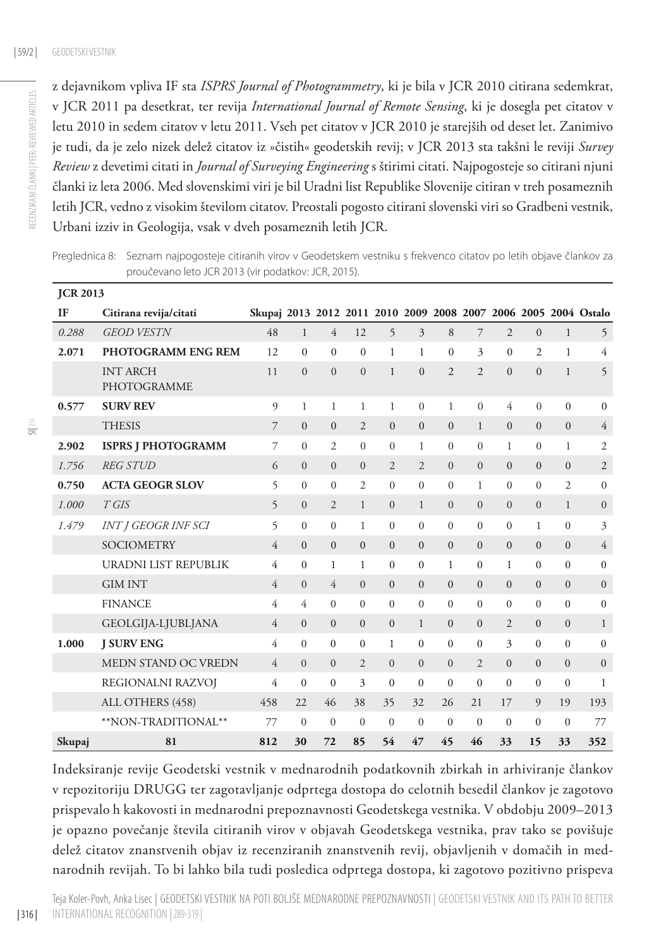z dejavnikom vpliva IF sta *ISPRS Journal of Photogrammetry*, ki je bila v JCR 2010 citirana sedemkrat, v JCR 2011 pa desetkrat, ter revija *International Journal of Remote Sensing*, ki je dosegla pet citatov v letu 2010 in sedem citatov v letu 2011. Vseh pet citatov v JCR 2010 je starejših od deset let. Zanimivo je tudi, da je zelo nizek delež citatov iz »čistih« geodetskih revij; v JCR 2013 sta takšni le reviji *Survey Review* z devetimi citati in *Journal of Surveying Engineering* s štirimi citati. Najpogosteje so citirani njuni članki iz leta 2006. Med slovenskimi viri je bil Uradni list Republike Slovenije citiran v treh posameznih letih JCR, vedno z visokim številom citatov. Preostali pogosto citirani slovenski viri so Gradbeni vestnik, Urbani izziv in Geologija, vsak v dveh posameznih letih JCR.

Preglednica 8: Seznam najpogosteje citiranih virov v Geodetskem vestniku s frekvenco citatov po letih objave člankov za proučevano leto JCR 2013 (vir podatkov: JCR, 2015).

| <b>JCR 2013</b> |                                |                |                |                |                |                |                         |                |                |                |                |                |                                                                 |
|-----------------|--------------------------------|----------------|----------------|----------------|----------------|----------------|-------------------------|----------------|----------------|----------------|----------------|----------------|-----------------------------------------------------------------|
| <b>IF</b>       | Citirana revija/citati         |                |                |                |                |                |                         |                |                |                |                |                | Skupaj 2013 2012 2011 2010 2009 2008 2007 2006 2005 2004 Ostalo |
| 0.288           | <b>GEOD VESTN</b>              | 48             | $\mathbf{1}$   | 4              | 12             | 5              | $\overline{\mathbf{3}}$ | 8              | 7              | $\overline{2}$ | $\mathbf{0}$   | $\mathbf{1}$   | 5                                                               |
| 2.071           | <b>PHOTOGRAMM ENG REM</b>      | 12             | $\theta$       | $\mathbf{0}$   | $\mathbf{0}$   | 1              | 1                       | $\Omega$       | 3              | $\overline{0}$ | $\overline{c}$ | 1              | $\overline{4}$                                                  |
|                 | <b>INT ARCH</b><br>PHOTOGRAMME | 11             | $\Omega$       | $\theta$       | $\theta$       | $\mathbf{1}$   | $\Omega$                | $\overline{2}$ | $\overline{2}$ | $\Omega$       | $\Omega$       | $\mathbf{1}$   | 5                                                               |
| 0.577           | <b>SURV REV</b>                | $\mathfrak{g}$ | 1              | 1              | 1              | $\mathbf{1}$   | $\Omega$                | 1              | $\theta$       | 4              | $\Omega$       | $\mathbf{0}$   | $\mathbf{0}$                                                    |
|                 | <b>THESIS</b>                  | $\overline{7}$ | $\mathbf{0}$   | $\overline{0}$ | $\overline{2}$ | $\mathbf{0}$   | $\mathbf{0}$            | $\overline{0}$ | $\mathbf{1}$   | $\mathbf{0}$   | $\mathbf{0}$   | $\mathbf{0}$   | $\overline{4}$                                                  |
| 2.902           | <b>ISPRS J PHOTOGRAMM</b>      | $\overline{7}$ | $\overline{0}$ | $\overline{c}$ | $\Omega$       | $\Omega$       | 1                       | $\Omega$       | $\Omega$       | $\mathbf{1}$   | $\Omega$       | 1              | 2                                                               |
| 1.756           | <b>REG STUD</b>                | 6              | $\overline{0}$ | $\overline{0}$ | $\overline{0}$ | $\overline{2}$ | 2                       | $\overline{0}$ | $\overline{0}$ | $\mathbf{0}$   | $\mathbf{0}$   | $\mathbf{0}$   | $\mathfrak{2}$                                                  |
| 0.750           | <b>ACTA GEOGR SLOV</b>         | 5              | $\Omega$       | $\theta$       | $\overline{c}$ | $\Omega$       | $\theta$                | $\theta$       | 1              | $\Omega$       | $\Omega$       | 2              | $\mathbf{0}$                                                    |
| 1.000           | $T$ GIS                        | 5              | $\overline{0}$ | $\overline{2}$ | $\mathbf{1}$   | $\Omega$       | $\mathbf{1}$            | $\Omega$       | $\overline{0}$ | $\overline{0}$ | $\Omega$       | $\mathbf{1}$   | $\overline{0}$                                                  |
| 1.479           | <b>INT J GEOGR INF SCI</b>     | 5              | $\Omega$       | $\Omega$       | 1              | $\Omega$       | $\Omega$                | $\theta$       | $\theta$       | $\Omega$       | 1              | $\mathbf{0}$   | 3                                                               |
|                 | <b>SOCIOMETRY</b>              | $\overline{4}$ | $\Omega$       | $\Omega$       | $\Omega$       | $\Omega$       | $\Omega$                | $\Omega$       | $\Omega$       | $\Omega$       | $\Omega$       | $\theta$       | 4                                                               |
|                 | URADNI LIST REPUBLIK           | 4              | $\Omega$       | 1              | 1              | $\Omega$       | $\Omega$                | 1              | $\theta$       | 1              | $\Omega$       | $\mathbf{0}$   | $\mathbf{0}$                                                    |
|                 | <b>GIM INT</b>                 | $\overline{4}$ | $\theta$       | $\overline{4}$ | $\Omega$       | $\Omega$       | $\Omega$                | $\Omega$       | $\mathbf{0}$   | $\mathbf{0}$   | $\mathbf{0}$   | $\overline{0}$ | $\overline{0}$                                                  |
|                 | <b>FINANCE</b>                 | 4              | 4              | $\theta$       | $\Omega$       | $\Omega$       | $\Omega$                | $\Omega$       | $\Omega$       | $\Omega$       | $\Omega$       | $\mathbf{0}$   | $\mathbf{0}$                                                    |
|                 | GEOLGIJA-LJUBLJANA             | $\overline{4}$ | $\Omega$       | $\Omega$       | $\Omega$       | $\mathbf{0}$   | $\mathbf{1}$            | $\Omega$       | $\Omega$       | $\overline{2}$ | $\Omega$       | $\Omega$       | $\mathbf{1}$                                                    |
| 1.000           | <b>J SURV ENG</b>              | $\overline{4}$ | $\theta$       | $\theta$       | $\Omega$       | 1              | $\Omega$                | $\Omega$       | $\Omega$       | 3              | $\Omega$       | $\Omega$       | $\mathbf{0}$                                                    |
|                 | MEDN STAND OC VREDN            | $\overline{4}$ | $\overline{0}$ | $\overline{0}$ | $\overline{2}$ | $\Omega$       | $\Omega$                | $\overline{0}$ | $\overline{2}$ | $\Omega$       | $\Omega$       | $\overline{0}$ | $\mathbf{0}$                                                    |
|                 | REGIONALNI RAZVOJ              | 4              | $\Omega$       | $\Omega$       | 3              | $\Omega$       | $\theta$                | $\theta$       | $\Omega$       | $\Omega$       | $\mathbf{0}$   | $\mathbf{0}$   | 1                                                               |
|                 | ALL OTHERS (458)               | 458            | 22             | 46             | 38             | 35             | 32                      | 26             | 21             | 17             | 9              | 19             | 193                                                             |
|                 | **NON-TRADITIONAL**            | 77             | $\Omega$       | $\Omega$       | $\Omega$       | $\Omega$       | $\Omega$                | $\Omega$       | $\Omega$       | $\mathbf{0}$   | $\mathbf{0}$   | $\mathbf{0}$   | 77                                                              |
| Skupaj          | 81                             | 812            | 30             | 72             | 85             | 54             | 47                      | 45             | 46             | 33             | 15             | 33             | 352                                                             |

Indeksiranje revije Geodetski vestnik v mednarodnih podatkovnih zbirkah in arhiviranje člankov v repozitoriju DRUGG ter zagotavljanje odprtega dostopa do celotnih besedil člankov je zagotovo prispevalo h kakovosti in mednarodni prepoznavnosti Geodetskega vestnika. V obdobju 2009–2013 je opazno povečanje števila citiranih virov v objavah Geodetskega vestnika, prav tako se povišuje delež citatov znanstvenih objav iz recenziranih znanstvenih revij, objavljenih v domačih in mednarodnih revijah. To bi lahko bila tudi posledica odprtega dostopa, ki zagotovo pozitivno prispeva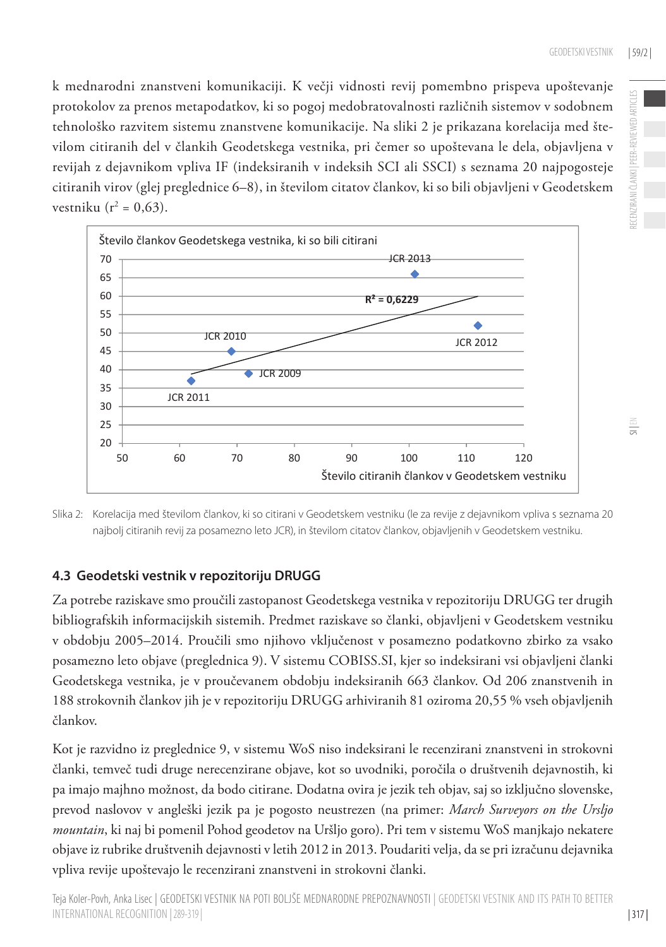k mednarodni znanstveni komunikaciji. K večji vidnosti revij pomembno prispeva upoštevanje protokolov za prenos metapodatkov, ki so pogoj medobratovalnosti različnih sistemov v sodobnem tehnološko razvitem sistemu znanstvene komunikacije. Na sliki 2 je prikazana korelacija med številom citiranih del v člankih Geodetskega vestnika, pri čemer so upoštevana le dela, objavljena v revijah z dejavnikom vpliva IF (indeksiranih v indeksih SCI ali SSCI) s seznama 20 najpogosteje citiranih virov (glej preglednice 6–8), in številom citatov člankov, ki so bili objavljeni v Geodetskem vestniku ( $r^2 = 0.63$ ).



Slika 2: Korelacija med številom člankov, ki so citirani v Geodetskem vestniku (le za revije z dejavnikom vpliva s seznama 20 najbolj citiranih revij za posamezno leto JCR), in številom citatov člankov, objavljenih v Geodetskem vestniku.

#### **4.3 Geodetski vestnik v repozitoriju DRUGG**

Za potrebe raziskave smo proučili zastopanost Geodetskega vestnika v repozitoriju DRUGG ter drugih bibliografskih informacijskih sistemih. Predmet raziskave so članki, objavljeni v Geodetskem vestniku v obdobju 2005–2014. Proučili smo njihovo vključenost v posamezno podatkovno zbirko za vsako posamezno leto objave (preglednica 9). V sistemu COBISS.SI, kjer so indeksirani vsi objavljeni članki Geodetskega vestnika, je v proučevanem obdobju indeksiranih 663 člankov. Od 206 znanstvenih in 188 strokovnih člankov jih je v repozitoriju DRUGG arhiviranih 81 oziroma 20,55 % vseh objavljenih člankov.

Kot je razvidno iz preglednice 9, v sistemu WoS niso indeksirani le recenzirani znanstveni in strokovni članki, temveč tudi druge nerecenzirane objave, kot so uvodniki, poročila o društvenih dejavnostih, ki pa imajo majhno možnost, da bodo citirane. Dodatna ovira je jezik teh objav, saj so izključno slovenske, prevod naslovov v angleški jezik pa je pogosto neustrezen (na primer: *March Surveyors on the Ursljo mountain*, ki naj bi pomenil Pohod geodetov na Uršljo goro). Pri tem v sistemu WoS manjkajo nekatere objave iz rubrike društvenih dejavnosti v letih 2012 in 2013. Poudariti velja, da se pri izračunu dejavnika vpliva revije upoštevajo le recenzirani znanstveni in strokovni članki.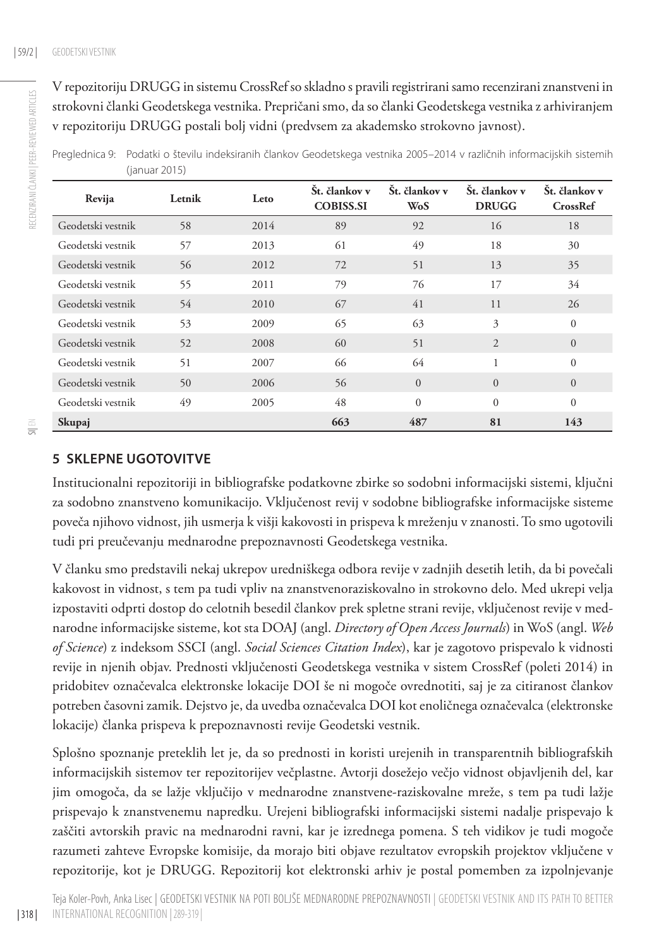RECENZIRANI ČLANKI | PEER-REVIEWED ARTICLES

RECENZIRANI ČLANKI | PEER-REVIEWED ARTICLES

V repozitoriju DRUGG in sistemu CrossRef so skladno s pravili registrirani samo recenzirani znanstveni in strokovni članki Geodetskega vestnika. Prepričani smo, da so članki Geodetskega vestnika z arhiviranjem v repozitoriju DRUGG postali bolj vidni (predvsem za akademsko strokovno javnost).

Preglednica 9: Podatki o številu indeksiranih člankov Geodetskega vestnika 2005–2014 v različnih informacijskih sistemih (januar 2015)

| Revija            | Letnik | Leto | Št. člankov v<br><b>COBISS.SI</b> | Št. člankov v<br><b>WoS</b> | Št. člankov v<br><b>DRUGG</b> | Št. člankov v<br><b>CrossRef</b> |
|-------------------|--------|------|-----------------------------------|-----------------------------|-------------------------------|----------------------------------|
| Geodetski vestnik | 58     | 2014 | 89                                | 92                          | 16                            | 18                               |
| Geodetski vestnik | 57     | 2013 | 61                                | 49                          | 18                            | 30                               |
| Geodetski vestnik | 56     | 2012 | 72                                | 51                          | 13                            | 35                               |
| Geodetski vestnik | 55     | 2011 | 79                                | 76                          | 17                            | 34                               |
| Geodetski vestnik | 54     | 2010 | 67                                | 41                          | 11                            | 26                               |
| Geodetski vestnik | 53     | 2009 | 65                                | 63                          | 3                             | $\theta$                         |
| Geodetski vestnik | 52     | 2008 | 60                                | 51                          | 2                             | $\overline{0}$                   |
| Geodetski vestnik | 51     | 2007 | 66                                | 64                          | 1.                            | $\theta$                         |
| Geodetski vestnik | 50     | 2006 | 56                                | $\overline{0}$              | $\Omega$                      | $\Omega$                         |
| Geodetski vestnik | 49     | 2005 | 48                                | $\Omega$                    | $\Omega$                      | $\theta$                         |
| Skupaj            |        |      | 663                               | 487                         | 81                            | 143                              |

#### **5 SKLEPNE UGOTOVI TVE**

Institucionalni repozitoriji in bibliografske podatkovne zbirke so sodobni informacijski sistemi, ključni za sodobno znanstveno komunikacijo. Vključenost revij v sodobne bibliografske informacijske sisteme poveča njihovo vidnost, jih usmerja k višji kakovosti in prispeva k mreženju v znanosti. To smo ugotovili tudi pri preučevanju mednarodne prepoznavnosti Geodetskega vestnika.

V članku smo predstavili nekaj ukrepov uredniškega odbora revije v zadnjih desetih letih, da bi povečali kakovost in vidnost, s tem pa tudi vpliv na znanstvenoraziskovalno in strokovno delo. Med ukrepi velja izpostaviti odprti dostop do celotnih besedil člankov prek spletne strani revije, vključenost revije v mednarodne informacijske sisteme, kot sta DOAJ (angl. *Directory of Open Access Journals*) in WoS (angl. *Web of Science*) z indeksom SSCI (angl. *Social Sciences Citation Index*), kar je zagotovo prispevalo k vidnosti revije in njenih objav. Prednosti vključenosti Geodetskega vestnika v sistem CrossRef (poleti 2014) in pridobitev označevalca elektronske lokacije DOI še ni mogoče ovrednotiti, saj je za citiranost člankov potreben časovni zamik. Dejstvo je, da uvedba označevalca DOI kot enoličnega označevalca (elektronske lokacije) članka prispeva k prepoznavnosti revije Geodetski vestnik.

Splošno spoznanje preteklih let je, da so prednosti in koristi urejenih in transparentnih bibliografskih informacijskih sistemov ter repozitorijev večplastne. Avtorji dosežejo večjo vidnost objavljenih del, kar jim omogoča, da se lažje vključijo v mednarodne znanstvene-raziskovalne mreže, s tem pa tudi lažje prispevajo k znanstvenemu napredku. Urejeni bibliografski informacijski sistemi nadalje prispevajo k zaščiti avtorskih pravic na mednarodni ravni, kar je izrednega pomena. S teh vidikov je tudi mogoče razumeti zahteve Evropske komisije, da morajo biti objave rezultatov evropskih projektov vključene v repozitorije, kot je DRUGG. Repozitorij kot elektronski arhiv je postal pomemben za izpolnjevanje